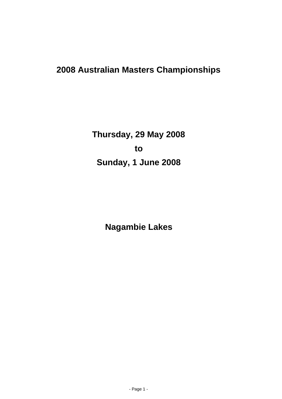# **2008 Australian Masters Championships**

**Thursday, 29 May 2008 to Sunday, 1 June 2008**

**Nagambie Lakes**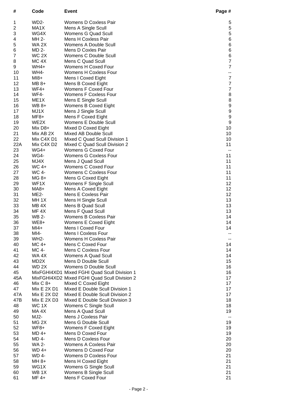| #              | Code                       | <b>Event</b>                                                       | Page #                   |
|----------------|----------------------------|--------------------------------------------------------------------|--------------------------|
| 1              | WD <sub>2</sub> -          | Womens D Coxless Pair                                              | 5                        |
| 2              | MA1X                       | Mens A Single Scull                                                | $\mathbf 5$              |
| 3              | WG4X                       | Womens G Quad Scull                                                | $\,$ 5 $\,$              |
| 4              | MH 2-                      | <b>Mens H Coxless Pair</b>                                         | $\, 6$                   |
| 5              | WA 2X                      | Womens A Double Scull                                              | $\,6$                    |
| 6              | MD 2-                      | Mens D Coxles Pair                                                 | $\, 6$                   |
| $\overline{7}$ | WC 2X                      | Womens C Double Scull                                              | $\, 6$                   |
| 8              | MC <sub>4</sub> X          | Mens C Quad Scull                                                  | $\boldsymbol{7}$         |
| 9              | WH4+                       | Womens H Coxed Four                                                | $\overline{7}$           |
| 10             | <b>WH4-</b>                | <b>Womens H Coxless Four</b>                                       | ۰.                       |
| 11             | $M18+$                     | Mens I Coxed Eight                                                 | $\boldsymbol{7}$         |
| 12             | $MB 8+$                    | Mens B Coxed Eight                                                 | $\boldsymbol{7}$         |
| 13             | $WF4+$                     | Womens F Coxed Four                                                | $\boldsymbol{7}$         |
| 14             | WF4-                       | <b>Womens F Coxless Four</b>                                       | $\boldsymbol{8}$         |
| 15             | ME <sub>1</sub> X          | Mens E Single Scull                                                | $\bf 8$                  |
| 16             | WB 8+                      | Womens B Coxed Eight                                               | 9                        |
| 17             | MJ1X                       | Mens J Single Scull                                                | 9                        |
| 18             | MF8+                       | Mens F Coxed Eight                                                 | $\boldsymbol{9}$         |
| 19             | WE2X                       | Womens E Double Scull                                              | $\boldsymbol{9}$         |
| 20             | Mix D8+                    | Mixed D Coxed Eight                                                | 10                       |
| 21             | Mix AB 2X                  | Mixed AB Double Scull                                              | 10                       |
| 22             | Mix C4X D1                 | Mixed C Quad Scull Division 1                                      | 10                       |
| 22A            | Mix C4X D2                 | Mixed C Quad Scull Division 2                                      | 11                       |
| 23             | $WG4+$                     | Womens G Coxed Four                                                | $\overline{\phantom{a}}$ |
| 24             | <b>WG4-</b><br>MJ4X        | <b>Womens G Coxless Four</b>                                       | 11                       |
| 25<br>26       | WC 4+                      | Mens J Quad Scull<br>Womens C Coxed Four                           | 11<br>11                 |
| 27             | WC 4-                      | <b>Womens C Coxless Four</b>                                       | 11                       |
| 28             | MG 8+                      | Mens G Coxed Eight                                                 | 11                       |
| 29             | WF1X                       | Womens F Single Scull                                              | 12                       |
| 30             | MA8+                       | Mens A Coxed Eight                                                 | 12                       |
| 31             | ME2-                       | Mens E Coxless Pair                                                | 12                       |
| 32             | MH <sub>1X</sub>           | Mens H Single Scull                                                | 13                       |
| 33             | MB <sub>4X</sub>           | Mens B Quad Scull                                                  | 13                       |
| 34             | MF <sub>4X</sub>           | Mens F Quad Scull                                                  | 13                       |
| 35             | <b>WB 2-</b>               | Womens B Coxless Pair                                              | 14                       |
| 36             | WE8+                       | Womens E Coxed Eight                                               | 14                       |
| 37             | $M14+$                     | Mens I Coxed Four                                                  | 14                       |
| 38             | MI4-                       | Mens I Coxless Four                                                |                          |
| 39             | <b>WH2-</b>                | Womens H Coxless Pair                                              | ۰.                       |
| 40             | MC 4+                      | Mens C Coxed Four                                                  | 14                       |
| 41             | MC 4-                      | Mens C Coxless Four                                                | 14                       |
| 42             | WA 4X                      | Womens A Quad Scull                                                | 14                       |
| 43             | MD2X                       | Mens D Double Scull                                                | 15                       |
| 44             | WD 2X                      | Womens D Double Scull                                              | 16                       |
| 45             |                            | MixFGHI4XD1 Mixed FGHI Quad Scull Division 1                       | 16                       |
| 45A            |                            | MixFGHI4XD2 Mixed FGHI Quad Scull Division 2                       | 17                       |
| 46             | $Mix C 8+$                 | Mixed C Coxed Eight                                                | 17                       |
| 47             | Mix E 2X D1                | Mixed E Double Scull Division 1                                    | 17                       |
| 47A            | Mix E 2X D2<br>Mix E 2X D3 | Mixed E Double Scull Division 2<br>Mixed E Double Scull Division 3 | 17<br>18                 |
| 47B<br>48      | WC 1X                      | Womens C Single Scull                                              | 18                       |
| 49             | MA 4X                      | Mens A Quad Scull                                                  | 19                       |
| 50             | MJ2-                       | Mens J Coxless Pair                                                |                          |
| 51             | MG <sub>2X</sub>           | Mens G Double Scull                                                | 19                       |
| 52             | WF8+                       | Womens F Coxed Eight                                               | 19                       |
| 53             | MD 4+                      | Mens D Coxed Four                                                  | 19                       |
| 54             | MD 4-                      | <b>Mens D Coxless Four</b>                                         | 20                       |
| 55             | <b>WA 2-</b>               | Womens A Coxless Pair                                              | 20                       |
| 56             | WD 4+                      | Womens D Coxed Four                                                | 20                       |
| 57             | WD 4-                      | <b>Womens D Coxless Four</b>                                       | 21                       |
| 58             | MH 8+                      | Mens H Coxed Eight                                                 | 21                       |
| 59             | WG1X                       | Womens G Single Scull                                              | 21                       |
| 60             | WB 1X                      | Womens B Single Scull                                              | 21                       |
| 61             | MF 4+                      | Mens F Coxed Four                                                  | 21                       |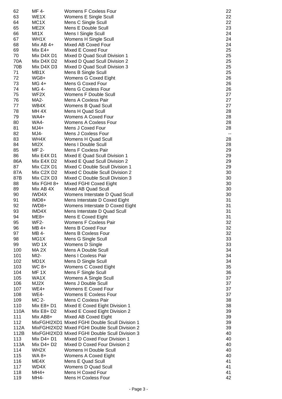| 62   | MF 4-             | <b>Womens F Coxless Four</b>                   | 22                       |
|------|-------------------|------------------------------------------------|--------------------------|
|      |                   |                                                |                          |
| 63   | WE1X              | Womens E Single Scull                          | 22                       |
| 64   | MC <sub>1</sub> X | Mens C Single Scull                            | 22                       |
| 65   | ME <sub>2</sub> X | Mens E Double Scull                            | 23                       |
|      |                   |                                                |                          |
| 66   | MI1X              | Mens I Single Scull                            | 24                       |
| 67   | WH <sub>1</sub> X | Womens H Single Scull                          | 24                       |
|      |                   |                                                |                          |
| 68   | Mix AB $4+$       | Mixed AB Coxed Four                            | 24                       |
| 69   | $Mix E4+$         | Mixed E Coxed Four                             | 25                       |
|      |                   |                                                |                          |
| 70   | Mix D4X D1        | Mixed D Quad Scull Division 1                  | 25                       |
| 70A  | Mix D4X D2        | Mixed D Quad Scull Division 2                  | 25                       |
| 70B  | Mix D4X D3        | Mixed D Quad Scull Division 3                  | 25                       |
|      |                   |                                                |                          |
| 71   | MB1X              | Mens B Single Scull                            | 25                       |
| 72   | WG8+              | Womens G Coxed Eight                           | 26                       |
|      |                   |                                                |                          |
| 73   | MG 4+             | Mens G Coxed Four                              | 26                       |
| 74   | MG 4-             | <b>Mens G Coxless Four</b>                     | 26                       |
| 75   | WF2X              | Womens F Double Scull                          | 27                       |
|      |                   |                                                |                          |
| 76   | <b>MA2-</b>       | Mens A Coxless Pair                            | 27                       |
| 77   | WB4X              | Womens B Quad Scull                            | 27                       |
|      |                   |                                                |                          |
| 78   | MH <sub>4X</sub>  | Mens H Quad Scull                              | 28                       |
| 79   | WA4+              | Womens A Coxed Four                            | 28                       |
|      |                   | Womens A Coxless Four                          |                          |
| 80   | <b>WA4-</b>       |                                                | 28                       |
| 81   | $MJ4+$            | Mens J Coxed Four                              | 28                       |
| 82   | MJ4-              | Mens J Coxless Four                            | $\overline{\phantom{a}}$ |
|      |                   |                                                |                          |
| 83   | WH4X              | Womens H Quad Scull                            | 28                       |
| 84   | MI <sub>2</sub> X | Mens I Double Scull                            | 28                       |
|      |                   |                                                |                          |
| 85   | <b>MF 2-</b>      | <b>Mens F Coxless Pair</b>                     | 29                       |
| 86   | Mix E4X D1        | Mixed E Quad Scull Division 1                  | 29                       |
| 86A  | Mix E4X D2        | Mixed E Quad Scull Division 2                  | 29                       |
|      |                   |                                                |                          |
| 87   | Mix C2X D1        | Mixed C Double Scull Division 1                | 29                       |
| 87A  | Mix C2X D2        | Mixed C Double Scull Division 2                | 30                       |
|      |                   |                                                |                          |
| 87B  | Mix C2X D3        | Mixed C Double Scull Division 3                | 30                       |
| 88   | Mix FGHI 8+       | Mixed FGHI Coxed Eight                         | 30                       |
| 89   | Mix AB 4X         | <b>Mixed AB Quad Scull</b>                     | 30                       |
|      |                   |                                                |                          |
| 90   | IWD4X             | Womens Interstate D Quad Scull                 | 30                       |
| 91   | IMD8+             | Mens Interstate D Coxed Eight                  | 31                       |
|      |                   |                                                |                          |
| 92   | IWD8+             | Womens Interstate D Coxed Eight                | 31                       |
| 93   | IMD4X             | Mens Interstate D Quad Scull                   | 31                       |
| 94   | ME <sub>8+</sub>  | Mens E Coxed Eight                             | 31                       |
|      |                   |                                                |                          |
| 95   | WF2-              | Womens F Coxless Pair                          | 32                       |
| 96   | MB 4+             | Mens B Coxed Four                              | 32                       |
|      |                   |                                                |                          |
| 97   | MB 4-             | <b>Mens B Coxless Four</b>                     | 32                       |
| 98   | MG1X              | Mens G Single Scull                            | 33                       |
| 99   | WD 1X             | Womens D Single                                | 33                       |
|      |                   |                                                |                          |
| 100  | MA <sub>2</sub> X | Mens A Double Scull                            | 34                       |
| 101  | $MI2-$            | Mens I Coxless Pair                            | 34                       |
| 102  | MD1X              |                                                | 34                       |
|      |                   | Mens D Single Scull                            |                          |
| 103  | WC 8+             | Womens C Coxed Eight                           | 35                       |
| 104  | MF <sub>1X</sub>  | Mens F Single Scull                            | 36                       |
|      |                   |                                                |                          |
| 105  | WA1X              | Womens A Single Scull                          | 37                       |
| 106  | MJ2X              | Mens J Double Scull                            | 37                       |
| 107  | $WE4+$            | Womens E Coxed Four                            | 37                       |
|      |                   |                                                |                          |
| 108  | <b>WE4-</b>       | <b>Womens E Coxless Four</b>                   | 37                       |
| 109  | MC 2-             | Mens C Coxless Pair                            | 38                       |
|      |                   |                                                |                          |
| 110  | Mix E8+ D1        | Mixed E Coxed Eight Division 1                 | 38                       |
| 110A | Mix E8+ D2        | Mixed E Coxed Eight Division 2                 | 39                       |
| 111  | Mix AB8+          | Mixed AB Coxed Eight                           | 39                       |
|      |                   |                                                |                          |
| 112  |                   | MixFGHI2XD1 Mixed FGHI Double Scull Division 1 | 39                       |
| 112A |                   | MixFGHI2XD2 Mixed FGHI Double Scull Division 2 | 39                       |
|      |                   |                                                |                          |
| 112B |                   | MixFGHI2XD3 Mixed FGHI Double Scull Division 3 | 40                       |
| 113  | Mix D4+ D1        | Mixed D Coxed Four Division 1                  | 40                       |
| 113A | Mix D4+ D2        | Mixed D Coxed Four Division 2                  | 40                       |
|      |                   |                                                |                          |
| 114  | WH <sub>2</sub> X | Womens H Double Scull                          | 40                       |
| 115  | WA 8+             | Womens A Coxed Eight                           | 40                       |
|      |                   |                                                |                          |
| 116  | ME4X              | Mens E Quad Scull                              | 41                       |
| 117  | WD4X              | Womens D Quad Scull                            | 41                       |
| 118  | MH4+              | Mens H Coxed Four                              | 41                       |
|      |                   | <b>Mens H Coxless Four</b>                     | 42                       |
| 119  | MH4-              |                                                |                          |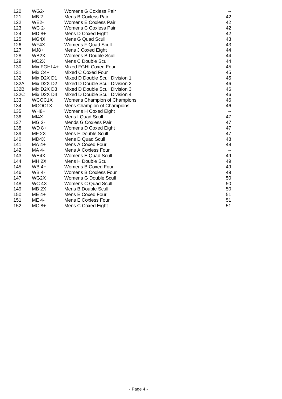| 120  | <b>WG2-</b>                         | Womens G Coxless Pair           | --           |
|------|-------------------------------------|---------------------------------|--------------|
| 121  | MB 2-                               | Mens B Coxless Pair             | 42           |
| 122  | <b>WE2-</b>                         | Womens E Coxless Pair           | 42           |
| 123  | WC 2-                               | Womens C Coxless Pair           | 42           |
| 124  | $MD 8+$                             | Mens D Coxed Eight              | 42           |
| 125  | MG4X                                | Mens G Quad Scull               | 43           |
| 126  | WF4X                                | Womens F Quad Scull             | 43           |
| 127  | $MJ8+$                              | Mens J Coxed Eight              | 44           |
| 128  | WB <sub>2</sub> X                   | Womens B Double Scull           | 44           |
| 129  | MC <sub>2</sub> X                   | Mens C Double Scull             | 44           |
| 130  | Mix FGHI 4+                         | Mixed FGHI Coxed Four           | 45           |
| 131  | Mix C4+                             | Mixed C Coxed Four              | 45           |
| 132  | Mix D2X D1                          | Mixed D Double Scull Division 1 | 45           |
| 132A | Mix D2X D2                          | Mixed D Double Scull Division 2 | 46           |
| 132B | Mix D2X D3                          | Mixed D Double Scull Division 3 | 46           |
| 132C | Mix D <sub>2</sub> X D <sub>4</sub> | Mixed D Double Scull Division 4 | 46           |
| 133  | WCOC1X                              | Womens Champion of Champions    | 46           |
| 134  | MCOC1X                              | Mens Champion of Champions      | 46           |
| 135  | WH8+                                | Womens H Coxed Eight            | --           |
| 136  | MI4X                                | Mens I Quad Scull               | 47           |
| 137  | MG 2-                               | Mends G Coxless Pair            | 47           |
| 138  | $WD 8+$                             | Womens D Coxed Eight            | 47           |
| 139  | MF <sub>2X</sub>                    | Mens F Double Scull             | 47           |
| 140  | MD4X                                | Mens D Quad Scull               | 48           |
| 141  | MA 4+                               | Mens A Coxed Four               | 48           |
| 142  | MA 4-                               | Mens A Coxless Four             | $\mathbf{u}$ |
| 143  | WE4X                                | Womens E Quad Scull             | 49           |
| 144  | MH <sub>2X</sub>                    | Mens H Double Scull             | 49           |
| 145  | WB 4+                               | Womens B Coxed Four             | 49           |
| 146  | WB 4-                               | <b>Womens B Coxless Four</b>    | 49           |
| 147  | WG2X                                | Womens G Double Scull           | 50           |
| 148  | WC 4X                               | Womens C Quad Scull             | 50           |
| 149  | MB <sub>2</sub> X                   | Mens B Double Scull             | 50           |
| 150  | ME 4+                               | Mens E Coxed Four               | 51           |
| 151  | ME 4-                               | Mens E Coxless Four             | 51           |
| 152  | $MC8+$                              | Mens C Coxed Eight              | 51           |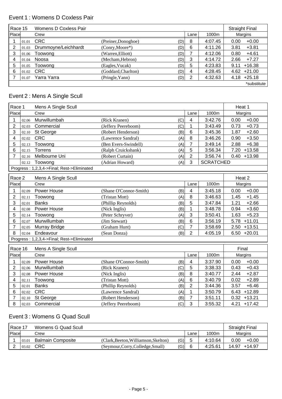#### Event 1 : Womens D Coxless Pair

| Race 15 |       | Womens D Coxless Pair |                     |     |      |         | <b>Straight Final</b> |
|---------|-------|-----------------------|---------------------|-----|------|---------|-----------------------|
| Place   |       | Crew                  |                     |     | Lane | 1000m   | Margins               |
|         | 01.01 | <b>CRC</b>            | (Preiner, Donoghoe) | (D) | 8    | 4:07.45 | 0.00<br>$+0.00$       |
|         | 01.03 | Drummoyne/Leichhardt  | (Conry, Moore*)     | (D) | 6    | 4:11.26 | 3.81<br>$+3.81$       |
| 3       | 01.06 | Toowong               | (Warren, Elliott)   | (D) |      | 4:12.06 | 0.80<br>$+4.61$       |
| 4       | 01.04 | Noosa                 | (Mecham, Hebron)    | (D) | 3    | 4:14.72 | $+7.27$<br>2.66       |
| 5       | 01.05 | Toowong               | (Eagles, Vucak)     | (D) | 5    | 4:23.83 | $+16.38$<br>9.11      |
| 6       |       | 01.02 CRC             | (Goddard, Charlton) | (D) | 4    | 4:28.45 | +21.00<br>4.62        |
|         | 01.07 | Yarra Yarra           | (Pringle, Yann)     | (D) | 2    | 4:32.63 | $4.18 + 25.18$        |
|         |       |                       |                     |     |      |         | *substitute           |

#### Event 2 : Mens A Single Scull

| Race 1            |       | Mens A Single Scull                        |                        |     |                 |                  | Heat 1           |
|-------------------|-------|--------------------------------------------|------------------------|-----|-----------------|------------------|------------------|
| Place             |       | Crew                                       |                        |     | Lane            | 1000m            | Margins          |
| 1                 | 02.06 | Murwillumbah                               | (Rick Kranen)          | (C) | $\overline{4}$  | 3:42.76          | $+0.00$<br>0.00  |
| $\overline{2}$    | 02.03 | Commercial                                 | (Jeffery Peereboom)    | (C) | 1               | 3:43.49          | 0.73<br>$+0.73$  |
| 3                 | 02.10 | St George                                  | (Robert Henderson)     | (B) | 6               | 3:45.36          | 1.87<br>$+2.60$  |
| 4                 | 02.02 | <b>CRC</b>                                 | (Lawrence Sandral)     | (A) | 8               | 3:46.26          | $+3.50$<br>0.90  |
| 5                 | 02.13 | Toowong                                    | (Ben Evers-Swindell)   | (A) | $\overline{7}$  | 3:49.14          | $+6.38$<br>2.88  |
| 6                 | 02.15 | <b>Torrens</b>                             | (Ralph Cruickshank)    | (A) | 5               | 3:56.34          | $7.20 + 13.58$   |
| 7                 | 02.16 | Melbourne Uni                              | (Robert Curtain)       | (A) | $\overline{2}$  | 3:56.74          | $0.40 + 13.98$   |
|                   | 02.12 | Toowong                                    | (Adrian Howard)        | (A) | 3               | <b>SCRATCHED</b> |                  |
|                   |       | Progress: 1,2,3,4->Final; Rest->Eliminated |                        |     |                 |                  |                  |
| Race <sub>2</sub> |       | Mens A Single Scull                        |                        |     |                 |                  | Heat 2           |
| Place             |       | Crew                                       |                        |     | Lane            | 1000m            | Margins          |
| 1                 | 02.09 | Power House                                | (Shane O'Connor-Smith) | (B) | $\overline{4}$  | 3:45.18          | $+0.00$<br>0.00  |
| $\overline{2}$    | 02.11 | Toowong                                    | (Tristan Mott)         | (A) | 8               | 3:46.63          | 1.45<br>$+1.45$  |
| 3                 | 02.01 | <b>Banks</b>                               | (Phillip Reynolds)     | (B) | 5               | 3:47.84          | 1.21<br>$+2.66$  |
| 4                 | 02.08 | Power House                                | (Nick Inglis)          | (B) | 1               | 3:48.78          | $+3.60$<br>0.94  |
| 5                 | 02.14 | Toowong                                    | (Peter Schryver)       | (A) | 3               | 3:50.41          | 1.63<br>$+5.23$  |
| 6                 | 02.07 | Murwillumbah                               | (Jim Stewart)          | (B) | $6\phantom{1}6$ | 3:56.19          | $+11.01$<br>5.78 |
| $\overline{7}$    | 02.05 | Murray Bridge                              | (Graham Hunt)          | (C) | $\overline{7}$  | 3:58.69          | $2.50 + 13.51$   |
| 8                 | 02.04 | Endeavour                                  | (Sean Donza)           | (B) | $\overline{2}$  | 4:05.19          | $6.50 +20.01$    |
|                   |       | Progress: 1,2,3,4->Final; Rest->Eliminated |                        |     |                 |                  |                  |
| Race 16           |       | Mens A Single Scull                        |                        |     |                 |                  | Final            |
| Place             |       | Crew                                       |                        |     | Lane            | 1000m            | Margins          |
| 1                 | 02.09 | Power House                                | (Shane O'Connor-Smith) | (B) | $\overline{4}$  | 3:37.90          | $+0.00$<br>0.00  |
| $\overline{2}$    | 02.06 | Murwillumbah                               | (Rick Kranen)          | (C) | 5               | 3:38.33          | $+0.43$<br>0.43  |
| 3                 | 02.08 | Power House                                | (Nick Inglis)          | (B) | 8               | 3:40.77          | $+2.87$<br>2.44  |
| 4                 | 02.11 | Toowong                                    | (Tristan Mott)         | (A) | $6\phantom{1}$  | 3:40.79          | 0.02<br>$+2.89$  |
| 5                 | 02.01 | <b>Banks</b>                               | (Phillip Reynolds)     | (B) | $\overline{2}$  | 3:44.36          | $+6.46$<br>3.57  |
| 6                 | 02.02 | <b>CRC</b>                                 | (Lawrence Sandral)     | (A) | 1               | 3:50.79          | 6.43<br>$+12.89$ |
| $\overline{7}$    | 02.10 | St George                                  | (Robert Henderson)     | (B) | $\overline{7}$  | 3:51.11          | $0.32 + 13.21$   |
| 8                 | 02.03 | Commercial                                 | (Jeffery Peereboom)    | (C) | 3               | 3:55.32          | $4.21 + 17.42$   |

### Event 3 : Womens G Quad Scull

| Race 17<br>Womens G Quad Scull |       |                          |                                   |     |      |         | <b>Straight Final</b> |          |
|--------------------------------|-------|--------------------------|-----------------------------------|-----|------|---------|-----------------------|----------|
| <b>IPlace</b>                  |       | Crew                     |                                   |     | Lane | 1000m   |                       | Margins  |
|                                | 03.01 | <b>Balmain Composite</b> | (Clark.Beeton.Williamson.Skelton) | (G) |      | 4:10.64 | 0.00                  | $+0.00$  |
|                                | 03.02 | CRC                      | (Seymour,Corry,Colledge,Small)    | (G) | 6    | 4:25.61 | 14.97                 | $+14.97$ |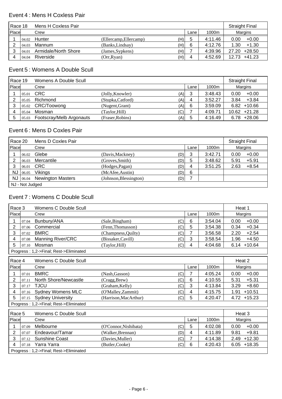#### Event 4 : Mens H Coxless Pair

|       | Race 18<br>Mens H Coxless Pair |                      |                        |     | <b>Straight Final</b> |         |                   |
|-------|--------------------------------|----------------------|------------------------|-----|-----------------------|---------|-------------------|
| Place |                                | Crew                 |                        |     | Lane                  | 1000m   | Margins           |
|       |                                | $04.02$ Hunter       | (Ellercamp, Ellercamp) | (H) | 5                     | 4:11.46 | $+0.00$<br>0.00   |
|       | 04.03                          | Mannum               | (Banks,Lindsay)        | (H) | 6                     | 4:12.76 | $+1.30$<br>1.30   |
| ົ     | 04.01                          | Armidale/North Shore | (James, Sypkens)       | (H) |                       | 4:39.96 | +28.50<br>27.20   |
|       | 04.04                          | Riverside            | (Orr, Ryan)            | (H) | 4                     | 4:52.69 | $+41.23$<br>12.73 |

#### Event 5 : Womens A Double Scull

|       | Race 19<br>Womens A Double Scull<br><b>Straight Final</b> |                          |                         |      |         |                 |
|-------|-----------------------------------------------------------|--------------------------|-------------------------|------|---------|-----------------|
| Place |                                                           | Crew                     |                         | Lane | 1000m   | Margins         |
|       | 05.01                                                     | <b>CRC</b>               | (Jolly, Knowler)<br>(A) | 3    | 3:48.43 | $+0.00$<br>0.00 |
|       | 05.05                                                     | Richmond                 | (Stupka,Catford)<br>(A) | 4    | 3:52.27 | $+3.84$<br>3.84 |
| 3     |                                                           | 05.02 CRC/Toowong        | (Nugent, Grant)<br>(A)  | 6    | 3:59.09 | $6.82 + 10.66$  |
|       | 05.04                                                     | Mosman                   | (Taylor,Hill)<br>(C)    |      | 4:09.71 | $10.62 +21.28$  |
| 5     | 05.03                                                     | Footscray/Melb Argonauts | (Fraser, Robins)<br>(A) | 5    | 4:16.49 | $6.78 + 28.06$  |

#### Event 6 : Mens D Coxles Pair

|       | Race 20<br>Mens D Coxles Pair |                              |                        |     |      | <b>Straight Final</b> |         |         |  |
|-------|-------------------------------|------------------------------|------------------------|-----|------|-----------------------|---------|---------|--|
| Place |                               | Crew                         |                        |     | Lane | 1000m                 | Margins |         |  |
|       | 06.02                         | Glebe                        | (Davis, Mackney)       | (D) | 3    | 3:42.71               | 0.00    | $+0.00$ |  |
|       | 06.03                         | Mercantile                   | (Groves, Smith)        | (D) | 5    | 3:48.62               | 5.91    | $+5.91$ |  |
| 3     | 06.01                         | CRC                          | (Hodges, Pagan)        | (D) | 4    | 3:51.25               | 2.63    | $+8.54$ |  |
| NJ    | 06.05                         | Vikings                      | (McAfee, Austin)       | (D) | 6    |                       |         |         |  |
|       |                               | $NJ$ 06.04 Newington Masters | (Johnson, Blessington) | (D) |      |                       |         |         |  |
|       | NJ - Not Judged               |                              |                        |     |      |                       |         |         |  |

## Event 7 : Womens C Double Scull

| Race 3         | Womens C Double Scull           |                                        |                              |                | Heat 1  |                  |
|----------------|---------------------------------|----------------------------------------|------------------------------|----------------|---------|------------------|
| Place          |                                 | Crew                                   |                              | Lane           | 1000m   | Margins          |
| 1              | 07.04                           | Bunbury/ANA                            | (Sale, Bingham)<br>(C)       | 6              | 3:54.04 | 0.00<br>$+0.00$  |
| 2              | 07.06                           | Commercial                             | (Fenn, Thomasson)<br>(C)     | 5              | 3:54.38 | $+0.34$<br>0.34  |
| 3              | 07.02                           | <b>BMRC</b>                            | (Champness, Quilty)<br>(C)   | 7              | 3:56.58 | $+2.54$<br>2.20  |
| 4              | 07.08                           | <b>Manning River/CRC</b>               | (Bissaker, Cavill)<br>(C)    | 3              | 3:58.54 | $+4.50$<br>1.96  |
| 5              | 07.10                           | Mosman                                 | (Taylor, Hill)<br>(C)        | 4              | 4:04.68 | $+10.64$<br>6.14 |
|                |                                 | Progress: 1,2->Final; Rest->Eliminated |                              |                |         |                  |
|                | Womens C Double Scull<br>Race 4 |                                        |                              |                | Heat 2  |                  |
| Place          |                                 | Crew                                   |                              | Lane           | 1000m   | Margins          |
| 1              | 07.01                           | <b>BMRC</b>                            | (Nash, Gasson)<br>(C)        | 7              | 4:05.24 | 0.00<br>$+0.00$  |
| 2              | 07.11                           | North Shore/Newcastle                  | (Cragg, Brew)<br>(C)         | 6              | 4:10.55 | 5.31<br>$+5.31$  |
| $\mathbf{3}$   | 07.17                           | <b>TJCU</b>                            | (Graham, Kelly)<br>(C)       | 3              | 4:13.84 | $+8.60$<br>3.29  |
| 4              | 07.16                           | <b>Sydney Womens MLC</b>               | (O'Malley, Zammit)<br>(C)    | 4              | 4:15.75 | $+10.51$<br>1.91 |
| 5              | 07.15                           | <b>Sydney University</b>               | (Harrison, MacArthur)<br>(C) | 5              | 4:20.47 | 4.72<br>$+15.23$ |
|                |                                 | Progress: 1,2->Final; Rest->Eliminated |                              |                |         |                  |
| Race 5         |                                 | Womens C Double Scull                  |                              |                |         | Heat 3           |
| Place          |                                 | Crew                                   |                              | Lane           | 1000m   | Margins          |
| 1              | 07.09                           | Melbourne                              | (O'Connor, Nishibata)<br>(C) | 5              | 4:02.08 | 0.00<br>$+0.00$  |
| $\overline{2}$ | 07.07                           | Endeavour/Tamar                        | (Walker, Brennan)<br>(D)     | 4              | 4:11.89 | $+9.81$<br>9.81  |
| 3              | 07.12                           | <b>Sunshine Coast</b>                  | (C)<br>(Davies, Muller)      | $\overline{7}$ | 4:14.38 | $+12.30$<br>2.49 |
| 4              | 07.18                           | Yarra Yarra                            | (Butler, Cooke)<br>(C)       | 6              | 4:20.43 | 6.05<br>$+18.35$ |
|                |                                 | Progress: 1,2->Final; Rest->Eliminated |                              |                |         |                  |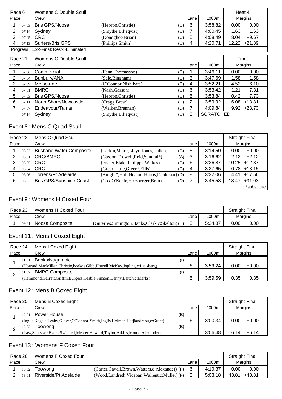| Race 6 |                                        | Womens C Double Scull |                       |     |      |                  |       | Heat 4   |  |
|--------|----------------------------------------|-----------------------|-----------------------|-----|------|------------------|-------|----------|--|
| Place  |                                        | Crew                  |                       |     | Lane | 1000m            |       | Margins  |  |
|        | 07.03                                  | Bris GPS/Noosa        | (Hebron, Christie)    | (C) | 6    | 3:58.82          | 0.00  | $+0.00$  |  |
| 2      | 07.14                                  | Sydney                | (Smythe, Liljeqvist)  | (C) |      | 4:00.45          | 1.63  | $+1.63$  |  |
| 3      | 07.05                                  | <b>CRC</b>            | (Donoghoe, Brian)     | (C) | 5    | 4:08.49          | 8.04  | $+9.67$  |  |
| 4      | 07.13                                  | Surfers/Bris GPS      | (Phillips, Smith)     | (C) | 4    | 4:20.71          | 12.22 | $+21.89$ |  |
|        | Progress: 1,2->Final; Rest->Eliminated |                       |                       |     |      |                  |       |          |  |
|        | Race 21<br>Womens C Double Scull       |                       |                       |     |      | Final            |       |          |  |
| Place  |                                        | Crew                  |                       |     | Lane | 1000m            |       | Margins  |  |
|        | 07.06                                  | Commercial            | (Fenn, Thomasson)     | (C) |      | 3:46.11          | 0.00  | $+0.00$  |  |
| 2      | 07.04                                  | Bunbury/ANA           | (Sale, Bingham)       | (C) | 3    | 3:47.69          | 1.58  | $+1.58$  |  |
| 3      | 07.09                                  | Melbourne             | (O'Connor, Nishibata) | (C) | 4    | 3:52.21          | 4.52  | $+6.10$  |  |
| 4      | 07.01                                  | <b>BMRC</b>           | (Nash, Gasson)        | (C) | 6    | 3:53.42          | 1.21  | $+7.31$  |  |
| 5      | 07.03                                  | <b>Bris GPS/Noosa</b> | (Hebron, Christie)    | (C) | 5    | 3:53.84          | 0.42  | $+7.73$  |  |
| 6      | 07.11                                  | North Shore/Newcastle | (Cragg, Brew)         | (C) | 2    | 3:59.92          | 6.08  | $+13.81$ |  |
| 7      | 07.07                                  | Endeavour/Tamar       | (Walker,Brennan)      | (D) | 7    | 4:09.84          | 9.92  | $+23.73$ |  |
|        | 07.14                                  | Sydney                | (Smythe,Liljeqvist)   | (C) | 8    | <b>SCRATCHED</b> |       |          |  |

# Event 8 : Mens C Quad Scull

|       | Mens C Quad Scull<br>Race 22<br><b>Straight Final</b> |                                 |                                              |     |      |         |                   |
|-------|-------------------------------------------------------|---------------------------------|----------------------------------------------|-----|------|---------|-------------------|
| Place |                                                       | Crew                            |                                              |     | Lane | 1000m   | Margins           |
|       | 08.03                                                 | <b>Brisbane Water Composite</b> | (Larkin, Major, Lloyd Jones, Cullen)         | (C) | 5    | 3:14.50 | $+0.00$<br>0.00   |
|       | 08.01                                                 | <b>CRC/BMRC</b>                 | (Gasson, Trowell, Reid, Sandral*)            | (A) | 3    | 3:16.62 | $+2.12$<br>2.12   |
|       | 08.05                                                 | <b>CRC</b>                      | (Fisher, Blake, Philippa, Wilkes)            | (C) | 6    | 3:26.87 | $+12.37$<br>10.25 |
|       | 08.04                                                 | <b>CRC</b>                      | (Greer, Little, Greer*, Ellis)               | (C) | 4    | 3:27.65 | $+13.15$<br>0.78  |
| 5     | 08.06                                                 | Torrens/Pt Adelaide             | (Knight*, Holt, Heaton-Harris, Dankbaar) (D) |     | 8    | 3:32.06 | +17.56<br>4.41    |
| 6     | 08.02                                                 | <b>Bris GPS/Sunshine Coast</b>  | (Cox, O'Keefe, Holzberger, Brett)            | (D) |      | 3:45.53 | $+31.03$<br>13.47 |
|       |                                                       |                                 |                                              |     |      |         | *substitute       |

### Event 9 : Womens H Coxed Four

| Race 23 |       | Womens H Coxed Four |                                                     |      |         | <b>Straight Final</b> |         |
|---------|-------|---------------------|-----------------------------------------------------|------|---------|-----------------------|---------|
| Place   |       | Crew                |                                                     | Lane | 1000m   | Margins               |         |
|         | 09.01 | Noosa Composite     | (Guterres, Simington, Banks, Clark, c: Skelton) (H) |      | 5:24.87 | 0.00                  | $+0.00$ |

### Event 11 : Mens I Coxed Eight

| Race 24 |       | Mens I Coxed Eight                                                               |      |         | <b>Straight Final</b> |         |
|---------|-------|----------------------------------------------------------------------------------|------|---------|-----------------------|---------|
| Place   |       | Crew                                                                             | Lane | 1000m   |                       | Margins |
|         | 11.01 | Banks/Nagambie<br>(1)                                                            |      |         |                       |         |
|         |       | (Howard, MacMillan, Christie, koekoe, Gibb, Howell, McKay, Jopling, c: Lausberg) | 6    | 3:59.24 | 0.00                  | $+0.00$ |
|         | 11.02 | <b>BMRC Composite</b><br>(1)                                                     |      |         |                       |         |
|         |       | (Hammond, Garrett, Griffin, Burgess, Keable, Simson, Denny, Leitch, c: Marks)    | đ    | 3:59.59 | 0.35                  | $+0.35$ |

# Event 12 : Mens B Coxed Eight

| Race 25       |       | Mens B Coxed Eight                                                                      |      |         | <b>Straight Final</b> |         |
|---------------|-------|-----------------------------------------------------------------------------------------|------|---------|-----------------------|---------|
| <b>IPlace</b> |       | Crew                                                                                    | Lane | 1000m   |                       | Margins |
|               | 12.01 | Power House<br>(B)                                                                      |      |         |                       |         |
|               |       | (Inglis, Kegele, Leahy, Glover, O'Connor-Smith, Inglis, Holman, Hatjiandreou, c: Grant) | 6    | 3:00.34 | 0.00                  | $+0.00$ |
|               | 12.02 | (B)<br>Toowong                                                                          |      |         |                       |         |
|               |       | (Law, Schryver, Evers-Swindell, Mercer, Howard, Taylor, Atkins, Mott, c: Alexander)     | 5    | 3:06.48 |                       | $+6.14$ |

## Event 13 : Womens F Coxed Four

| Race 26<br>Womens F Coxed Four                                                 |       |         |                                               |       | <b>Straight Final</b> |         |         |
|--------------------------------------------------------------------------------|-------|---------|-----------------------------------------------|-------|-----------------------|---------|---------|
| <b>IPlace</b>                                                                  |       | Crew    |                                               | Lane  | 1000m                 | Margins |         |
|                                                                                | 13.02 | Toowong | (Carter,Cavell,Brown,Watters,c:Alexander) (F) |       | 4:19.37               | 0.00    | $+0.00$ |
| Riverside/Pt Adelaide<br>(Wood,Landreth,Viceban,Wallent,c:Muller) (F)<br>13.01 |       |         | 5:03.18                                       | 43.81 | $+43.81$              |         |         |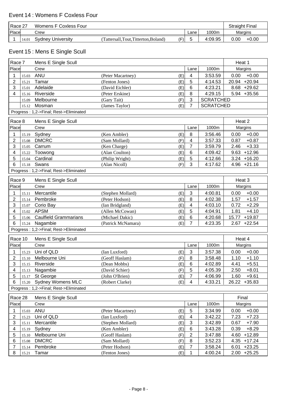| l Race 27 |       | Womens F Coxless Four |                                    |     |      |         | Straight Final |         |
|-----------|-------|-----------------------|------------------------------------|-----|------|---------|----------------|---------|
| Place     |       | Crew                  |                                    |     | Lane | 1000m   | Margins        |         |
|           | 14.01 | Sydney University     | (Tattersall,Tout,Titterton,Boland) | (F) |      | 4:09.95 | 0.00           | $+0.00$ |

# Event 15 : Mens E Single Scull

| Race 7         |       | Mens E Single Scull                    |                                    |            |                |                    | Heat 1                       |
|----------------|-------|----------------------------------------|------------------------------------|------------|----------------|--------------------|------------------------------|
| Place          |       | Crew                                   |                                    |            | Lane           | 1000m              | Margins                      |
| 1              | 15.03 | <b>ANU</b>                             | (Peter Macartney)                  | (E)        | 4              | 3:53.59            | $+0.00$<br>0.00              |
| $\overline{2}$ | 15.21 | Tamar                                  | (Fenton Jones)                     | (E)        | 5              | 4:14.53            | 20.94 +20.94                 |
| 3              | 15.01 | Adelaide                               | (David Eichler)                    | (E)        | 6              | 4:23.21            | 8.68 +29.62                  |
| 4              | 15.16 | Riverside                              | (Peter Erskine)                    | (E)        | 8              | 4:29.15            | 5.94 +35.56                  |
|                | 15.09 | Melbourne                              | (Gary Tait)                        | (F)        | 3              | <b>SCRATCHED</b>   |                              |
|                | 15.12 | Mosman                                 | (James Taylor)                     | (E)        | $\overline{7}$ | <b>SCRATCHED</b>   |                              |
|                |       | Progress: 1,2->Final; Rest->Eliminated |                                    |            |                |                    |                              |
| Race 8         |       | Mens E Single Scull                    |                                    |            |                |                    | Heat 2                       |
| Place          |       | Crew                                   |                                    |            | Lane           | 1000m              | Margins                      |
| 1              | 15.19 | Sydney                                 | (Ken Ambler)                       | (E)        | $\, 8$         | 3:56.46            | 0.00<br>$+0.00$              |
| $\overline{2}$ | 15.08 | <b>DMCRC</b>                           | (Sam Mollard)                      | (F)        | 4              | 3:57.33            | 0.87<br>$+0.87$              |
| 3              | 15.05 | Carrum                                 | (Ken Charge)                       | (E)        | $\overline{7}$ | 3:59.79            | $+3.33$<br>2.46              |
| 4              | 15.22 | Toowong                                | (Alan Coulton)                     | (E)        | 6              | 4:09.42            | $9.63 + 12.96$               |
| 5              | 15.04 | Cardinal                               | (Philip Wright)                    | (E)        | 5              | 4:12.66            | $3.24 + 16.20$               |
| 6              | 15.18 | Swans                                  | (Alan Nicoll)                      | (F)        | 3              | 4:17.62            | $4.96 +21.16$                |
|                |       | Progress: 1,2->Final; Rest->Eliminated |                                    |            |                |                    |                              |
| Race 9         |       | Mens E Single Scull                    |                                    |            |                |                    | Heat 3                       |
| Place          |       | Crew                                   |                                    |            | Lane           | 1000m              | Margins                      |
| 1              |       | Mercantile                             | (Stephen Mollard)                  |            | 3              | 4:00.81            | $+0.00$<br>0.00              |
| $\overline{2}$ | 15.11 | Pembroke                               | (Peter Hodson)                     | (E)<br>(E) | 8              | 4:02.38            | $+1.57$<br>1.57              |
| 3              | 15.14 | Corio Bay                              |                                    | (E)        | 4              | 4:03.10            | $+2.29$<br>0.72              |
|                | 15.07 | <b>APSM</b>                            | (Ian Bridgland)<br>(Allen McCowan) |            | 5              |                    | 1.81                         |
| 4<br>5         | 15.02 | <b>Caulfield Grammarians</b>           | (Michael Dakic)                    | (E)<br>(E) | 6              | 4:04.91<br>4:20.68 | $+4.10$<br>$+19.87$<br>15.77 |
| 6              | 15.06 | Nagambie                               |                                    |            | 7              | 4:23.35            | 2.67<br>$+22.54$             |
|                | 15.24 | Progress: 1,2->Final; Rest->Eliminated | (Patrick McNamara)                 | (E)        |                |                    |                              |
|                |       |                                        |                                    |            |                |                    |                              |
| Race 10        |       | Mens E Single Scull                    |                                    |            |                |                    | Heat 4                       |
| Place          |       | Crew                                   |                                    |            | Lane           | 1000m              | Margins                      |
| 1              | 15.23 | Uni of QLD                             | (Ian Luxford)                      | (E)        | 3              | 3:57.38            | 0.00<br>$+0.00$              |
| 2              | 15.10 | Melbourne Uni                          | (Geoff Haslam)                     | (F)        | 8              | 3:58.48            | 1.10<br>$+1.10$              |
| 3              | 15.15 | Riverside                              | (Dean Mobbs)                       | (E)        | 6              | 4:02.89            | 4.41<br>$+5.51$              |
| 4              |       | 15.13 Nagambie                         | (David Schier)                     | (F)        | 5              | 4:05.39            | 2.50<br>$+8.01$              |
| 5              |       | 15.17 St George                        | (John O'Brien)                     | (E)        | $\overline{7}$ | 4:06.99            | $+9.61$<br>1.60              |
| 6              |       | 15.20 Sydney Womens MLC                | (Robert Clarke)                    | (E)        | 4              | 4:33.21            | 26.22 +35.83                 |
|                |       | Progress: 1,2->Final; Rest->Eliminated |                                    |            |                |                    |                              |
| Race 28        |       | Mens E Single Scull                    |                                    |            |                |                    | Final                        |
| Place          |       | Crew                                   |                                    |            | Lane           | 1000m              | Margins                      |
| 1              | 15.03 | ANU                                    | (Peter Macartney)                  | (E)        | 5              | 3:34.99            | $+0.00$<br>0.00              |
| $\overline{c}$ | 15.23 | Uni of QLD                             | (Ian Luxford)                      | (E)        | 4              | 3:42.22            | 7.23<br>$+7.23$              |
| 3              | 15.11 | Mercantile                             | (Stephen Mollard)                  | (E)        | 3              | 3:42.89            | 0.67<br>$+7.90$              |
| 4              | 15.19 | Sydney                                 | (Ken Ambler)                       | (E)        | 6              | 3:43.28            | 0.39<br>$+8.29$              |
| 5              | 15.10 | Melbourne Uni                          | (Geoff Haslam)                     | (F)        | $\overline{2}$ | 3:47.88            | 4.60<br>$+12.89$             |
| 6              | 15.08 | <b>DMCRC</b>                           | (Sam Mollard)                      | (F)        | 8              | 3:52.23            | 4.35 +17.24                  |
| 7              | 15.14 | Pembroke                               | (Peter Hodson)                     | (E)        | 7              | 3:58.24            | 6.01<br>$+23.25$             |
| 8              | 15.21 | Tamar                                  | (Fenton Jones)                     | (E)        | 1              | 4:00.24            | $2.00 +25.25$                |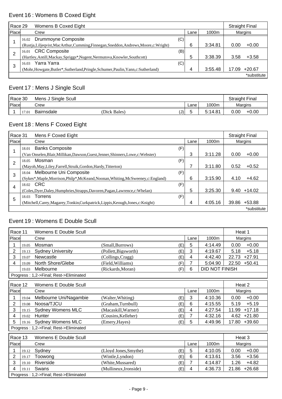# Event 16 : Womens B Coxed Eight

| Race 29      | Womens B Coxed Eight                                                                |     |      |         |       |             |  |
|--------------|-------------------------------------------------------------------------------------|-----|------|---------|-------|-------------|--|
| <b>Place</b> | Crew                                                                                |     | Lane | 1000m   |       | Margins     |  |
|              | Drummoyne Composite<br>16.02                                                        | (C) |      |         |       |             |  |
|              | (Rustja,Liljeqvist,MacArthur,Cumming,Finnegan,Sneddon,Andrews,Moore,c:Wright)       |     | 6    | 3:34.81 | 0.00  | $+0.00$     |  |
| っ            | <b>CRC Composite</b><br>16.01                                                       | (B) |      |         |       |             |  |
|              | (Hartley, Antill, Mackay, Spriggs*, Nugent, Nermutova, Knowler, Southcott)          |     | 5    | 3:38.39 | 3.58  | $+3.58$     |  |
| 3            | Yarra Yarra<br>16.03                                                                | (C) |      |         |       |             |  |
|              | (Mohr, Howgate, Butler*, Sutherland, Pringle, Schumer, Paulin, Yann, c: Sutherland) |     | 4    | 3:55.48 | 17.09 | $+20.67$    |  |
|              |                                                                                     |     |      |         |       | *substitute |  |

# Event 17 : Mens J Single Scull

|       | Race 30<br>Mens J Single Scull |            |              |     | <b>Straight Final</b> |         |      |                |
|-------|--------------------------------|------------|--------------|-----|-----------------------|---------|------|----------------|
| Place |                                | Crew       |              |     | Lane                  | 1000m   |      | <b>Margins</b> |
|       | 17.01                          | Bairnsdale | (Dick Bales) | (J) |                       | 5:14.81 | 0.00 | $+0.00$        |

# Event 18 : Mens F Coxed Eight

| Race 31 | Mens F Coxed Eight                                                                |     |      |         |       | <b>Straight Final</b> |
|---------|-----------------------------------------------------------------------------------|-----|------|---------|-------|-----------------------|
| Place   | Crew                                                                              |     | Lane | 1000m   |       | Margins               |
|         | <b>Banks Composite</b><br>18.01                                                   | (F) |      |         |       |                       |
|         | (Van Onselen, Blair, Millikan, Dawson, Guest, Jenner, Shinners, Lowe, c: Webster) |     | 3    | 3:11.28 | 0.00  | $+0.00$               |
| 2       | Mosman<br>18.05                                                                   | (F) |      |         |       |                       |
|         | (Mayoh, May, Liley, Farrell, Struik, Gordon, Hardy, Titterton)                    |     |      | 3:11.80 | 0.52  | $+0.52$               |
| 3       | Melbourne Uni Composite<br>18.04                                                  | (F) |      |         |       |                       |
|         | (Sykes*,Maple,Morrison,Philp*,McKeand,Noonan,Whiting,McSweeney,c:England)         |     | 6    | 3:15.90 | 4.10  | $+4.62$               |
| 4       | 18.02 CRC                                                                         | (F) |      |         |       |                       |
|         | (Coles, Dyer, Daley, Humphries, Strapps, Davoren, Pagan, Lawrence, c: Whelan)     |     | 5    | 3:25.30 | 9.40  | $+14.02$              |
| 5       | Torrens<br>18.03                                                                  | (F) |      |         |       |                       |
|         | (Mitchell, Carey, Magarey, Tonkin, Curkpatrick, Lippis, Keough, Jones, c: Knight) |     | 4    | 4:05.16 | 39.86 | $+53.88$              |
|         |                                                                                   |     |      |         |       | *substitute           |

### Event 19 : Womens E Double Scull

| Race 11<br>Womens E Double Scull<br>Heat 1 |       |                                        |                              |      |                       |                   |  |
|--------------------------------------------|-------|----------------------------------------|------------------------------|------|-----------------------|-------------------|--|
| Place                                      |       | Crew                                   |                              | Lane | 1000m                 | Margins           |  |
|                                            | 19.05 | Mosman                                 | (Small, Burrows)<br>(E)      | 5    | 4:14.49               | $+0.00$<br>0.00   |  |
| 2                                          |       |                                        |                              | 3    |                       | 5.18<br>$+5.18$   |  |
|                                            | 19.13 | <b>Sydney University</b>               | (Pollett, Bigsworth)<br>(E)  |      | 4:19.67               |                   |  |
| 3                                          | 19.07 | Newcastle                              | (Collings, Cragg)<br>(E)     | 4    | 4:42.40               | $+27.91$<br>22.73 |  |
| 4                                          | 19.09 | North Shore/Glebe                      | (Field, Williams)<br>(F)     | 7    | 5:04.90               | 22.50<br>$+50.41$ |  |
|                                            | 19.03 | Melbourne                              | (Rickards, Moran)<br>(F)     | 6    | <b>DID NOT FINISH</b> |                   |  |
|                                            |       | Progress: 1,2->Final; Rest->Eliminated |                              |      |                       |                   |  |
| Race 12                                    |       | Womens E Double Scull                  |                              |      |                       | Heat 2            |  |
| Place                                      |       | Crew                                   |                              | Lane | 1000m                 | <b>Margins</b>    |  |
|                                            | 19.04 | Melbourne Uni/Nagambie                 | (Walter, Whiting)<br>(E)     | 3    | 4:10.36               | $+0.00$<br>0.00   |  |
| $\overline{2}$                             | 19.08 | Noosa/TJCU                             | (Graham, Turnbull)<br>(E)    | 6    | 4:15.55               | $+5.19$<br>5.19   |  |
| 3                                          | 19.15 | <b>Sydney Womens MLC</b>               | (Macaskill, Warner)<br>(E)   | 4    | 4:27.54               | $+17.18$<br>11.99 |  |
| 4                                          | 19.02 | Hunter                                 | (Cousins, Kelleher)<br>(E)   | 7    | 4:32.16               | 4.62<br>$+21.80$  |  |
| 5                                          | 19.16 | <b>Sydney Womens MLC</b>               | (Emery, Hayes)<br>(E)        | 5    | 4:49.96               | $+39.60$<br>17.80 |  |
|                                            |       | Progress: 1,2->Final; Rest->Eliminated |                              |      |                       |                   |  |
| Race 13                                    |       | Womens E Double Scull                  |                              |      |                       | Heat 3            |  |
| Place                                      |       | Crew                                   |                              | Lane | 1000m                 | Margins           |  |
|                                            | 19.12 | Sydney                                 | (E)<br>(Lloyd Jones, Smythe) | 5    | 4:10.05               | $+0.00$<br>0.00   |  |
| 2                                          | 19.17 | Toowong                                | (E)<br>(Wintle, Lyndon)      | 6    | 4:13.61               | 3.56<br>$+3.56$   |  |
| 3                                          | 19.10 | Riverside                              | (White, Mussared)<br>(E)     | 7    | 4:14.87               | $+4.82$<br>1.26   |  |
| 4                                          | 19.11 | Swans                                  | (Mullineux, Ironside)<br>(E) | 4    | 4:36.73               | 21.86<br>$+26.68$ |  |
|                                            |       | Progress: 1,2->Final; Rest->Eliminated |                              |      |                       |                   |  |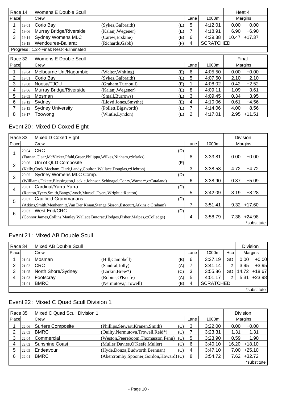| Womens E Double Scull<br>Race 14 |                                                                                 |                               |                    |      |      | Heat 4  |       |          |  |
|----------------------------------|---------------------------------------------------------------------------------|-------------------------------|--------------------|------|------|---------|-------|----------|--|
| Place                            |                                                                                 | Crew                          |                    |      | Lane | 1000m   |       | Margins  |  |
|                                  | 19.01                                                                           | Corio Bay                     | (Sykes, Galbraith) | 'E). | 5    | 4:12.01 | 0.00  | $+0.00$  |  |
| 2                                |                                                                                 | 19.06 Murray Bridge/Riverside | (Kalanj, Wegener)  | (E)  |      | 4:18.91 | 6.90  | $+6.90$  |  |
| 3                                |                                                                                 | 19.14 Sydney Womens MLC       | (Carew, Erskine)   | (E)  | 6    | 4:29.38 | 10.47 | $+17.37$ |  |
|                                  | <b>SCRATCHED</b><br>Wendouree-Ballarat<br>(F)<br>(Richards, Gabb)<br>4<br>19.18 |                               |                    |      |      |         |       |          |  |
|                                  | Progress: 1,2->Final; Rest->Eliminated                                          |                               |                    |      |      |         |       |          |  |

| Race 32 |       | Womens E Double Scull    |                       |     |      |         |      | Final    |  |
|---------|-------|--------------------------|-----------------------|-----|------|---------|------|----------|--|
| Place   |       | Crew                     |                       |     | Lane | 1000m   |      | Margins  |  |
|         | 19.04 | Melbourne Uni/Nagambie   | (Walter, Whiting)     | (E) | 6    | 4:05.50 | 0.00 | $+0.00$  |  |
| 2       | 19.01 | Corio Bay                | (Sykes, Galbraith)    | (E) | 5    | 4:07.60 | 2.10 | $+2.10$  |  |
| 3       | 19.08 | Noosa/TJCU               | (Graham, Turnbull)    | (E) |      | 4:08.02 | 0.42 | $+2.52$  |  |
| 4       | 19.06 | Murray Bridge/Riverside  | (Kalanj, Wegener)     | (E) | 8    | 4:09.11 | 1.09 | $+3.61$  |  |
| 5       | 19.05 | Mosman                   | (Small, Burrows)      | (E) | 3    | 4:09.45 | 0.34 | $+3.95$  |  |
| 6       | 19.12 | Sydney                   | (Lloyd Jones, Smythe) | (E) | 4    | 4:10.06 | 0.61 | $+4.56$  |  |
|         | 19.13 | <b>Sydney University</b> | (Pollett, Bigsworth)  | (E) |      | 4:14.06 | 4.00 | $+8.56$  |  |
| 8       | 19.17 | Toowong                  | (Wintle, Lyndon)      | (E) | 2    | 4:17.01 | 2.95 | $+11.51$ |  |

## Event 20 : Mixed D Coxed Eight

| Race 33        |       | Mixed D Coxed Eight                                                                      |     |      |         |      | <b>Division</b> |
|----------------|-------|------------------------------------------------------------------------------------------|-----|------|---------|------|-----------------|
| Place          |       | Crew                                                                                     |     | Lane | 1000m   |      | Margins         |
|                |       | 20.04 CRC                                                                                | (D) |      |         |      |                 |
|                |       | (Farnan, Clear, McVicker, Pfahl, Greer, Philippa, Wilkes, Ninham, c: Marks)              |     | 8    | 3:33.81 | 0.00 | $+0.00$         |
| $\overline{2}$ |       | 20.06 Uni of QLD Composite                                                               | (E) |      |         |      |                 |
|                |       | (Kelly,Cook,Mecham,Clark,Landy,Coulton,Wallace,Douglas,c:Hebron)                         |     | 3    | 3:38.53 | 4.72 | $+4.72$         |
| 3              | 20.05 | Sydney Womens MLC Comp.                                                                  | (D) |      |         |      |                 |
|                |       | (Williams, Fekete, Blessington, Leckie, Johnson, Schinagel, Conry, Warner*, c: Catalano) |     | 6    | 3:38.90 | 0.37 | $+5.09$         |
| 4              | 20.01 | Cardinal/Yarra Yarra                                                                     | (D) |      |         |      |                 |
|                |       | (Renton, Tyers, Smith, Bangs, Lynch, Mursell, Tyers, Wright, c: Renton)                  |     | 5    | 3:42.09 | 3.19 | $+8.28$         |
| 5              | 20.02 | <b>Caulfield Grammarians</b>                                                             | (D) |      |         |      |                 |
|                |       | (Atkins, Smith, Menhennitt, Van Der Kraan, Stange, Sisson, Estcourt, Atkins, c: Graham)  |     | 7    | 3:51.41 | 9.32 | $+17.60$        |
| 6              | 20.03 | West End/CRC                                                                             | (D) |      |         |      |                 |
|                |       | (Connor, James, Collins, Manley Wallace, Butorac, Hodges, Fisher, Malpas, c: Colledge)   |     | 4    | 3:58.79 | 7.38 | $+24.98$        |
|                |       |                                                                                          |     |      |         |      | *substitute     |

## Event 21 : Mixed AB Double Scull

|       | Race 34<br>Mixed AB Double Scull |                    |                      |     |      |                  | <b>Division</b> |      |              |
|-------|----------------------------------|--------------------|----------------------|-----|------|------------------|-----------------|------|--------------|
| Place |                                  | Crew               |                      |     | Lane | 1000m            | Hcp             |      | Margins      |
|       | 21.04                            | Mosman             | (Hill, Campbell)     | (B) | 6    | 3:37.19          | GO              | 0.00 | $+0.00$      |
|       | 21.02                            | <b>CRC</b>         | (Sandral, Jolly)     | (A) |      | 3:41.14          | 2               | 3.95 | $+3.95$      |
|       | 21.05                            | North Shore/Sydney | $(Larkin, Brew*)$    | (C) | 3    | 3:55.86          | GO              |      | 14.72 +18.67 |
| 4     | 21.03                            | Footscray          | (Robins, O'Keefe)    | (A) | 5    | 4:01.17          | 2               | 5.31 | +23.98       |
|       | 21.01                            | <b>BMRC</b>        | (Nermutova, Trowell) | (B) | 4    | <b>SCRATCHED</b> |                 |      |              |
|       |                                  |                    |                      |     |      |                  |                 |      | *substitute  |

# Event 22 : Mixed C Quad Scull Division 1

| Race 35 |       | Mixed C Quad Scull Division 1 |                                           |                |      |         |       | <b>Division</b> |
|---------|-------|-------------------------------|-------------------------------------------|----------------|------|---------|-------|-----------------|
| Place   |       | Crew                          |                                           |                | Lane | 1000m   |       | Margins         |
|         | 22.06 | <b>Surfers Composite</b>      | (Phillips, Stewart, Kranen, Smith)        | $^{\prime}$ C) | 3    | 3:22.00 | 0.00  | $+0.00$         |
|         | 22.03 | <b>BMRC</b>                   | (Quilty, Nermutova, Trowell, Reid*)       | (C)            |      | 3:23.31 | 1.31  | $+1.31$         |
| 3       | 22.04 | Commercial                    | (Weston, Peereboom, Thomasson, Fenn)      | (C)            | 5    | 3:23.90 | 0.59  | $+1.90$         |
|         | 22.02 | <b>Sunshine Coast</b>         | (Muller, Davies, O'Keefe, Muller)         | (C)            | 6    | 3:40.10 | 16.20 | $+18.10$        |
| b       | 22.05 | Endeavour                     | (Hyde, Donza, Budworth, Brennan)          | (C)            | 4    | 3:47.10 | 7.00  | $+25.10$        |
| 6       | 22.01 | <b>BMRC</b>                   | (Abercromby, Spooner, Gordon, Howard) (C) |                | 8    | 3:54.72 | 7.62  | $+32.72$        |
|         |       |                               |                                           |                |      |         |       | *substitute     |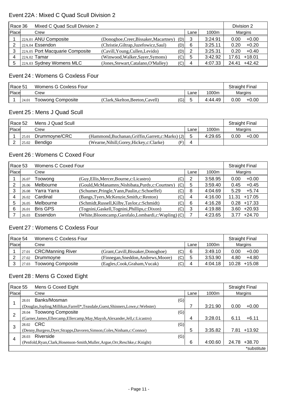#### Event 22A : Mixed C Quad Scull Division 2

|       | Race 36<br>Mixed C Quad Scull Division 2 |                                        |     |      |         |       | Division 2 |  |
|-------|------------------------------------------|----------------------------------------|-----|------|---------|-------|------------|--|
| Place | Crew                                     |                                        |     | Lane | 1000m   |       | Margins    |  |
|       | 22A.01 ANU Composite                     | (Donoghoe, Creer, Bissaker, Macartney) | (D) | 3    | 3:24.91 | 0.00  | $+0.00$    |  |
|       | 22A.04 Essendon                          | (Christie, Giltrap, Juzefowicz, Saul)  | (D) | 6    | 3:25.11 | 0.20  | $+0.20$    |  |
|       | 22A.05 Port Macquarie Composite          | (Cavill, Young, Cullen, Levido)        | (D) |      | 3:25.31 | 0.20  | $+0.40$    |  |
|       | $22A.02$ Tamar                           | (Winwood, Walker, Sayer, Symons)       | (C) | 5    | 3:42.92 | 17.61 | $+18.01$   |  |
|       | 22A.03 Sydney Womens MLC                 | (Jones, Stewart, Catalano, O'Malley)   | (C) | 4    | 4:07.33 | 24.41 | $+42.42$   |  |

#### Event 24 : Womens G Coxless Four

|       | I Race 51<br>Womens G Coxless Four |                   |                               |     | <b>Straight Final</b> |         |         |         |
|-------|------------------------------------|-------------------|-------------------------------|-----|-----------------------|---------|---------|---------|
| Place |                                    | Crew              |                               |     | Lane                  | 1000m   | Margins |         |
|       | 24.01                              | Toowong Composite | (Clark.Skelton.Beeton.Cavell) | (G) |                       | 4:44.49 | 0.00    | $+0.00$ |

#### Event 25 : Mens J Quad Scull

|       | Mens J Quad Scull<br>Race 52 |               |                                                     |      |         |                | <b>Straight Final</b> |
|-------|------------------------------|---------------|-----------------------------------------------------|------|---------|----------------|-----------------------|
| Place |                              | Crew          |                                                     | Lane | 1000m   | <b>Margins</b> |                       |
|       | 25.01                        | Drummoyne/CRC | (Hammond, Buchanan, Griffin, Garrett, c: Marks) (J) |      | 4:29.65 | 0.00           | $+0.00$               |
|       | 25.02                        | Bendigo       | (F)<br>(Wearne, Nihill, Gorey, Hickey, c: Clarke)   | 4    |         |                |                       |

#### Event 26 : Womens C Coxed Four

|       | Womens C Coxed Four<br>Race53 |                 |                                                        |     |      | <b>Straight Final</b> |                   |
|-------|-------------------------------|-----------------|--------------------------------------------------------|-----|------|-----------------------|-------------------|
| Place |                               | Crew            |                                                        |     | Lane | 1000m                 | Margins           |
|       | 26.07                         | Toowong         | (Guy, Ellis, Mercer, Bourne, c: Licastro)              | (C) | 2    | 3:58.95               | $+0.00$<br>0.00   |
|       | 26.06                         | Melbourne       | (Gould, McManamny, Nishibata, Purdy, c: Courtney)      | (C) | 5    | 3:59.40               | $+0.45$<br>0.45   |
| 3     | 26.08                         | Yarra Yarra     | (Schumer, Pringle, Yann, Paulin, c: Schoeffel)         | (C) | 8    | 4:04.69               | $+5.74$<br>5.29   |
|       | 26.02                         | Cardinal        | (Bangs, Tyers, McKenzie, Smith, c: Renton)             | (C) | 4    | 4:16.00               | $+17.05$<br>11.31 |
| 5     | 26.05                         | Melbourne       | (Schmidt, Russell, Kilby, Taylor, c: Schmidt)          | (C) | 6    | 4:16.28               | $+17.33$<br>0.28  |
| 6     | 26.01                         | <b>Bris GPS</b> | (Tognini, Gaskell, Tognini, Phillips, c: Dixon)        | (C) | 3    | 4:19.88               | $+20.93$<br>3.60  |
|       | 26.03                         | Essendon        | (White, Bloomcamp, Garofalo, Lombardi, c: Wapling) (C) |     |      | 4:23.65               | $+24.70$<br>3.77  |

### Event 27 : Womens C Coxless Four

|       | Race 54<br>Womens C Coxless Four |                          |                                     |     |      |         |       | <b>Straight Final</b> |
|-------|----------------------------------|--------------------------|-------------------------------------|-----|------|---------|-------|-----------------------|
| Place |                                  | Crew                     |                                     |     | Lane | 1000m   |       | Margins               |
|       | 27.01                            | <b>CRC/Manning River</b> | (Grant, Cavill, Bissaker, Donoghoe) | (C) | 6    | 3:49.10 | 0.00  | $+0.00$               |
|       | 27.02                            | Drummovne                | (Finnegan, Sneddon, Andrews, Moore) | (C) | b    | 3:53.90 | 4.80  | $+4.80$               |
|       | 27.03                            | <b>Toowong Composite</b> | (Eagles, Cook, Graham, Vucak)       | (C) |      | 4:04.18 | 10.28 | $+15.08$              |

### Event 28 : Mens G Coxed Eight

| Race 55        |              | Mens G Coxed Eight                                                                  |   |         |       | <b>Straight Final</b> |
|----------------|--------------|-------------------------------------------------------------------------------------|---|---------|-------|-----------------------|
| <b>Place</b>   | Crew<br>Lane |                                                                                     |   | 1000m   |       | Margins               |
|                | 28.01        | Banks/Mosman<br>(G)                                                                 |   |         |       |                       |
|                |              | (Douglas, Jopling, Millikan, Farrell*, Teasdale, Guest, Shinners, Lowe, c: Webster) |   | 3:21.90 | 0.00  | $+0.00$               |
| $\overline{2}$ | 28.04        | <b>Toowong Composite</b><br>(G)                                                     |   |         |       |                       |
|                |              | (Garner, James, Ellercamp, Ellercamp, May, Mayoh, Alexander, Jell, c: Licastro)     | 4 | 3:28.01 | 6.11  | $+6.11$               |
| 3              |              | 28.02 CRC<br>(G)                                                                    |   |         |       |                       |
|                |              | (Denny, Burgess, Dyer, Strapps, Davoren, Simson, Coles, Ninham, c: Connor)          | 5 | 3:35.82 | 7.81  | +13.92                |
| 4              | 28.03        | Riverside<br>(G)                                                                    |   |         |       |                       |
|                |              | (Penfold, Ryan, Clark, Hosenson-Smith, Muller, Argue, Orr, Reschke, c: Knight)      | 6 | 4:00.60 | 24.78 | +38.70                |
|                |              |                                                                                     |   |         |       | *substitute           |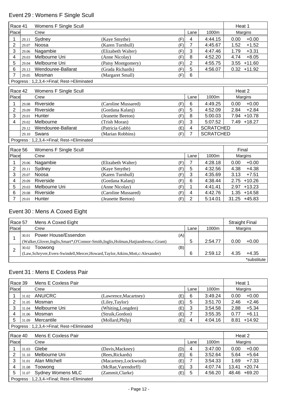# Event 29 : Womens F Single Scull

| Race 41        |       | Womens F Single Scull                      |                            |                |                  | Heat 1           |
|----------------|-------|--------------------------------------------|----------------------------|----------------|------------------|------------------|
| Place          |       | Crew                                       |                            | Lane           | 1000m            | Margins          |
|                | 29.11 | Sydney                                     | (Kaye Smythe)<br>(F)       | $\overline{4}$ | 4:44.15          | $+0.00$<br>0.00  |
| $\overline{2}$ | 29.07 | Noosa                                      | (Karen Turnbull)<br>(F)    | $\overline{7}$ | 4:45.67          | 1.52<br>$+1.52$  |
| 3              | 29.06 | Nagambie                                   | (Elizabeth Walter)<br>(F)  | 3              | 4:47.46          | $+3.31$<br>1.79  |
| 4              | 29.03 | Melbourne Uni                              | (F)<br>(Anne Nicolay)      | 8              | 4:52.20          | $+8.05$<br>4.74  |
| 5              | 29.04 | Melbourne Uni                              | (F)<br>(Patsy Montgomery)  | $\overline{2}$ | 4:55.75          | $+11.60$<br>3.55 |
| 6              | 29.13 | Wendouree-Ballarat                         | (Grada Richards)<br>(F)    | 5              | 4:56.07          | $0.32 + 11.92$   |
| 7              | 29.05 | Mosman                                     | (Margaret Small)<br>(F)    | 6              |                  |                  |
|                |       | Progress: 1,2,3,4->Final; Rest->Eliminated |                            |                |                  |                  |
| Race 42        |       | Womens F Single Scull                      |                            |                |                  | Heat 2           |
| Place          |       | Crew                                       |                            | Lane           | 1000m            | Margins          |
| 1              | 29.08 | Riverside                                  | (Caroline Mussared)<br>(F) | 6              | 4:49.25          | 0.00<br>$+0.00$  |
| $\overline{2}$ | 29.09 | Riverside                                  | (Gordana Kalanj)<br>(F)    | 5              | 4:52.09          | $+2.84$<br>2.84  |
| 3              | 29.01 | Hunter                                     | (Jeanette Beeton)<br>(F)   | 8              | 5:00.03          | 7.94 +10.78      |
| 4              | 29.02 | Melbourne                                  | (Trish Moran)<br>(F)       | 3              | 5:07.52          | 7.49<br>$+18.27$ |
|                | 29.12 | Wendouree-Ballarat                         | (Patricia Gabb)<br>(E)     | 4              | <b>SCRATCHED</b> |                  |
|                | 29.10 | Swans                                      | (Marian Robbins)<br>(F)    | $\overline{7}$ | <b>SCRATCHED</b> |                  |
|                |       | Progress: 1,2,3,4->Final; Rest->Eliminated |                            |                |                  |                  |
| Race 56        |       | Womens F Single Scull                      |                            |                |                  | Final            |
| Place          |       | Crew                                       |                            | Lane           | 1000m            | Margins          |
| 1              | 29.06 | Nagambie                                   | (Elizabeth Walter)<br>(F)  | $\overline{7}$ | 4:28.18          | $+0.00$<br>0.00  |
| $\overline{2}$ | 29.11 | Sydney                                     | (Kaye Smythe)<br>(F)       | 5              | 4:32.56          | $+4.38$<br>4.38  |
| 3              | 29.07 | Noosa                                      | (Karen Turnbull)<br>(F)    | 3              | 4:35.69          | 3.13<br>$+7.51$  |
| 4              | 29.09 | Riverside                                  | (Gordana Kalanj)<br>(F)    | 6              | 4:38.44          | 2.75<br>$+10.26$ |
| 5              | 29.03 | Melbourne Uni                              | (Anne Nicolay)<br>(F)      | 1              | 4:41.41          | $+13.23$<br>2.97 |
| 6              | 29.08 | Riverside                                  | (Caroline Mussared)<br>(F) | 4              | 4:42.76          | 1.35<br>$+14.58$ |
| 7              | 29.01 | <b>Hunter</b>                              | (F)<br>(Jeanette Beeton)   | $\overline{2}$ | 5:14.01          | $31.25 + 45.83$  |

# Event 30 : Mens A Coxed Eight

|              | Race 57<br>Mens A Coxed Eight |                                                                                          |      |         |      | <b>Straight Final</b> |  |
|--------------|-------------------------------|------------------------------------------------------------------------------------------|------|---------|------|-----------------------|--|
| <b>Place</b> |                               | Crew                                                                                     | Lane | 1000m   |      | Margins               |  |
|              | 30.01                         | Power House/Essendon<br>(A)                                                              |      |         |      |                       |  |
|              |                               | (Walker, Glover, Inglis, Smart*, O'Connor-Smith, Inglis, Holman, Hatjiandreou, c: Grant) | 5    | 2:54.77 | 0.00 | $+0.00$               |  |
|              | 30.02                         | (B)<br>Toowong                                                                           |      |         |      |                       |  |
|              |                               | (Law,Schryver,Evers-Swindell,Mercer,Howard,Taylor,Atkins,Mott,c:Alexander)               | 6    | 2:59.12 | 4.35 | $+4.35$               |  |
|              |                               |                                                                                          |      |         |      | *substitute           |  |

## Event 31 : Mens E Coxless Pair

| Mens E Coxless Pair<br>Race 39 |                                            |                       |     |       |         | Heat 1           |  |
|--------------------------------|--------------------------------------------|-----------------------|-----|-------|---------|------------------|--|
| Place<br>Crew<br>Lane          |                                            |                       |     | 1000m | Margins |                  |  |
| 31.02                          | ANU/CRC                                    | (Lawrence, Macartney) | (E) | 6     | 3:49.24 | $+0.00$<br>0.00  |  |
| 31.05                          | Mosman                                     | (Liley, Taylor)       | (E) | 5     | 3:51.70 | $+2.46$<br>2.46  |  |
| 31.04                          | Melbourne Uni                              | (Whiting,Longden)     | (E) | 3     | 3:54.58 | 2.88<br>$+5.34$  |  |
| 31.06                          | Mosman                                     | (Struik, Gordon)      | (E) |       | 3:55.35 | $+6.11$<br>0.77  |  |
| 31.09                          | Mercantile                                 | (Mollard, Philp)      | (E) | 4     | 4:04.16 | $+14.92$<br>8.81 |  |
|                                | Progress: 1,2,3,4->Final; Rest->Eliminated |                       |     |       |         |                  |  |

| Race 40 |       | Mens E Coxless Pair                        |                       |     |      |         |       | Heat 2       |  |
|---------|-------|--------------------------------------------|-----------------------|-----|------|---------|-------|--------------|--|
| Place   |       | Crew                                       |                       |     | Lane | 1000m   |       | Margins      |  |
|         | 31.03 | Glebe                                      | (Davis, Mackney)      | (D) | 4    | 3:47.00 | 0.00  | $+0.00$      |  |
|         | 31.10 | Melbourne Uni                              | (Rees, Rickards)      | (E) | 6    | 3:52.64 | 5.64  | $+5.64$      |  |
|         | 31.01 | Alan Mitchell                              | (Macartney, Lockwood) | (E) |      | 3:54.33 | 1.69  | $+7.33$      |  |
| 4       | 31.08 | Toowong                                    | (McRae, Varendorff)   | (E) | 3    | 4:07.74 | 13.41 | $+20.74$     |  |
| 5       |       | 31.07 Sydney Womens MLC                    | (Zammit,Clarke)       | (E) | 5    | 4:56.20 |       | 48.46 +69.20 |  |
|         |       | Progress: 1,2,3,4->Final; Rest->Eliminated |                       |     |      |         |       |              |  |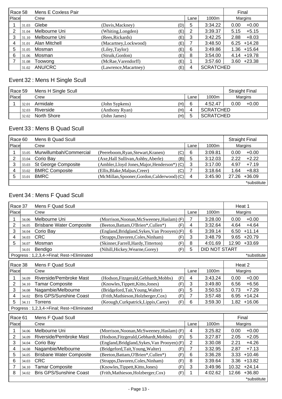| Race 58 |       | Mens E Coxless Pair |                       |     |      |                  | Final            |
|---------|-------|---------------------|-----------------------|-----|------|------------------|------------------|
| Place   |       | Crew                |                       |     | Lane | 1000m            | Margins          |
|         | 31.03 | Glebe               | (Davis, Mackney)      | (D) | 5    | 3:34.22          | $+0.00$<br>0.00  |
| 2       | 31.04 | Melbourne Uni       | (Whiting,Longden)     | (E) | 2    | 3:39.37          | $+5.15$<br>5.15  |
| 3       | 31.10 | Melbourne Uni       | (Rees, Rickards)      | (E) | 3    | 3:42.25          | 2.88<br>$+8.03$  |
| 4       | 31.01 | Alan Mitchell       | (Macartney, Lockwood) | (E) |      | 3:48.50          | $6.25 + 14.28$   |
| 5       | 31.05 | Mosman              | (Liley, Taylor)       | (E) | 6    | 3:49.86          | $1.36 + 15.64$   |
| 6       | 31.06 | Mosman              | (Struik, Gordon)      | (E) | 8    | 3:54.00          | $4.14 + 19.78$   |
|         | 31.08 | Toowong             | (McRae, Varendorff)   | (E) |      | 3:57.60          | $+23.38$<br>3.60 |
|         | 31.02 | ANU/CRC             | (Lawrence, Macartney) | (E) | 4    | <b>SCRATCHED</b> |                  |

# Event 32 : Mens H Single Scull

| Race 59       |       | Mens H Single Scull |                |     |      |                  | <b>Straight Final</b> |         |
|---------------|-------|---------------------|----------------|-----|------|------------------|-----------------------|---------|
| <b>IPlace</b> |       | Crew                |                |     | Lane | 1000m            | Margins               |         |
|               | 32.01 | Armidale            | (John Sypkens) | (H) | 6    | 4:52.47          | 0.00                  | $+0.00$ |
|               | 32.03 | Riverside           | (Anthony Ryan) | (H) | 4    | <b>SCRATCHED</b> |                       |         |
|               | 32.02 | North Shore         | (John James)   | (H) | 5    | <b>SCRATCHED</b> |                       |         |

### Event 33 : Mens B Quad Scull

| Race 60 |       | Mens B Quad Scull       |                                              |          |         |       | <b>Straight Final</b> |
|---------|-------|-------------------------|----------------------------------------------|----------|---------|-------|-----------------------|
| Place   |       | Crew                    |                                              | Lane     | 1000m   |       | Margins               |
|         | 33.05 | Murwillumbah/Commercial | (Peereboom, Ryan, Stewart, Kranen)           | 6<br>(C) | 3:09.81 | 0.00  | $+0.00$               |
| າ       | 33.04 | Corio Bay               | (Axe, Hall Sullivan, Ashby, Aberle)          | (B)<br>5 | 3:12.03 | 2.22  | $+2.22$               |
|         | 33.03 | St George Composite     | (Ambler, Lloyd Jones, Major, Henderson*) (C) | 3        | 3:17.00 | 4.97  | $+7.19$               |
| 4       | 33.02 | <b>BMRC Composite</b>   | (Ellis, Blake, Malpas, Creer)                | (C)      | 3:18.64 | 1.64  | $+8.83$               |
|         | 33.01 | <b>BMRC</b>             | (McMillan, Spooner, Gordon, Calderwood) (C)  | 4        | 3:45.90 | 27.26 | $+36.09$              |
|         |       |                         |                                              |          |         |       | *substitute           |

### Event 34 : Mens F Quad Scull

| Race 37        |                                            | <b>Mens F Quad Scull</b>                   |                                              |     |                |                      | Heat 1            |
|----------------|--------------------------------------------|--------------------------------------------|----------------------------------------------|-----|----------------|----------------------|-------------------|
| Place          |                                            | Crew                                       |                                              |     | Lane           | 1000m                | Margins           |
|                | 34.06                                      | Melbourne Uni                              | (Morrison, Noonan, McSweeney, Haslam) (F)    |     | $\overline{7}$ | 3:28.00              | $+0.00$<br>0.00   |
| $\overline{2}$ | 34.05                                      | <b>Brisbane Water Composite</b>            | (Beeton, Battam, O'Brien*, Cullen*)          | (F) | 4              | 3:32.64              | $+4.64$<br>4.64   |
| 3              | 34.04                                      | Corio Bay                                  | (England, Bridgland, Sykes, Van Prooyen) (F) |     | 6              | 3:39.14              | $+11.14$<br>6.50  |
| 4              | 34.03                                      | <b>CRC</b>                                 | (Strapps, Davoren, Coles, Ninham)            | (F) | 3              | 3:48.79              | $+20.79$<br>9.65  |
| 5              | 34.07                                      | Mosman                                     | (Skinner, Farrell, Hardy, Titterton)         | (F) | 8              | 4:01.69              | 12.90<br>$+33.69$ |
|                | 34.01                                      | Bendigo                                    | (Nihill, Hickey, Wearne, Gorey)              | (F) | 5              | <b>DID NOT START</b> |                   |
|                | Progress: 1,2,3,4->Final; Rest->Eliminated |                                            |                                              |     |                | *substitute          |                   |
| Race 38        |                                            | Mens F Quad Scull                          |                                              |     |                |                      | Heat 2            |
| Place          |                                            | Crew                                       |                                              |     | Lane           | 1000m                | Margins           |
|                | 34.09                                      | Riverside/Pembroke Mast                    | (Hodson, Fitzgerald, Gebhardt, Mobbs)        | (F) | 4              | 3:43.24              | $+0.00$<br>0.00   |
| 2              | 34.10                                      | <b>Tamar Composite</b>                     | (Knowles, Tippett, Kitto, Jones)             | (F) | 3              | 3:49.80              | $+6.56$<br>6.56   |
| 3              | 34.08                                      | Nagambie/Melbourne                         | (Bridgeford,Tait,Young,Walter)               | (F) | 5              | 3:50.53              | $+7.29$<br>0.73   |
| 4              | 34.02                                      | <b>Bris GPS/Sunshine Coast</b>             | (Frith, Mathieson, Holzberger, Cox)          | (F) | $\overline{7}$ | 3:57.48              | $+14.24$<br>6.95  |
| 5              | 34.11                                      | <b>Torrens</b>                             | (Keough, Curkpatrick, Lippis, Carey)         | (F) | 6              | 3:59.30              | 1.82<br>$+16.06$  |
|                |                                            | Progress: 1,2,3,4->Final; Rest->Eliminated |                                              |     |                |                      |                   |
| Race 61        |                                            | <b>Mens F Quad Scull</b>                   |                                              |     |                |                      | Final             |
| Place          |                                            | Crew                                       |                                              |     | Lane           | 1000m                | Margins           |
|                | 34.06                                      | Melbourne Uni                              | (Morrison, Noonan, McSweeney, Haslam) (F)    |     | 4              | 3:25.82              | $+0.00$<br>0.00   |
| $\overline{2}$ | 34.09                                      | Riverside/Pembroke Mast                    | (Hodson, Fitzgerald, Gebhardt, Mobbs)        | (F) | 5              | 3:27.87              | $+2.05$<br>2.05   |
| 3              | 34.04                                      | Corio Bay                                  | (England, Bridgland, Sykes, Van Prooyen) (F) |     | $\overline{2}$ | 3:30.08              | 2.21<br>$+4.26$   |
| 4              | 34.08                                      | Nagambie/Melbourne                         | (Bridgeford, Tait, Young, Walter)            | (F) | 7              | 3:32.95              | 2.87<br>$+7.13$   |
| 5              | 34.05                                      | <b>Brisbane Water Composite</b>            | (Beeton, Battam, O'Brien*, Cullen*)          | (F) | 6              | 3:36.28              | 3.33<br>$+10.46$  |
| 6              | 34.03                                      | <b>CRC</b>                                 | (Strapps, Davoren, Coles, Ninham)            | (F) | 8              | 3:39.64              | $+13.82$<br>3.36  |
| 7              | 34.10                                      | <b>Tamar Composite</b>                     | (Knowles, Tippett, Kitto, Jones)             | (F) | 3              | 3:49.96              | 10.32<br>$+24.14$ |
| 8              | 34.02                                      | <b>Bris GPS/Sunshine Coast</b>             | (Frith, Mathieson, Holzberger, Cox)          | (F) | 1              | 4:02.62              | $+36.80$<br>12.66 |
|                |                                            |                                            |                                              |     |                |                      | *substitute       |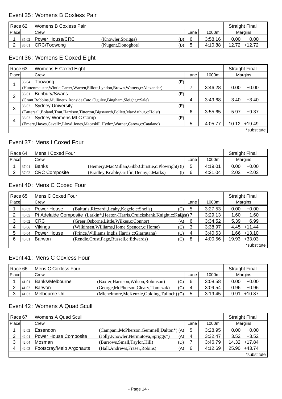#### Event 35 : Womens B Coxless Pair

|              | Race 62<br>Womens B Coxless Pair |                        |                    |     | <b>Straight Final</b> |         |                 |
|--------------|----------------------------------|------------------------|--------------------|-----|-----------------------|---------|-----------------|
| <b>Place</b> |                                  | Crew                   |                    |     | Lane                  | 1000m   | Margins         |
|              | 35.02                            | <b>Power House/CRC</b> | (Knowler, Spriggs) | (B) |                       | 3:58.16 | 0.00<br>$+0.00$ |
|              | 35.01                            | CRC/Toowong            | (Nugent, Donoghoe) | (B) |                       | 4:10.88 | 12.72 +12.72    |

### Event 36 : Womens E Coxed Eight

| Race 63 |       | Womens E Coxed Eight                                                                     |      |         |       | <b>Straight Final</b> |  |
|---------|-------|------------------------------------------------------------------------------------------|------|---------|-------|-----------------------|--|
| Place   |       | Crew                                                                                     | Lane | 1000m   |       | Margins               |  |
|         | 36.04 | (E)<br>Toowong                                                                           |      |         |       |                       |  |
|         |       | (Huttenmeister, Wintle, Carter, Warren, Elliott, Lyndon, Brown, Watters, c: Alexander)   |      | 3:46.28 | 0.00  | $+0.00$               |  |
| 2       | 36.01 | Bunbury/Swans<br>(E)                                                                     |      |         |       |                       |  |
|         |       | (Grant, Robbins, Mullineux, Ironside, Cato, Cigulev, Bingham, Sleight, c: Sale)          | 4    | 3:49.68 | 3.40  | $+3.40$               |  |
| 3       | 36.02 | <b>Sydney University</b><br>(E)                                                          |      |         |       |                       |  |
|         |       | (Tattersall, Boland, Tout, Harrison, Titterton, Bigsworth, Pollett, MacArthur, c: Holst) | 6    | 3:55.65 | 5.97  | $+9.37$               |  |
| 4       | 36.03 | Sydney Womens MLC Comp.<br>(E)                                                           |      |         |       |                       |  |
|         |       | (Emery, Hayes, Cavell*, Lloyd Jones, Macaskill, Hyde*, Warner, Carew, c: Catalano)       | 5    | 4:05.77 | 10.12 | $+19.49$              |  |
|         |       |                                                                                          |      |         |       | *substitute           |  |

### Event 37 : Mens I Coxed Four

|       | l Race 64<br>Mens I Coxed Four |                      |                                                       |      |         | <b>Straight Final</b> |         |
|-------|--------------------------------|----------------------|-------------------------------------------------------|------|---------|-----------------------|---------|
| Place |                                | Crew                 |                                                       | Lane | 1000m   | Margins               |         |
|       | 37.01                          | <b>Banks</b>         | (Hemery, MacMillan, Gibb, Christie, c: Plowright) (I) |      | 4:19.01 | 0.00                  | $+0.00$ |
|       | 37.02                          | <b>CRC Composite</b> | (1)<br>(Bradley, Keable, Griffin, Denny, c: Marks)    |      | 4:21.04 | 2.03                  | $+2.03$ |

## Event 40 : Mens C Coxed Four

| Mens C Coxed Four<br>Race 65 |       |                |                                                                                  |     |      |         |       | <b>Straight Final</b> |
|------------------------------|-------|----------------|----------------------------------------------------------------------------------|-----|------|---------|-------|-----------------------|
| <b>Place</b>                 |       | Crew           |                                                                                  |     | Lane | 1000m   |       | Margins               |
|                              | 40.03 | Power House    | (Baltutis, Rizzardi, Leahy, Kegele, c: Sheils)                                   | (C) | 5    | 3:27.53 | 0.00  | $+0.00$               |
|                              | 40.05 |                | Pt Adelaide Composite (Larkin*, Heaton-Harris, Cruickshank, Knight, c: Knopht) 7 |     |      | 3:29.13 | 1.60  | $+1.60$               |
|                              | 40.02 | <b>CRC</b>     | (Greer, Osborne, Little, Wilkes, c: Connor)                                      | (A) | 6    | 3:34.52 | 5.39  | $+6.99$               |
|                              | 40.06 | <b>Vikings</b> | (Wilkinsen, Williams, Home, Spencer, c: Home)                                    | (C) | 3    | 3:38.97 |       | $4.45 + 11.44$        |
|                              | 40.04 | Power House    | (Prince, Williams, Inglis, Harris, c: Giarratana)                                | (C) | 4    | 3:40.63 | 1.66  | $+13.10$              |
|                              | 40.01 | <b>Barwon</b>  | (Rendle, Crust, Page, Russell, c: Edwards)                                       | (C) | 8    | 4:00.56 | 19.93 | $+33.03$              |
|                              |       |                |                                                                                  |     |      |         |       | *substitute           |

### Event 41 : Mens C Coxless Four

| Race 66 |       | Mens C Coxless Four |                                              |      |         | <b>Straight Final</b> |          |
|---------|-------|---------------------|----------------------------------------------|------|---------|-----------------------|----------|
| Place   |       | Crew                |                                              | Lane | 1000m   | Margins               |          |
|         | 41.01 | Banks/Melbourne     | (Baxter, Harrison, Wilson, Robinson)         | (C)  | 3:08.58 | 0.00                  | $+0.00$  |
|         | 41.02 | Barwon              | (George, McPherson, Cleary, Tomczak)         | (C)  | 3:09.54 | 0.96                  | $+0.96$  |
|         | 41.03 | Melbourne Uni       | (Michelmore, McKenzie, Golding, Tulloch) (C) | ა    | 3:19.45 | 9.91                  | $+10.87$ |

#### Event 42 : Womens A Quad Scull

|       | Womens A Quad Scull<br>Race 67 |                          |                                              |      | <b>Straight Final</b> |                   |
|-------|--------------------------------|--------------------------|----------------------------------------------|------|-----------------------|-------------------|
| Place |                                | Crew                     |                                              | Lane | 1000m                 | Margins           |
|       | 42.02                          | Essendon                 | (Campani, McPherson, Gemmell, Dalton*) (A)   | 5    | 3:28.95               | $+0.00$<br>0.00   |
|       | 42.01                          | Power House Composite    | (Jolly, Knowler, Nermutova, Spriggs*)<br>(A) | 4    | 3:32.47               | $+3.52$<br>3.52   |
|       | 42.04                          | Mosman                   | (Burrows, Small, Taylor, Hill)<br>(D)        |      | 3:46.79               | 14.32 +17.84      |
|       | 42.03                          | Footscray/Melb Argonauts | (Hall, Andrews, Fraser, Robins)<br>(A)       | 6    | 4:12.69               | $+43.74$<br>25.90 |
|       |                                |                          |                                              |      |                       | *substitute       |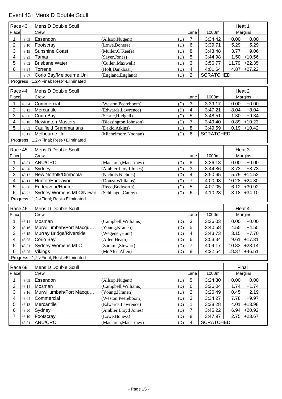### Event 43 : Mens D Double Scull

| Race 43        |       | Mens D Double Scull                      |                               |                         |                  | Heat 1            |
|----------------|-------|------------------------------------------|-------------------------------|-------------------------|------------------|-------------------|
| Place          |       | Crew                                     |                               | Lane                    | 1000m            | Margins           |
| 1              | 43.09 | Essendon                                 | (Allsop, Nugent)<br>(D)       | $\overline{7}$          | 3:34.42          | 0.00<br>$+0.00$   |
| $\overline{2}$ | 43.10 | Footscray                                | (Lowe, Boness)<br>(D)         | $\,6$                   | 3:39.71          | 5.29<br>$+5.29$   |
| 3              | 43.19 | <b>Sunshine Coast</b>                    | (Muller, O'Keefe)<br>(D)      | 8                       | 3:43.48          | 3.77<br>$+9.06$   |
| 4              | 43.23 | Tamar                                    | (Sayer, Jones)<br>(D)         | 5                       | 3:44.98          | $+10.56$<br>1.50  |
| 5              | 43.02 | <b>Brisbane Water</b>                    | (Cullen, Maxwell)<br>(D)      | 3                       | 3:56.77          | 11.79 +22.35      |
| 6              | 43.24 | Torrens                                  | (Holt,Dankbaar)<br>(D)        | 4                       | 4:01.64          | $4.87 +27.22$     |
|                | 43.07 | Corio Bay/Melbourne Uni                  | (England, England)<br>(D)     | $\overline{2}$          | <b>SCRATCHED</b> |                   |
|                |       | Progress: 1,2->Final; Rest->Eliminated   |                               |                         |                  |                   |
| Race 44        |       | Mens D Double Scull                      |                               |                         |                  | Heat 2            |
| Place          |       | Crew                                     |                               | Lane                    | 1000m            | Margins           |
| 1              | 43.04 | Commercial                               | (Weston, Peereboom)<br>(D)    | 3                       | 3:39.17          | $+0.00$<br>0.00   |
| 2              | 43.13 | Mercantile                               | (Edwards,Lawrence)<br>(D)     | 4                       | 3:47.21          | $+8.04$<br>8.04   |
| 3              | 43.06 | Corio Bay                                | (Searle, Hudgell)<br>(D)      | 5                       | 3:48.51          | 1.30<br>$+9.34$   |
| 4              | 43.18 | <b>Newington Masters</b>                 | (Blessington, Johnson)<br>(D) | $\overline{7}$          | 3:49.40          | 0.89<br>$+10.23$  |
| 5              | 43.03 | <b>Caulfield Grammarians</b>             | (Dakic, Atkins)<br>(D)        | $\, 8$                  | 3:49.59          | $0.19 + 10.42$    |
|                | 43.12 | Melbourne Uni                            | (Michelmore, Noonan)<br>(D)   | 6                       | <b>SCRATCHED</b> |                   |
|                |       | Progress: 1,2->Final; Rest->Eliminated   |                               |                         |                  |                   |
| Race 45        |       | Mens D Double Scull                      |                               |                         |                  | Heat 3            |
| Place          |       | Crew                                     |                               | Lane                    | 1000m            | Margins           |
|                | 43.01 | ANU/CRC                                  | (Maclaren, Macartney)<br>(D)  | 8                       | 3:36.13          | $+0.00$<br>0.00   |
| 2              | 43.20 | Sydney                                   | (Ambler, Lloyd Jones)<br>(D)  | 3                       | 3:44.86          | $+8.73$<br>8.73   |
| 3              | 43.17 | New Norfolk/Dimboola                     | (Nichols, Nichols)<br>(D)     | 4                       | 3:50.65          | 5.79 +14.52       |
| 4              | 43.11 | Hunter/Endeavour                         | (Donza, Williams)<br>(D)      | $\overline{7}$          | 4:00.93          | 10.28 +24.80      |
| 5              | 43.08 | Endeavour/Hunter                         | (Reed, Budworth)<br>(D)       | 5                       | 4:07.05          | $6.12 + 30.92$    |
| 6              | 43.22 | Sydney Womens MLC/Newin(Schinagel,Carew) | (D)                           | 6                       | 4:10.23          | $3.18 + 34.10$    |
|                |       | Progress: 1,2->Final; Rest->Eliminated   |                               |                         |                  |                   |
| Race 46        |       | Mens D Double Scull                      |                               |                         |                  | Heat 4            |
| Place          |       | Crew                                     |                               | Lane                    | 1000m            | Margins           |
| 1              | 43.14 | Mosman                                   | (Campbell, Williams)<br>(D)   | $\mathbf{3}$            | 3:36.03          | 0.00<br>$+0.00$   |
| $\overline{2}$ | 43.16 | Murwillumbah/Port Macqu                  | (Young, Kranen)<br>(D)        | 5                       | 3:40.58          | 4.55<br>$+4.55$   |
| 3              | 43.15 | Murray Bridge/Riverside                  | (Wegener, Hunt)<br>(D)        | $\overline{\mathbf{4}}$ | 3:43.73          | $3.15 + 7.70$     |
| 4              | 43.05 | Corio Bay                                | (Allen, Heath)<br>(D)         | 6                       | 3:53.34          | 9.61<br>$+17.31$  |
| 5              | 43.21 | <b>Sydney Womens MLC</b>                 | (Zammit,Stewart)<br>(D)       | 7                       | 4:04.17          | 10.83<br>$+28.14$ |
| 6              | 43.25 | Vikings                                  | (McAfee, Allen)<br>(D)        | 8                       | 4:22.54          | 18.37<br>$+46.51$ |
|                |       | Progress: 1,2->Final; Rest->Eliminated   |                               |                         |                  |                   |
| Race 68        |       | Mens D Double Scull                      |                               |                         |                  | Final             |
| Place          |       | Crew                                     |                               | Lane                    | 1000m            | Margins           |
| 1              | 43.09 | Essendon                                 | (Allsop, Nugent)<br>(D)       | $\sqrt{5}$              | 3:24.30          | 0.00<br>$+0.00$   |
| $\overline{2}$ | 43.14 | Mosman                                   | (Campbell, Williams)<br>(D)   | $\,6\,$                 | 3:26.04          | $+1.74$<br>1.74   |
| 3              | 43.16 | Murwillumbah/Port Macqu                  | (Young, Kranen)<br>(D)        | $\overline{2}$          | 3:26.49          | 0.45<br>$+2.19$   |
| 4              | 43.04 | Commercial                               | (Weston, Peereboom)<br>(D)    | 3                       | 3:34.27          | 7.78<br>$+9.97$   |
| 5              | 43.13 | Mercantile                               | (Edwards, Lawrence)<br>(D)    | 1                       | 3:38.28          | $+13.98$<br>4.01  |
| 6              | 43.20 | Sydney                                   | (Ambler, Lloyd Jones)<br>(D)  | $\overline{7}$          | 3:45.22          | $6.94 +20.92$     |
| 7              | 43.10 | Footscray                                | (Lowe, Boness)<br>(D)         | 8                       | 3:47.97          | 2.75 +23.67       |
|                | 43.01 | ANU/CRC                                  | (Maclaren, Macartney)<br>(D)  | 4                       | <b>SCRATCHED</b> |                   |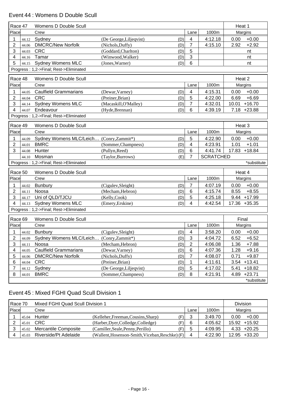# Event 44 : Womens D Double Scull

| Race 47        |       | Womens D Double Scull                   |                                |                |                  | Heat 1            |
|----------------|-------|-----------------------------------------|--------------------------------|----------------|------------------|-------------------|
| Place          |       | Crew                                    |                                | Lane           | 1000m            | Margins           |
| 1              | 44.12 | Sydney                                  | (De George, Liljeqvist)<br>(D) | 4              | 4:12.18          | $+0.00$<br>0.00   |
| 2              | 44.06 | <b>DMCRC/New Norfolk</b>                | (Nichols, Duffy)<br>(D)        | 7              | 4:15.10          | 2.92<br>$+2.92$   |
| 3              | 44.03 | <b>CRC</b>                              | (Goddard, Charlton)<br>(D)     | 5              |                  | nt                |
| 4              | 44.16 | Tamar                                   | (Winwood, Walker)<br>(D)       | $\mathfrak{S}$ |                  | nt                |
| 5              | 44.15 | <b>Sydney Womens MLC</b>                | (Jones, Warner)<br>(D)         | 6              |                  | nt                |
|                |       | Progress: 1,2->Final; Rest->Eliminated  |                                |                |                  |                   |
| Race 48        |       | Womens D Double Scull                   |                                |                |                  | Heat 2            |
| Place          |       | Crew                                    |                                | Lane           | 1000m            | Margins           |
| 1              | 44.05 | <b>Caulfield Grammarians</b>            | (Dewar, Varney)<br>(D)         | 4              | 4:15.31          | $+0.00$<br>0.00   |
| $\overline{2}$ | 44.04 | <b>CRC</b>                              | (Preiner, Brian)<br>(D)        | 5              | 4:22.00          | $+6.69$<br>6.69   |
| 3              | 44.14 | <b>Sydney Womens MLC</b>                | (Macaskill, O'Malley)<br>(D)   | $\overline{7}$ | 4:32.01          | $+16.70$<br>10.01 |
| 4              | 44.07 | Endeavour                               | (Hyde, Brennan)<br>(D)         | 6              | 4:39.19          | $7.18 + 23.88$    |
|                |       | Progress: 1,2->Final; Rest->Eliminated  |                                |                |                  |                   |
|                |       |                                         |                                |                |                  |                   |
| Race 49        |       | Womens D Double Scull                   |                                |                |                  | Heat 3            |
| Place          |       | Crew                                    |                                | Lane           | 1000m            | Margins           |
| 1              | 44.09 | Sydney Womens MLC/Leich (Conry,Zammit*) | (D)                            | 5              | 4:22.90          | $+0.00$<br>0.00   |
| 2              | 44.01 | <b>BMRC</b>                             | (Sommer, Champness)<br>(D)     | 4              | 4:23.91          | 1.01<br>$+1.01$   |
| 3              | 44.08 | Hunter                                  | (Pullyn, Reed)<br>(D)          | 6              | 4:41.74          | 17.83<br>$+18.84$ |
|                | 44.10 | Mosman                                  | (Taylor, Burrows)<br>(E)       | $\overline{7}$ | <b>SCRATCHED</b> |                   |
|                |       | Progress: 1,2->Final; Rest->Eliminated  |                                |                |                  | *substitute       |
| Race 50        |       | Womens D Double Scull                   |                                |                |                  | Heat 4            |
| Place          |       | Crew                                    |                                | Lane           | 1000m            | Margins           |
|                | 44.02 | <b>Bunbury</b>                          | (Cigulev, Sleight)<br>(D)      | $\overline{7}$ | 4:07.19          | $+0.00$<br>0.00   |
| 2              | 44.11 | Noosa                                   | (Mecham, Hebron)<br>(D)        | 6              | 4:15.74          | 8.55<br>$+8.55$   |
| 3              | 44.17 | Uni of QLD/TJCU                         | (Kelly,Cook)<br>(D)            | 5              | 4:25.18          | $9.44 + 17.99$    |
| 4              | 44.13 | <b>Sydney Womens MLC</b>                | (Emery, Erskine)<br>(D)        | 4              | 4:42.54          | 17.36 +35.35      |
|                |       | Progress: 1,2->Final; Rest->Eliminated  |                                |                |                  |                   |
|                |       |                                         |                                |                |                  |                   |
| Race 69        |       | Womens D Double Scull                   |                                |                |                  | Final             |
| Place          |       | Crew                                    |                                | Lane           | 1000m            | Margins           |
|                |       | 44.02 Bunbury                           | (D)<br>(Cigulev, Sleight)      | $\overline{4}$ | 3:58.20          | $0.00 + 0.00$     |
| 2              | 44.09 | Sydney Womens MLC/Leich                 | (Conry,Zammit*)<br>(D)         | $\sqrt{3}$     | 4:04.72          | 6.52<br>$+6.52$   |
| 3              | 44.11 | Noosa                                   | (Mecham, Hebron)<br>(D)        | $\overline{2}$ | 4:06.08          | 1.36<br>$+7.88$   |
| 4              | 44.05 | <b>Caulfield Grammarians</b>            | (Dewar, Varney)<br>(D)         | 6              | 4:07.36          | 1.28<br>$+9.16$   |
| 5              | 44.06 | <b>DMCRC/New Norfolk</b>                | (Nichols, Duffy)<br>(D)        | 7              | 4:08.07          | 0.71<br>$+9.87$   |
| 6              | 44.04 | <b>CRC</b>                              | (Preiner, Brian)<br>(D)        | 1              | 4:11.61          | $+13.41$<br>3.54  |
| 7              | 44.12 | Sydney                                  | (De George, Liljeqvist)<br>(D) | 5              | 4:17.02          | 5.41<br>$+18.82$  |
| 8              | 44.01 | <b>BMRC</b>                             | (Sommer, Champness)<br>(D)     | 8              | 4:21.91          | $+23.71$<br>4.89  |
|                |       |                                         |                                |                |                  | *substitute       |

## Event 45 : Mixed FGHI Quad Scull Division 1

| Race 70 |       | Mixed FGHI Quad Scull Division 1 | <b>Division</b>                                 |        |         |                   |
|---------|-------|----------------------------------|-------------------------------------------------|--------|---------|-------------------|
| Place   |       | Crew                             |                                                 | Lane   | 1000m   | Margins           |
|         | 45.04 | Hunter                           | (Kelleher, Freeman, Cousins, Sharp)<br>(F)I     | າ<br>Ő | 3:49.70 | $+0.00$<br>0.00   |
|         | 45.01 | <b>CRC</b>                       | (Harber, Dyer, Colledge, Colledge)<br>(F)l      | 6      | 4:05.62 | 15.92 +15.92      |
|         | 45.02 | Mercantile Composite             | (Camiller, Seale, Penny, Perillo)<br>(F)        | 5      | 4:09.95 | $4.33 + 20.25$    |
|         | 45.03 | Riverside/Pt Adelaide            | (Wallent, Hosenson-Smith, Viceban, Reschke) (F) | 4      | 4:22.90 | $+33.20$<br>12.95 |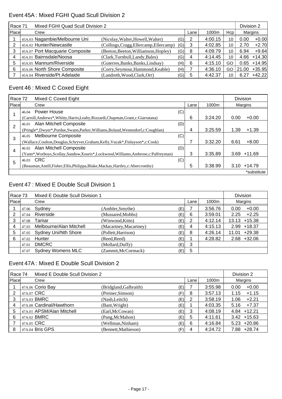### Event 45A : Mixed FGHI Quad Scull Division 2

|       | Mixed FGHI Quad Scull Division 2<br>Race 71 |                                         |     |      |         |     | Division 2 |          |
|-------|---------------------------------------------|-----------------------------------------|-----|------|---------|-----|------------|----------|
| Place | Crew                                        |                                         |     | Lane | 1000m   | Hcp |            | Margins  |
|       | 45A.03 Nagambie/Melbourne Uni               | (Nicolay, Walter, Howell, Walter)       | (G) |      | 4:00.15 | 10  | 0.00       | $+0.00$  |
|       | 45A.02 Hunter/Newcastle                     | (Collings, Cragg, Ellercamp, Ellercamp) | (G) | 3    | 4:02.85 | 10  | 2.70       | $+2.70$  |
|       | 45A.07 Port Macquarie Composite             | (Beeton, Beeton, Williamson, Hopley)    | (G) | 8    | 4:09.79 | 10  | 6.94       | $+9.64$  |
| 4     | 45A.01 Bairnsdale/Noosa                     | (Clark, Turnbull, Landy, Bales)         | (G) | 4    | 4:14.45 | 10  | 4.66       | $+14.30$ |
| 5     | 45A.05 Mannum/Riverside                     | (Guterres, Banks, Banks, Lindsay)       | (H) | 6    | 4:15.10 | GO  | 0.65       | $+14.95$ |
| 6     | 45A.06 North Shore Composite                | (Corry, Seymour, Hammond, Keable)       | (H) |      | 4:36.10 | GO  | 21.00      | $+35.95$ |
|       | 45A.04 Riverside/Pt Adelaide                | (Landreth, Wood, Clark, Orr)            | (G) | 5    | 4:42.37 | 10  | 6.27       | $+42.22$ |

# Event 46 : Mixed C Coxed Eight

| Race 72        |           | Mixed C Coxed Eight                                                                 |     |      | <b>Division</b> |      |             |
|----------------|-----------|-------------------------------------------------------------------------------------|-----|------|-----------------|------|-------------|
| Place          |           | Crew                                                                                |     | Lane | 1000m           |      | Margins     |
|                | 46.04     | Power House                                                                         | (C) |      |                 |      |             |
|                |           | (Carroll, Andrews*, Whitty, Harris, Leahy, Rizzardi, Chapman, Grant, c: Giarratana) |     | 6    | 3:24.20         | 0.00 | $+0.00$     |
| $\overline{2}$ | 46.01     | Alan Mitchell Composite                                                             | (D) |      |                 |      |             |
|                |           | (Pringle*,Dwyer*,Purdue,Swann,Parker,Williams,Boland,Westendorf,c:Coughlan)         |     | 4    | 3:25.59         | 1.39 | $+1.39$     |
| 3              | 46.05     | Melbourne Composite                                                                 | (C) |      |                 |      |             |
|                |           | (Wallace,Coulton,Douglas,Schryver,Graham,Kelly,Vucak*,Finlayson*,c:Cook)            |     |      | 3:32.20         | 6.61 | $+8.00$     |
| 4              |           | 46.02 Alan Mitchell Composite                                                       | (D) |      |                 |      |             |
|                |           | (Yann*,Worboys,Scollay,Sandow,Xouris*,Lockwood,Williams,Ambrose,c:Palfreyman)       |     | 3    | 3:35.89         | 3.69 | $+11.69$    |
| 5              | 46.03 CRC |                                                                                     | (C) |      |                 |      |             |
|                |           | (Beauman, Antill, Fisher, Ellis, Philippa, Blake, Mackay, Hartley, c: Abercromby)   |     | 5    | 3:38.99         | 3.10 | $+14.79$    |
|                |           |                                                                                     |     |      |                 |      | *substitute |

### Event 47 : Mixed E Double Scull Division 1

| Race 73 |       | Mixed E Double Scull Division 1 |                        |      |       |         | <b>Division</b>   |  |  |
|---------|-------|---------------------------------|------------------------|------|-------|---------|-------------------|--|--|
| Place   |       | Crew                            |                        | Lane | 1000m | Margins |                   |  |  |
|         | 47.06 | Sydney                          | (Ambler, Smythe)       | (E)  |       | 3:56.76 | $+0.00$<br>0.00   |  |  |
| າ       | 47.04 | Riverside                       | (Mussared, Mobbs)      | (E)  | 6     | 3:59.01 | $+2.25$<br>2.25   |  |  |
| 3       | 47.08 | Tamar                           | (Winwood,Kitto)        | (E)  | 2     | 4:12.14 | $13.13 + 15.38$   |  |  |
| 4       | 47.03 | Melbourne/Alan Mitchell         | (Macartney, Macartney) | (E)  | 4     | 4:15.13 | $+18.37$<br>2.99  |  |  |
| 5       | 47.05 | <b>Sydney Uni/Nth Shore</b>     | (Pollett, Harrison)    | (E)  | 8     | 4:26.14 | $+29.38$<br>11.01 |  |  |
| 6       | 47.02 | Hunter                          | (Reed, Reed)           | (E)  |       | 4:28.82 | $+32.06$<br>2.68  |  |  |
|         | 47.01 | <b>DMCRC</b>                    | (Mollard, Duffy)       | (E)  | 3     |         |                   |  |  |
|         | 47.07 | <b>Sydney Womens MLC</b>        | (Zammit, McCormack)    | (E)  | 5     |         |                   |  |  |

#### Event 47A : Mixed E Double Scull Division 2

|       | Race 74<br>Mixed E Double Scull Division 2 |                        |     |      |         |                  |  |
|-------|--------------------------------------------|------------------------|-----|------|---------|------------------|--|
| Place | Crew                                       |                        |     | Lane | 1000m   | Margins          |  |
|       | 47A.06 Corio Bay                           | (Bridgland, Galbraith) | (E) |      | 3:55.98 | $+0.00$<br>0.00  |  |
| 2     | 47A.07 CRC                                 | (Preiner, Simson)      | (F) | 8    | 3:57.13 | $+1.15$<br>1.15  |  |
| 3     | 47A.03 BMRC                                | (Nash,Leitch)          | (E) | 2    | 3:58.19 | $+2.21$<br>1.06  |  |
| 4     | 47A.08 Cardinal/Hawthorn                   | (Bant, Wright)         | (E) |      | 4:03.35 | $+7.37$<br>5.16  |  |
| 5     | 47A.01 APSM/Alan Mitchell                  | (Earl, McCowan)        | (E) | 3    | 4:08.19 | $4.84 + 12.21$   |  |
| 6     | 47A.02 BMRC                                | (Pang, McMahon)        | (E) | 5    | 4:11.61 | $3.42 + 15.63$   |  |
|       | 47A.05 CRC                                 | (Wellman, Ninham)      | (E) | 6    | 4:16.84 | $5.23 + 20.86$   |  |
| 8     | 47A.04 Bris GPS                            | (Bennett, Mathieson)   | (F) | 4    | 4:24.72 | $+28.74$<br>7.88 |  |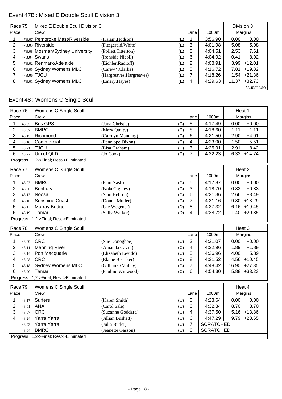## Event 47B : Mixed E Double Scull Division 3

| Race 75 |  | Mixed E Double Scull Division 3 |                          |      |       |         |       | Division 3  |
|---------|--|---------------------------------|--------------------------|------|-------|---------|-------|-------------|
| Place   |  | Crew                            |                          | Lane | 1000m | Margins |       |             |
|         |  | 47B.07 Pembroke Mast/Riverside  | (Kalanj, Hodson)         | (E)  |       | 3:56.90 | 0.00  | $+0.00$     |
| 2       |  | 47B.03 Riverside                | (Fitzgerald, White)      | (E)  | 3     | 4:01.98 | 5.08  | $+5.08$     |
| 3       |  | 47B.08 Mosman/Sydney University | (Pollett, Titterton)     | (E)  | 8     | 4:04.51 | 2.53  | $+7.61$     |
| 4       |  | 47B.04 Swans                    | (Ironside, Nicoll)       | (E)  | 6     | 4:04.92 | 0.41  | $+8.02$     |
| 5       |  | 47B.02 Renmark/Adelaide         | (Eichler, Radloff)       | (E)  | 2     | 4:08.91 | 3.99  | $+12.01$    |
| 6       |  | 47B.05 Sydney Womens MLC        | (Carew*,Clarke)          | (E)  | 5     | 4:16.72 | 7.81  | $+19.82$    |
|         |  | 47B.06 TJCU                     | (Hargreaves, Hargreaves) | (E)  |       | 4:18.26 | 1.54  | $+21.36$    |
| 8       |  | 47B.01 Sydney Womens MLC        | (Emery, Hayes)           | (E)  | 4     | 4:29.63 | 11.37 | $+32.73$    |
|         |  |                                 |                          |      |       |         |       | *substitute |

# Event 48 : Womens C Single Scull

| Race 76                                |       | Womens C Single Scull                  |                    |     |                |                  | Heat 1          |
|----------------------------------------|-------|----------------------------------------|--------------------|-----|----------------|------------------|-----------------|
| Place                                  |       | Crew                                   |                    |     | Lane           | 1000m            | Margins         |
| 1                                      | 48.05 | <b>Bris GPS</b>                        | (Jana Christie)    | (C) | 5              | 4:17.49          | 0.00<br>$+0.00$ |
| $\overline{2}$                         | 48.02 | <b>BMRC</b>                            | (Mary Quilty)      | (C) | 8              | 4:18.60          | 1.11<br>$+1.11$ |
| 3                                      | 48.15 | Richmond                               | (Carolyn Manning)  | (C) | $6\phantom{1}$ | 4:21.50          | 2.90<br>$+4.01$ |
| 4                                      | 48.10 | Commercial                             | (Penelope Dixon)   | (C) | $\overline{4}$ | 4:23.00          | $+5.51$<br>1.50 |
| 5                                      | 48.21 | <b>TJCU</b>                            | (Lisa Graham)      | (C) | $\mathfrak{S}$ | 4:25.91          | $+8.42$<br>2.91 |
| 6                                      | 48.22 | Uni of QLD                             | (Jo Cook)          | (C) | $\overline{7}$ | 4:32.23          | $6.32 + 14.74$  |
| Progress: 1,2->Final; Rest->Eliminated |       |                                        |                    |     |                |                  |                 |
| Race 77                                |       | Womens C Single Scull                  |                    |     |                |                  | Heat 2          |
| Place                                  |       | Crew                                   |                    |     | Lane           | 1000m            | Margins         |
| 1                                      | 48.03 | <b>BMRC</b>                            | (Pam Nash)         | (C) | 5              | 4:17.87          | 0.00<br>$+0.00$ |
| $\overline{2}$                         | 48.06 | <b>Bunbury</b>                         | (Nola Cigulev)     | (C) | $\mathfrak{S}$ | 4:18.70          | $+0.83$<br>0.83 |
| 3                                      | 48.13 | Noosa                                  | (Sian Hebron)      | (C) | $6\phantom{1}$ | 4:21.36          | $+3.49$<br>2.66 |
| 4                                      | 48.16 | <b>Sunshine Coast</b>                  | (Donna Muller)     | (C) | $\overline{7}$ | 4:31.16          | $9.80 + 13.29$  |
| 5                                      | 48.12 | Murray Bridge                          | (Ute Wegener)      | (D) | $\, 8$         | 4:37.32          | $6.16 + 19.45$  |
| 6                                      | 48.19 | Tamar                                  | (Sally Walker)     | (D) | 4              | 4:38.72          | $1.40 +20.85$   |
| Progress: 1,2->Final; Rest->Eliminated |       |                                        |                    |     |                |                  |                 |
| Race 78                                |       | Womens C Single Scull                  |                    |     |                |                  | Heat 3          |
| Place                                  |       | Crew                                   |                    |     | Lane           | 1000m            | Margins         |
| 1                                      | 48.09 | <b>CRC</b>                             | (Sue Donoghoe)     | (C) | $\mathbf{3}$   | 4:21.07          | 0.00<br>$+0.00$ |
| $\overline{2}$                         | 48.11 | <b>Manning River</b>                   | (Amanda Cavill)    | (C) | $\overline{4}$ | 4:22.96          | $+1.89$<br>1.89 |
| 3                                      | 48.14 | Port Macquarie                         | (Elizabeth Levido) | (C) | 5              | 4:26.96          | $+5.89$<br>4.00 |
| 4                                      | 48.08 | <b>CRC</b>                             | (Elaine Bissaker)  | (C) | $\, 8$         | 4:31.52          | $4.56 + 10.45$  |
| 5                                      | 48.18 | <b>Sydney Womens MLC</b>               | (Gillian O'Malley) | (C) | $\overline{7}$ | 4:48.42          | 16.90 +27.35    |
| 6                                      | 48.20 | Tamar                                  | (Pauline Winwood)  | (C) | 6              | 4:54.30          | $5.88 + 33.23$  |
|                                        |       | Progress: 1,2->Final; Rest->Eliminated |                    |     |                |                  |                 |
| Race 79                                |       | Womens C Single Scull                  |                    |     |                |                  | Heat 4          |
| Place                                  |       | Crew                                   |                    |     | Lane           | 1000m            | Margins         |
| 1                                      | 48.17 | <b>Surfers</b>                         | (Karen Smith)      | (C) | 5              | 4:23.64          | $+0.00$<br>0.00 |
| 2                                      | 48.01 | <b>ANA</b>                             | (Carol Sale)       | (C) | $\sqrt{3}$     | 4:32.34          | 8.70<br>$+8.70$ |
| 3                                      | 48.07 | <b>CRC</b>                             | (Suzanne Goddard)  | (C) | $\overline{4}$ | 4:37.50          | $5.16 + 13.86$  |
| 4                                      | 48.24 | Yarra Yarra                            | (Jillian Bushett)  | (C) | 6              | 4:47.29          | $9.79 +23.65$   |
|                                        | 48.23 | Yarra Yarra                            | (Julia Butler)     | (C) | $\overline{7}$ | <b>SCRATCHED</b> |                 |
|                                        | 48.04 | <b>BMRC</b>                            | (Jeanette Gasson)  | (C) | 8              | <b>SCRATCHED</b> |                 |
|                                        |       | Progress: 1,2->Final; Rest->Eliminated |                    |     |                |                  |                 |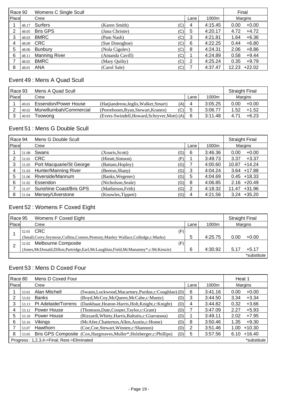| Race 92 |       | Womens C Single Scull |                 |      |       |         | Final   |          |
|---------|-------|-----------------------|-----------------|------|-------|---------|---------|----------|
| Place   |       | Crew                  |                 | Lane | 1000m |         | Margins |          |
|         | 48.17 | <b>Surfers</b>        | (Karen Smith)   | (C)  | 4     | 4:15.45 | 0.00    | $+0.00$  |
| 2       | 48.05 | <b>Bris GPS</b>       | (Jana Christie) | (C)  | 5     | 4:20.17 | 4.72    | $+4.72$  |
| 3       | 48.03 | <b>BMRC</b>           | (Pam Nash)      | (C)  | 3     | 4:21.81 | 1.64    | $+6.36$  |
| 4       | 48.09 | <b>CRC</b>            | (Sue Donoghoe)  | (C)  | 6     | 4:22.25 | 0.44    | $+6.80$  |
| 5       | 48.06 | <b>Bunbury</b>        | (Nola Cigulev)  | (C)  | 8     | 4:24.31 | 2.06    | $+8.86$  |
| 6       | 48.11 | <b>Manning River</b>  | (Amanda Cavill) | (C)  |       | 4:24.89 | 0.58    | $+9.44$  |
|         | 48.02 | <b>BMRC</b>           | (Mary Quilty)   | (C)  | 2     | 4:25.24 | 0.35    | $+9.79$  |
| 8       | 48.01 | <b>ANA</b>            | (Carol Sale)    | (C)  |       | 4:37.47 | 12.23   | $+22.02$ |

## Event 49 : Mens A Quad Scull

| Race 93<br>Mens A Quad Scull |       |                         |                                              | <b>Straight Final</b> |         |         |         |
|------------------------------|-------|-------------------------|----------------------------------------------|-----------------------|---------|---------|---------|
| Place                        |       | Crew<br>Lane            |                                              |                       | 1000m   | Margins |         |
|                              | 49.01 | Essendon/Power House    | (Hatjiandreou, Inglis, Walker, Smart)<br>(A) | 4                     | 3:05.25 | 0.00    | $+0.00$ |
|                              | 49.02 | Murwillumbah/Commercial | (C)<br>(Peereboom, Ryan, Stewart, Kranen)    | ა                     | 3:06.77 | 1.52    | $+1.52$ |
|                              | 49.03 | Toowong                 | (Evers-Swindell, Howard, Schryver, Mott) (A) | 6                     | 3:11.48 | 4.71    | $+6.23$ |

### Event 51 : Mens G Double Scull

| Race 94<br>Mens G Double Scull |       |                                |                           |      |         | <b>Straight Final</b> |  |
|--------------------------------|-------|--------------------------------|---------------------------|------|---------|-----------------------|--|
| Place                          |       | Crew                           |                           | Lane | 1000m   | Margins               |  |
|                                | 51.08 | Swans                          | (G)<br>(Xouris, Scott)    | 6    | 3:46.36 | $+0.00$<br>0.00       |  |
|                                | 51.01 | <b>CRC</b>                     | (Hieatt, Simson)<br>(F)   |      | 3:49.73 | $+3.37$<br>3.37       |  |
| 3                              | 51.05 | Port Macquarie/St George       | (Battam, Hopley)<br>(G)   |      | 4:00.60 | $+14.24$<br>10.87     |  |
| 4                              | 51.03 | <b>Hunter/Manning River</b>    | (Beeton, Sharp)<br>(G)    | 3    | 4:04.24 | $3.64$ +17.88         |  |
| 5                              | 51.06 | Riverside/Mannum               | (Banks, Wegener)<br>(G)   | 5    | 4:04.69 | $0.45 + 18.33$        |  |
| 6                              | 51.02 | Essendon                       | (Nicholson, Seale)<br>(G) | 8    | 4:06.85 | $2.16 + 20.49$        |  |
|                                | 51.07 | <b>Sunshine Coast/Bris GPS</b> | (Mathieson, Frith)<br>(G) | 2    | 4:18.32 | $+31.96$<br>11.47     |  |
| 8                              | 51.04 | Mersey/Ulverstone              | (G)<br>(Knowles, Tippett) | 4    | 4:21.56 | $+35.20$<br>3.24      |  |

# Event 52 : Womens F Coxed Eight

| Race 95      |       | Womens F Coxed Eight                                                                   | <b>Straight Final</b> |      |         |      |             |
|--------------|-------|----------------------------------------------------------------------------------------|-----------------------|------|---------|------|-------------|
| <b>Place</b> |       | Crew                                                                                   |                       | Lane | 1000m   |      | Margins     |
|              | 52.01 | CRC                                                                                    | (F)                   |      |         |      |             |
|              |       | (Small,Corry,Seymour,Collins,Connor,Pentony,Manley Wallace,Colledge,c:Marks)           | b                     |      | 4:25.75 | 0.00 | $+0.00$     |
|              | 52.02 | Melbourne Composite                                                                    | (F)                   |      |         |      |             |
|              |       | (Jones, McDonald, Dillon, Partridge, Earl, McLaughlan, Field, McManamny*, c: McKenzie) | 6                     |      | 4:30.92 | 5.17 | $+5.17$     |
|              |       |                                                                                        |                       |      |         |      | *substitute |

# Event 53 : Mens D Coxed Four

|              | Mens D Coxed Four<br>Race 80               |                     |                                                                        |     |      |         |             | Heat 1   |  |
|--------------|--------------------------------------------|---------------------|------------------------------------------------------------------------|-----|------|---------|-------------|----------|--|
| <b>Place</b> |                                            | Crew                |                                                                        |     | Lane | 1000m   |             | Margins  |  |
|              | 53.01                                      | Alan Mitchell       | (Swann,Lockwood,Macartney,Purdue,c:Coughlan) (D)                       |     | 6    | 3:41.16 | 0.00        | $+0.00$  |  |
| 2            | 53.03                                      | <b>Banks</b>        | (Boyd, McCoy, McQueen, McCabe, c: Muntz)                               | (D  | 3    | 3:44.50 | 3.34        | $+3.34$  |  |
| 3            | 53.13                                      | Pt Adelaide/Torrens | (Dankbaar, Heaton-Harris, Holt, Knight, c: Knight)                     | (D) | 4    | 3:44.82 | 0.32        | $+3.66$  |  |
|              | 53.12                                      | Power House         | (Thomson, Date, Cooper, Taylor, c: Grant)                              | (D) |      | 3:47.09 | 2.27        | $+5.93$  |  |
| 5            | 53.10                                      | Power House         | (Rizzardi, Whitty, Harris, Baltutis, c: Giarratana)                    | (D) |      | 3:49.11 | 2.02        | $+7.95$  |  |
| 6            | 53.16                                      | Vikings             | (McAfee,Chatterton,Allen,Austin,c:Home)                                | (D' | 8    | 3:50.46 | 1.35        | $+9.30$  |  |
|              | 53.07                                      | <b>Hawthorn</b>     | (Coe, Coe, Stewart, Winnen, c: Shannon)                                | (D) | 2    | 3:51.46 | 1.00        | $+10.30$ |  |
| 8            | 53.05                                      |                     | Bris GPS Composite (Cox, Hargreaves, Muller*, Holzberger, c: Phillips) | (D) | 5    | 3:57.56 | 6.10        | $+16.40$ |  |
|              | Progress: 1,2,3,4->Final; Rest->Eliminated |                     |                                                                        |     |      |         | *substitute |          |  |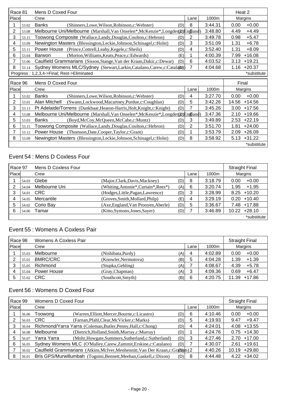| Race 81        |       | Mens D Coxed Four                                                              |          |      |         |       | Heat 2      |
|----------------|-------|--------------------------------------------------------------------------------|----------|------|---------|-------|-------------|
| Place          |       | Crew                                                                           |          | Lane | 1000m   |       | Margins     |
|                | 53.02 | <b>Banks</b><br>(Shinners, Lowe, Wilson, Robinson, c: Webster)                 | 8<br>(D) |      | 3:44.31 | 0.00  | $+0.00$     |
| $\overline{2}$ | 53.08 | Melbourne Uni/Melbourne (Marshall, Van Onselen*, McKenzie*, Longder(D)England) |          |      | 3:48.80 | 4.49  | $+4.49$     |
| 3              | 53.15 | Toowong Composite (Wallace, Landy, Douglas, Coulton, c: Hebron)                | 2<br>(D) |      | 3:49.78 | 0.98  | $+5.47$     |
| 4              | 53.09 | Newington Masters (Blessington, Leckie, Johnson, Schinagel, c: Holst)          | 3<br>(D) |      | 3:51.09 | 1.31  | $+6.78$     |
| 5              | 53.11 | Power House<br>(Prince, Cottrell, Leahy, Kegele, c: Sheils)                    | (D)<br>4 |      | 3:52.40 | 1.31  | $+8.09$     |
| 6              | 53.04 | (Morton, Williams, Keats, Peace, c: Edwards)<br>Barwon                         | (E)      |      | 4:00.39 | 7.99  | $+16.08$    |
|                | 53.06 | Caulfield Grammarians (Sisson, Stange, Van der Kraan, Dakic, c: Dewar)         | 6<br>(D) |      | 4:03.52 | 3.13  | $+19.21$    |
| 8              | 53.14 | Sydney Womens MLC/Sydney (Stewart, Larkin, Catalano, Carew, c: Catalan)        | 7        |      | 4:04.68 | 1.16  | $+20.37$    |
|                |       | Progress: 1,2,3,4->Final; Rest->Eliminated                                     |          |      |         |       | *substitute |
|                |       |                                                                                |          |      |         |       |             |
|                |       |                                                                                |          |      |         |       |             |
| Race 96        |       | Mens D Coxed Four                                                              |          |      |         |       | Final       |
| Place          |       | Crew                                                                           |          | Lane | 1000m   |       | Margins     |
|                | 53.02 | <b>Banks</b><br>(Shinners, Lowe, Wilson, Robinson, c: Webster)                 | (D)<br>4 |      | 3:27.70 | 0.00  | $+0.00$     |
| $\overline{2}$ | 53.01 | Alan Mitchell<br>(Swann,Lockwood,Macartney,Purdue,c:Coughlan)                  | 5<br>(D) |      | 3:42.26 | 14.56 | $+14.56$    |
| 3              | 53.13 | Pt Adelaide/Torrens (Dankbaar, Heaton-Harris, Holt, Knight, c: Knight)         | 7<br>(D) |      | 3:45.26 | 3.00  | $+17.56$    |
| 4              | 53.08 | Melbourne Uni/Melbourne (Marshall, Van Onselen*, McKenzie*, Longder(D)Engand)  |          |      | 3:47.36 | 2.10  | $+19.66$    |
| 5              | 53.03 | <b>Banks</b><br>(Boyd, McCoy, McQueen, McCabe, c: Muntz)                       | 3<br>(D) |      | 3:49.89 | 2.53  | $+22.19$    |
| 6              | 53.15 | Toowong Composite (Wallace, Landy, Douglas, Coulton, c: Hebron)                | 2<br>(D) |      | 3:51.70 | 1.81  | $+24.00$    |
|                | 53.12 | Power House<br>(Thomson, Date, Cooper, Taylor, c: Grant)                       | (D)      |      | 3:53.79 | 2.09  | $+26.09$    |
| 8              | 53.09 | Newington Masters (Blessington, Leckie, Johnson, Schinagel, c: Holst)          | 8<br>(D) |      | 3:58.92 | 5.13  | $+31.22$    |

## Event 54 : Mens D Coxless Four

| Race 97 |       | Mens D Coxless Four |                                      |     |      |         | <b>Straight Final</b> |
|---------|-------|---------------------|--------------------------------------|-----|------|---------|-----------------------|
| Place   |       | Crew                |                                      |     | Lane | 1000m   | Margins               |
|         | 54.03 | Glebe               | (Major, Clark, Davis, Mackney)       | (D) | 8    | 3:18.79 | $+0.00$<br>0.00       |
|         | 54.04 | Melbourne Uni       | (Whiting, Antonie*, Curtain*, Rees*) | (A) | 6    | 3:20.74 | $+1.95$<br>1.95       |
|         | 54.01 | <b>CRC</b>          | (Hodges, Little, Pagan, Lawrence)    | (D) | 3    | 3:28.99 | $8.25 + 10.20$        |
|         | 54.05 | Mercantile          | (Groves, Smith, Mollard, Philp)      | (E) | 4    | 3:29.19 | $+10.40$<br>0.20      |
|         | 54.02 | Corio Bay           | (Axe, England, Van Prooyen, Aberle)  | (D) | 5    | 3:36.67 | $7.48 + 17.88$        |
|         | 54.06 | Tamar               | (Kitto, Symons, Jones, Sayer)        | (D) |      | 3:46.89 | +28.10<br>10.22       |
|         |       |                     |                                      |     |      |         | *substitute           |

### Event 55 : Womens A Coxless Pair

| Race 98 |       | Womens A Coxless Pair |                             |      |         | <b>Straight Final</b> |
|---------|-------|-----------------------|-----------------------------|------|---------|-----------------------|
| Place   |       | Crew                  |                             | Lane | 1000m   | Margins               |
|         | 55.03 | Melbourne             | (Nishibata, Purdy)<br>(A)   | 4    | 4:02.89 | $+0.00$<br>0.00       |
|         | 55.01 | <b>BMRC/CRC</b>       | (Knowler, Nermutova)<br>(B) | 5    | 4:04.28 | $+1.39$<br>1.39       |
| 3       | 55.05 | Richmond              | (Stupka, Gehling)<br>(A)    |      | 4:08.67 | $+5.78$<br>4.39       |
| 4       | 55.04 | Power House           | (Gray, Chapman)<br>(A)      | 3    | 4:09.36 | $+6.47$<br>0.69       |
| 5       | 55.02 | <b>CRC</b>            | (B)<br>(Southcott, Smyth)   | 6    | 4:20.75 | $+17.86$<br>11.39     |

# Event 56 : Womens D Coxed Four

| Race 99 |       | Womens D Coxed Four                                                            |     |   |         | <b>Straight Final</b> |
|---------|-------|--------------------------------------------------------------------------------|-----|---|---------|-----------------------|
| Place   |       | Crew                                                                           |     |   | 1000m   | Margins               |
|         | 56.06 | (Warren, Elliott, Mercer, Bourne, c: Licastro)<br>Toowong                      | (D) | 6 | 4:10.46 | $+0.00$<br>0.00       |
| 2       | 56.03 | <b>CRC</b><br>(Farnan, Pfahl, Clear, McVicker, c: Marks)                       | (D) | 5 | 4:19.93 | $+9.47$<br>9.47       |
| 3       | 56.04 | Richmond/Yarra Yarra (Coleman, Butler, Penny, Hall, c: Chong)                  | (D) | 4 | 4:24.01 | $4.08 + 13.55$        |
| 4       | 56.08 | Melbourne<br>(Dietrich, Holland, Smith, Murray, c: Murray)                     | (D) |   | 4:24.76 | $0.75 + 14.30$        |
| 5       | 56.07 | Yarra Yarra<br>(Mohr, Howgate, Summers, Sutherland, c: Sutherland)             | (D) | 3 | 4:27.46 | $2.70 + 17.00$        |
| 6       | 56.05 | Sydney Womens MLC (O'Malley, Carew, Zammit, Erskine, c: Catalano)              | (D) |   | 4:30.07 | $+19.61$<br>2.61      |
|         | 56.02 | Caulfield Grammarians (Atkins, McIver, Menhennitt, Van Der Kraan, c: Granam) 2 |     |   | 4:40.26 | $+29.80$<br>10.19     |
| 8       | 56.01 | Bris GPS/Murwillumbah (Tognini, Bennett, Meehan, Gaskell, c: Dixon)            | (D) | 8 | 4:44.48 | $+34.02$<br>4.22      |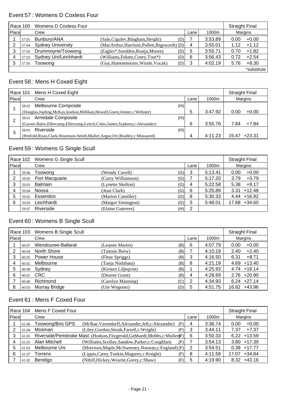#### Event 57 : Womens D Coxless Four

| Race 100 |       | Womens D Coxless Four    | <b>Straight Final</b>                         |     |      |         |         |             |
|----------|-------|--------------------------|-----------------------------------------------|-----|------|---------|---------|-------------|
| Place    |       | Crew                     |                                               |     | Lane | 1000m   | Margins |             |
|          | 57.01 | Bunbury/ANA              | (Sale, Cigulev, Bingham, Sleight)             | (D) |      | 3:53.89 | 0.00    | $+0.00$     |
| ົ        | 57.04 | <b>Sydney University</b> | (MacArthur, Harrison, Pollett, Bigsworth) (D) |     | 4    | 3:55.01 | 1.12    | $+1.12$     |
| 3        | 57.02 | Drummoyne/Toowong        | (Eagles*,Sneddon,Rustja,Moore)                | (D) | 5    | 3:55.71 | 0.70    | $+1.82$     |
|          | 57.03 | Sydney Uni/Leichhardt    | (Williams, Fekete, Conry, Tout*)              | (D) | 6    | 3:56.43 | 0.72    | $+2.54$     |
| 5        | 57.05 | Toowong                  | (Guy, Huttenmeister, Wintle, Vucak)           | (D) | 3    | 4:02.19 | 5.76    | $+8.30$     |
|          |       |                          |                                               |     |      |         |         | *substitute |

# Event 58 : Mens H Coxed Eight

|              | Mens H Coxed Eight<br>Race 101 |                                                                                    |   |         |       | <b>Straight Final</b> |
|--------------|--------------------------------|------------------------------------------------------------------------------------|---|---------|-------|-----------------------|
| <b>Place</b> | Crew<br>Lane                   |                                                                                    |   | 1000m   |       | Margins               |
|              | 58.02                          | Melbourne Composite<br>(H)                                                         |   |         |       |                       |
|              |                                | (Douglas,Jopling,McKay,koekoe,Millikan,Howell,Guest,Jenner,c:Webster)              | b | 3:47.92 | 0.00  | $+0.00$               |
| っ            | 58.01                          | Armidale Composite<br>(H)                                                          |   |         |       |                       |
|              |                                | (Garner, Bales, Ellercamp, Ellercamp, Leitch, Coles, James, Sypkens, c: Alexander) | 6 | 3:55.76 | 7.84  | $+7.84$               |
| 3            | 58.03                          | Riverside<br>(H)                                                                   |   |         |       |                       |
|              |                                | (Penfold, Ryan, Clark, Hosenson-Smith, Muller, Argue, Orr, Bradley, c: Mussared)   | 4 | 4:11.23 | 15.47 | $+23.31$              |

### Event 59 : Womens G Single Scull

|       | Race 102 | Womens G Single Scull |                    |     |      |         | <b>Straight Final</b> |
|-------|----------|-----------------------|--------------------|-----|------|---------|-----------------------|
| Place |          | Crew                  |                    |     | Lane | 1000m   | Margins               |
|       | 59.06    | Toowong               | (Wendy Cavell)     | 'G) | 3    | 5:13.41 | $+0.00$<br>0.00       |
|       | 59.05    | Port Macquarie        | (Carry Williamson) | (G) |      | 5:17.20 | $+3.79$<br>3.79       |
| 3     | 59.01    | Balmain               | (Lynette Skelton)  | (G) | 4    | 5:22.58 | $+9.17$<br>5.38       |
| 4     | 59.04    | Noosa                 | (Jean Clark)       | (G) | 6    | 5:25.89 | $+12.48$<br>3.31      |
| 5     | 59.02    | Essendon              | (Marion Camiller)  | (G) | 8    | 5:30.33 | $4.44 + 16.92$        |
| 6     | 59.03    | Leichhardt            | (Margot Simington) | (G) | 5    | 5:48.01 | $+34.60$<br>17.68     |
|       | 59.07    | Riverside             | (Elaine Guterres)  | (H) | 2    |         |                       |

# Event 60 : Womens B Single Scull

|       | Race 103 Womens B Single Scull |                    |                      |     | <b>Straight Final</b> |         |                 |
|-------|--------------------------------|--------------------|----------------------|-----|-----------------------|---------|-----------------|
| Place |                                | Crew               |                      |     | Lane                  | 1000m   | Margins         |
|       | 60.07                          | Wendouree-Ballarat | (Leanne Martin)      | (B) | 6                     | 4:07.79 | $+0.00$<br>0.00 |
| 2     | 60.04                          | North Shore        | (Tamsin Brew)        | (B) |                       | 4:10.19 | $+2.40$<br>2.40 |
| 3     | 60.05                          | Power House        | (Fleur Spriggs)      | (B) | 3                     | 4:16.50 | $+8.71$<br>6.31 |
| 4     | 60.02                          | Melbourne          | (Tanja Nishibata)    | (B) | 8                     | 4:21.19 | $4.69 + 13.40$  |
| 5     | 60.08                          | Sydney             | (Kirsten Liljeqvist) | (B) |                       | 4:25.93 | $4.74 + 18.14$  |
| 6     | 60.01                          | <b>CRC</b>         | (Dearne Grant)       | (B) | 4                     | 4:28.69 | $2.76 + 20.90$  |
|       | 60.06                          | Richmond           | (Carolyn Manning)    | (C) | 2                     | 4:34.93 | $6.24 +27.14$   |
| 8     | 60.03                          | Murray Bridge      | (Ute Wegener)        | (D) | 5                     | 4:51.75 | +43.96<br>16.82 |

# Event 61 : Mens F Coxed Four

|       | Mens F Coxed Four<br>Race 104 |                  |                                                                             |      | <b>Straight Final</b> |                   |
|-------|-------------------------------|------------------|-----------------------------------------------------------------------------|------|-----------------------|-------------------|
| Place |                               | Crew             |                                                                             | Lane | 1000m                 | Margins           |
|       | 61.06                         | Toowong/Bris GPS | (McRae, Varendorff, Alexander, Jell, c: Alexander)<br>(F)                   | 4    | 3:36.74               | $+0.00$<br>0.00   |
|       | 61.04                         | Mosman           | (Liley, Gordon, Struik, Farrell, c: Wright)<br>(F)                          | 3    | 3:44.11               | $+7.37$<br>7.37   |
|       | 61.05                         |                  | Riverside/Pembroke Mast (Hodson, Fitzgerald, Gebhardt, Mobbs, c: Muller) F) | 6    | 3:50.33               | +13.59<br>6.22    |
|       | 61.01                         | Alan Mitchell    | (Williams, Scollay, Sandow, Parker, c: Coughlan)<br>(F)                     |      | 3:54.13               | $3.80 + 17.39$    |
| 5     | 61.03                         | Melbourne Uni    | (Morrison, Maple, McSweeney, Noonan, c: England) (F)                        | 2    | 3:54.51               | $0.38 + 17.77$    |
| 6     | 61.07                         | Torrens          | (Lippis, Carey, Tonkin, Magarey, c: Knight)<br>(F)                          | 8    | 4:11.58               | $+34.84$<br>17.07 |
|       | 61.02                         | Bendigo          | (Nihill, Hickey, Wearne, Gorey, c: Shaw)<br>(F)                             | 5    | 4:19.90               | $+43.16$<br>8.32  |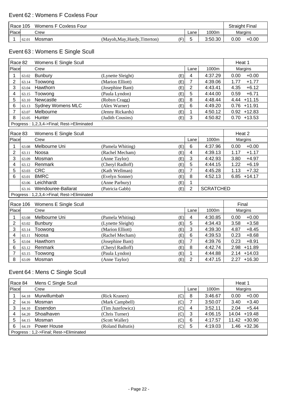| Race 105 |       | Womens F Coxless Four |                                |            |      |         | <b>Straight Final</b> |         |
|----------|-------|-----------------------|--------------------------------|------------|------|---------|-----------------------|---------|
| Place    |       | Crew                  |                                |            | Lane | 1000m   | Margins               |         |
|          | 62.01 | Mosman                | (Mayoh, May, Hardy, Titterton) | $(\Gamma)$ |      | 3:50.30 | 0.00                  | $+0.00$ |

# Event 63 : Womens E Single Scull

| Race 82        |          | Womens E Single Scull                      |                   |     |                 |                  | Heat 1           |
|----------------|----------|--------------------------------------------|-------------------|-----|-----------------|------------------|------------------|
| Place          |          | Crew                                       |                   |     | Lane            | 1000m            | Margins          |
| 1              | 63.02    | <b>Bunbury</b>                             | (Lynette Sleight) | (E) | 4               | 4:37.29          | $+0.00$<br>0.00  |
| $\overline{2}$ | 63.14    | Toowong                                    | (Marion Elliott)  | (E) | $\overline{7}$  | 4:39.06          | 1.77<br>$+1.77$  |
| 3              | 63.04    | Hawthorn                                   | (Josephine Bant)  | (E) | $\overline{2}$  | 4:43.41          | 4.35<br>$+6.12$  |
| 4              | 63.15    | Toowong                                    | (Paula Lyndon)    | (E) | 5               | 4:44.00          | 0.59<br>$+6.71$  |
| 5              | 63.10    | Newcastle                                  | (Robyn Cragg)     | (E) | 8               | 4:48.44          | $+11.15$<br>4.44 |
| 6              | 63.13    | <b>Sydney Womens MLC</b>                   | (Alex Warner)     | (E) | $6\phantom{1}6$ | 4:49.20          | $0.76 + 11.91$   |
| $\overline{7}$ | 63.07    | Melbourne                                  | (Jenny Rickards)  | (E) | 1               | 4:50.12          | $0.92 + 12.83$   |
| 8              | 63.05    | Hunter                                     | (Judith Cousins)  | (E) | 3               | 4:50.82          | $0.70 + 13.53$   |
|                |          | Progress: 1,2,3,4->Final; Rest->Eliminated |                   |     |                 |                  |                  |
| Race 83        |          | Womens E Single Scull                      |                   |     |                 |                  | Heat 2           |
| Place          |          | Crew                                       |                   |     | Lane            | 1000m            | Margins          |
| 1              | 63.08    | Melbourne Uni                              | (Pamela Whiting)  | (E) | $6\phantom{1}6$ | 4:37.96          | $+0.00$<br>0.00  |
| 2              | 63.11    | Noosa                                      | (Rachel Mecham)   | (E) | 4               | 4:39.13          | 1.17<br>$+1.17$  |
| 3              | 63.09    | Mosman                                     | (Anne Taylor)     | (E) | 3               | 4:42.93          | $+4.97$<br>3.80  |
| 4              | 63.12    | Renmark                                    | (Cheryl Radloff)  | (E) | 5               | 4:44.15          | 1.22<br>$+6.19$  |
| 5              | 63.03    | <b>CRC</b>                                 | (Kath Wellman)    | (E) | $\overline{7}$  | 4:45.28          | 1.13<br>$+7.32$  |
| 6              | 63.01    | <b>BMRC</b>                                | (Evelyn Sonner)   | (E) | 8               | 4:52.13          | $+14.17$<br>6.85 |
|                | 63.06    | Leichhardt                                 | (Anne Parbury)    | (E) | 1               |                  |                  |
|                | 63.16    | Wendouree-Ballarat                         | (Patricia Gabb)   | (E) | $\overline{2}$  | <b>SCRATCHED</b> |                  |
|                |          | Progress: 1,2,3,4->Final; Rest->Eliminated |                   |     |                 |                  |                  |
|                | Race 106 | Womens E Single Scull                      |                   |     |                 |                  | Final            |
| Place          |          | Crew                                       |                   |     | Lane            | 1000m            | Margins          |
| 1              | 63.08    | Melbourne Uni                              | (Pamela Whiting)  | (E) | $\overline{4}$  | 4:30.85          | 0.00<br>$+0.00$  |
| $\overline{2}$ | 63.02    | <b>Bunbury</b>                             | (Lynette Sleight) | (E) | 5               | 4:34.43          | $+3.58$<br>3.58  |
| 3              | 63.14    | Toowong                                    | (Marion Elliott)  | (E) | 3               | 4:39.30          | $+8.45$<br>4.87  |
| 4              | 63.11    | Noosa                                      | (Rachel Mecham)   | (E) | $\,6$           | 4:39.53          | 0.23<br>$+8.68$  |
| 5              | 63.04    | Hawthorn                                   | (Josephine Bant)  | (E) | $\overline{7}$  | 4:39.76          | 0.23<br>$+8.91$  |
| 6              | 63.12    | Renmark                                    | (Cheryl Radloff)  | (E) | 8               | 4:42.74          | $+11.89$<br>2.98 |
| 7              | 63.15    | Toowong                                    | (Paula Lyndon)    | (E) | $\mathbf{1}$    | 4:44.88          | $2.14 + 14.03$   |
| 8              | 63.09    | Mosman                                     | (Anne Taylor)     | (E) | $\overline{2}$  | 4:47.15          | $2.27 + 16.30$   |

# Event 64 : Mens C Single Scull

| Race 84 |                                        | Mens C Single Scull |                   |     |      |         | Heat 1          |  |
|---------|----------------------------------------|---------------------|-------------------|-----|------|---------|-----------------|--|
| Place   |                                        | Crew                |                   |     | Lane | 1000m   | Margins         |  |
|         | 64.18                                  | Murwillumbah        | (Rick Kranen)     | (C) | 8    | 3:46.67 | $+0.00$<br>0.00 |  |
| 2       | 64.16                                  | Mosman              | (Mark Campbell)   | (C) |      | 3:50.07 | $+3.40$<br>3.40 |  |
| 3       | 64.10                                  | Essendon            | (Tim Juzefowicz)  | (C) | 4    | 3:52.11 | $+5.44$<br>2.04 |  |
|         | 64.20                                  | Shoalhaven          | (Chris Turner)    | (C) | 3    | 4:06.15 | $14.04 + 19.48$ |  |
| 5       | 64.15                                  | Mosman              | (Scott Waller)    | (C) | 6    | 4:17.57 | +30.90<br>11.42 |  |
| 6       | 64.19                                  | Power House         | (Roland Baltutis) | (C) | 5    | 4:19.03 | $1.46 + 32.36$  |  |
|         | Progress: 1,2->Final; Rest->Eliminated |                     |                   |     |      |         |                 |  |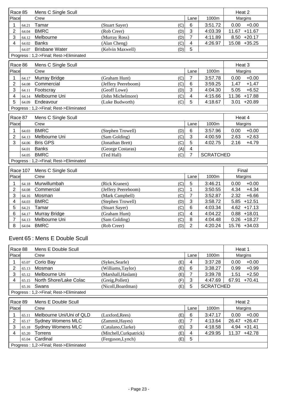| Race 85<br>Mens C Single Scull         |          |                                        |                            |                                |  | Heat 2           |                  |
|----------------------------------------|----------|----------------------------------------|----------------------------|--------------------------------|--|------------------|------------------|
| Place                                  |          | Crew                                   |                            | Lane                           |  | 1000m            | Margins          |
| 1                                      | 64.21    | Tamar                                  | (C)<br>(Stuart Sayer)      | 6                              |  | 3:51.72          | $+0.00$<br>0.00  |
| $\overline{2}$                         | 64.04    | <b>BMRC</b>                            | (Rob Creer)<br>(D)         | 3                              |  | 4:03.39          | 11.67 +11.67     |
| 3                                      | 64.12    | Melbourne                              | (Murray Ross)<br>(D)       | $\overline{7}$                 |  | 4:11.89          | $8.50 +20.17$    |
| 4                                      | 64.02    | <b>Banks</b>                           | (Alan Cheng)<br>(C)        | 4                              |  | 4:26.97          | 15.08 +35.25     |
|                                        | 64.07    | <b>Brisbane Water</b>                  | (Kelvin Maxwell)<br>(D)    | 5                              |  |                  |                  |
| Progress: 1,2->Final; Rest->Eliminated |          |                                        |                            |                                |  |                  |                  |
| Race 86                                |          | Mens C Single Scull                    |                            |                                |  |                  | Heat 3           |
| Place                                  |          | Crew                                   |                            | Lane                           |  | 1000m            | Margins          |
| 1                                      | 64.17    | Murray Bridge                          | (C)<br>(Graham Hunt)       | $\overline{7}$                 |  | 3:57.78          | 0.00<br>$+0.00$  |
| $\overline{2}$                         | 64.08    | Commercial                             | (C)<br>(Jeffery Peereboom) | $6\phantom{1}$                 |  | 3:59.25          | $+1.47$<br>1.47  |
| 3                                      | 64.11    | Footscray                              | (Geoff Lowe)<br>(D)        | 3                              |  | 4:04.30          | 5.05<br>$+6.52$  |
| 4                                      | 64.14    | Melbourne Uni                          | (John Michelmore)<br>(C)   | $\overline{\mathbf{4}}$        |  | 4:15.66          | 11.36 +17.88     |
| 5                                      | 64.09    | Endeavour                              | (Luke Budworth)<br>(C)     | 5                              |  | 4:18.67          | 3.01<br>$+20.89$ |
|                                        |          | Progress: 1,2->Final; Rest->Eliminated |                            |                                |  |                  |                  |
| Race 87                                |          | Mens C Single Scull                    |                            |                                |  |                  | Heat 4           |
| Place                                  |          | Crew                                   |                            | Lane                           |  | 1000m            | Margins          |
| 1                                      | 64.03    | <b>BMRC</b>                            | (Stephen Trowell)<br>(D)   | $6\phantom{1}6$                |  | 3:57.96          | 0.00<br>$+0.00$  |
| $\overline{\mathbf{c}}$                | 64.13    | Melbourne Uni                          | (Sam Golding)<br>(C)       | $\mathbf{3}$                   |  | 4:00.59          | 2.63<br>$+2.63$  |
| 3                                      | 64.06    | <b>Bris GPS</b>                        | (C)<br>(Jonathan Brett)    | 5                              |  | 4:02.75          | 2.16<br>$+4.79$  |
|                                        | 64.01    | <b>Banks</b>                           | (George Costaras)          | $\overline{\mathbf{4}}$<br>(A) |  |                  |                  |
|                                        | 64.05    | <b>BMRC</b>                            | (C)<br>(Ted Hall)          | $\overline{7}$                 |  | <b>SCRATCHED</b> |                  |
|                                        |          | Progress: 1,2->Final; Rest->Eliminated |                            |                                |  |                  |                  |
|                                        |          |                                        |                            |                                |  |                  |                  |
|                                        | Race 107 | Mens C Single Scull                    |                            |                                |  |                  | Final            |
| Place                                  |          | Crew                                   |                            | Lane                           |  | 1000m            | Margins          |
| 1                                      | 64.18    | Murwillumbah                           | (C)<br>(Rick Kranen)       | 5                              |  | 3:46.21          | $+0.00$<br>0.00  |
| $\overline{2}$                         | 64.08    | Commercial                             | (C)<br>(Jeffery Peereboom) | $\mathbf{1}$                   |  | 3:50.55          | 4.34<br>$+4.34$  |
| 3                                      | 64.16    | Mosman                                 | (Mark Campbell)<br>(C)     | $\overline{7}$                 |  | 3:52.87          | 2.32<br>$+6.66$  |
| 4                                      | 64.03    | <b>BMRC</b>                            | (Stephen Trowell)<br>(D)   | 3                              |  | 3:58.72          | $5.85 + 12.51$   |
| 5                                      | 64.21    | Tamar                                  | (C)<br>(Stuart Sayer)      | $\,6$                          |  | 4:03.34          | $4.62 + 17.13$   |
| 6                                      | 64.17    | Murray Bridge                          | (C)<br>(Graham Hunt)       | $\overline{4}$                 |  | 4:04.22          | $0.88 + 18.01$   |
| $\overline{7}$                         | 64.13    | Melbourne Uni                          | (C)<br>(Sam Golding)       | 8                              |  | 4:04.48          | $0.26 + 18.27$   |
| 8                                      | 64.04    | <b>BMRC</b>                            | (Rob Creer)<br>(D)         | $\overline{2}$                 |  | 4:20.24          | 15.76 +34.03     |

## Event 65 : Mens E Double Scull

| Race 88                                |       | Mens E Double Scull      |                                |      |                  | Heat 1            |
|----------------------------------------|-------|--------------------------|--------------------------------|------|------------------|-------------------|
| Place                                  |       | Crew                     |                                | Lane | 1000m            | Margins           |
|                                        | 65.07 | Corio Bay                | (E)<br>(Sykes,Searle)          | 4    | 3:37.28          | 0.00<br>$+0.00$   |
| 2                                      | 65.13 | Mosman                   | (Williams, Taylor)<br>(E)      | 6    | 3:38.27          | $+0.99$<br>0.99   |
| 3                                      | 65.12 | Melbourne Uni            | (Marshall, Haslam)<br>(E)      |      | 3:39.78          | $+2.50$<br>1.51   |
| 4                                      | 65.15 | North Shore/Lake Colac   | (F)<br>(Greig, Pollett)        | 3    | 4:47.69          | $+70.41$<br>67.91 |
|                                        | 65.16 | Swans                    | (Nicoll, Boardman)<br>(E)      | 5    | <b>SCRATCHED</b> |                   |
| Progress: 1,2->Final; Rest->Eliminated |       |                          |                                |      |                  |                   |
|                                        |       |                          |                                |      |                  |                   |
|                                        |       |                          |                                |      |                  |                   |
| Race 89                                |       | Mens E Double Scull      |                                |      |                  | Heat 2            |
| Place                                  |       | Crew                     |                                | Lane | 1000m            | Margins           |
|                                        | 65.11 | Melbourne Uni/Uni of QLD | (E)<br>(Luxford, Rees)         | 6    | 3:47.17          | 0.00<br>$+0.00$   |
| 2                                      | 65.17 | <b>Sydney Womens MLC</b> | (E)<br>(Zammit, Hayes)         | 7    | 4:13.64          | $+26.47$<br>26.47 |
| 3                                      | 65.18 | <b>Sydney Womens MLC</b> | (Catalano,Clarke)<br>(E)       | 3    | 4:18.58          | $+31.41$<br>4.94  |
| 4                                      | 65.20 | Torrens                  | (Mitchell, Curkpatrick)<br>(E) | 4    | 4:29.95          | +42.78<br>11.37   |
|                                        | 65.04 | Cardinal                 | (Ferguson, Lynch)<br>(E)       | 5    |                  |                   |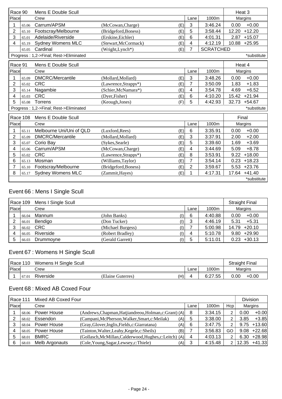| Race 90        |          | Mens E Double Scull                    |                                |                |                  | Heat 3            |
|----------------|----------|----------------------------------------|--------------------------------|----------------|------------------|-------------------|
| Place          |          | Crew                                   |                                | Lane           | 1000m            | Margins           |
| 1              | 65.06    | Carrum/APSM                            | (McCowan, Charge)<br>(E)       | 3              | 3:46.24          | $+0.00$<br>0.00   |
| 2              | 65.10    | Footscray/Melbourne                    | (Bridgeford, Boness)<br>(E)    | 5              | 3:58.44          | $+12.20$<br>12.20 |
| 3              | 65.01    | Adelaide/Riverside                     | (Erskine, Eichler)<br>(E)      | 6              | 4:01.31          | 2.87<br>$+15.07$  |
| 4              | 65.19    | <b>Sydney Womens MLC</b>               | (Stewart, McCormack)<br>(E)    | 4              | 4:12.19          | 10.88<br>$+25.95$ |
|                | 65.05    | Cardinal                               | (Wright,Lynch*)<br>(E)         | 7              | <b>SCRATCHED</b> |                   |
|                |          | Progress: 1,2->Final; Rest->Eliminated |                                |                |                  | *substitute       |
| Race 91        |          | Mens E Double Scull                    |                                |                |                  | Heat 4            |
| Place          |          | Crew                                   |                                | Lane           | 1000m            | Margins           |
|                | 65.09    | <b>DMCRC/Mercantile</b>                | (Mollard.Mollard)<br>(E)       | 3              | 3:48.26          | $+0.00$<br>0.00   |
| $\overline{2}$ | 65.02    | <b>CRC</b>                             | (E)<br>$(Lawrence, Str apps*)$ | 7              | 3:50.09          | $+1.83$<br>1.83   |
| 3              | 65.14    | Nagambie                               | (Schier, McNamara*)<br>(E)     | 4              | 3:54.78          | $+6.52$<br>4.69   |
| 4              | 65.03    | <b>CRC</b>                             | (Dyer, Fisher)<br>(E)          | 6              | 4:10.20          | $+21.94$<br>15.42 |
| 5              | 65.08    | Torrens                                | (Keough, Jones)<br>(F)         | 5              | 4:42.93          | 32.73<br>$+54.67$ |
|                |          | Progress: 1,2->Final; Rest->Eliminated |                                |                |                  | *substitute       |
|                | Race 108 | Mens E Double Scull                    |                                |                |                  | Final             |
| Place          |          | Crew                                   |                                | Lane           | 1000m            | Margins           |
| 1              | 65.11    | Melbourne Uni/Uni of QLD               | (Luxford, Rees)<br>(E)         | 6              | 3:35.91          | $+0.00$<br>0.00   |
| $\overline{2}$ | 65.09    | <b>DMCRC/Mercantile</b>                | (E)<br>(Mollard, Mollard)      | 3              | 3:37.91          | $+2.00$<br>2.00   |
| 3              | 65.07    | Corio Bay                              | (Sykes, Searle)<br>(E)         | 5              | 3:39.60          | $+3.69$<br>1.69   |
| 4              | 65.06    | Carrum/APSM                            | (McCowan, Charge)<br>(E)       | 4              | 3:44.69          | $+8.78$<br>5.09   |
| 5              | 65.02    | <b>CRC</b>                             | (Lawrence, Strapps*)<br>(E)    | 8              | 3:53.91          | $+18.00$<br>9.22  |
| 6              | 65.13    | Mosman                                 | (Williams, Taylor)<br>(E)      | 7              | 3:54.14          | $+18.23$<br>0.23  |
| 7              | 65.10    | Footscray/Melbourne                    | (E)<br>(Bridgeford, Boness)    | $\overline{2}$ | 3:59.67          | $+23.76$<br>5.53  |
| 8              | 65.17    | <b>Sydney Womens MLC</b>               | (Zammit, Hayes)<br>(E)         | 1              | 4:17.31          | $+41.40$<br>17.64 |
|                |          |                                        |                                |                |                  | *substitute       |

# Event 66 : Mens I Single Scull

|       |       | Race 109 Mens I Single Scull |                   |                                 |      |         | <b>Straight Final</b> |
|-------|-------|------------------------------|-------------------|---------------------------------|------|---------|-----------------------|
| Place |       | Crew                         |                   |                                 | Lane | 1000m   | Margins               |
|       | 66.04 | Mannum                       | (John Banks)      | I).                             | 6    | 4:40.88 | $+0.00$<br>0.00       |
|       | 66.01 | Bendigo                      | (Don Tucker)      | $\left( \vert \right)$          | 3    | 4:46.19 | 5.31<br>$+5.31$       |
|       |       | 66.02 CRC                    | (Michael Burgess) | (1)                             |      | 5:00.98 | $14.79 + 20.10$       |
|       | 66.05 | Riverside                    | (Robert Bradley)  | $\left( \left  {}\right)$       | 4    | 5:10.78 | $9.80 + 29.90$        |
| 5     | 66.03 | Drummoyne                    | (Gerald Garrett)  | $\left( \left  \right  \right)$ | 5    | 5:11.01 | $+30.13$<br>0.23      |

# Event 67 : Womens H Single Scull

| Race 110<br>Womens H Single Scull |       |           |                   |     | <b>Straight Final</b> |         |                 |
|-----------------------------------|-------|-----------|-------------------|-----|-----------------------|---------|-----------------|
| Place                             |       | Crew      |                   |     | ∟ane                  | 1000m   | Margins         |
|                                   | 67.01 | Riverside | (Elaine Guterres) | (H) |                       | 6:27.55 | 0.00<br>$+0.00$ |

### Event 68 : Mixed AB Coxed Four

|       | Mixed AB Coxed Four<br>Race 111 |                |                                                         |          |         |                | <b>Division</b> |          |
|-------|---------------------------------|----------------|---------------------------------------------------------|----------|---------|----------------|-----------------|----------|
| Place |                                 | Crew           |                                                         | Lane     | 1000m   | Hcp            |                 | Margins  |
|       | 68.06                           | Power House    | (Andrews, Chapman, Hatjiandreou, Holman, c: Grant) (A)  | 8        | 3:34.15 | 2              | 0.00            | $+0.00$  |
| っ     | 68.02                           | Essendon       | (Campani, McPherson, Walker, Smart, c: Meilak)          | (A)<br>5 | 3:38.00 | 2              | 3.85            | $+3.85$  |
|       | 68.04                           | Power House    | (Gray, Glover, Inglis, Fields, c: Giarratana)           | (A)<br>6 | 3:47.75 | 2              | 9.75            | $+13.60$ |
| 4     | 68.05                           | Power House    | Tainton, Walter, Leahy, Kegele, c: Sheils)              | (B)      | 3:56.83 | GO             | 9.08            | $+22.68$ |
| 5     | 68.01                           | <b>BMRC</b>    | (Gollasch, McMillan, Calderwood, Hughes, c: Leitch) (A) | 4        | 4:03.13 | $\overline{2}$ | 6.30            | +28.98   |
| 6     | 68.03                           | Melb Argonauts | (Cole, Young, Sagar, Lewsey, c: Thiele)                 | (A)<br>3 | 4:15.48 | 2              | 12.35           | $+41.33$ |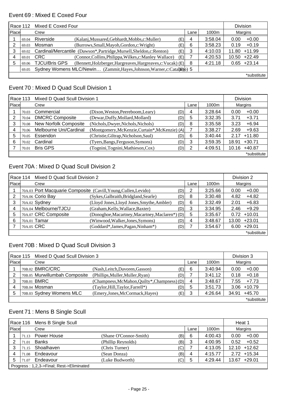#### Event 69 : Mixed E Coxed Four

|   | Race 112                                                                       | Mixed E Coxed Four   | <b>Division</b>                                                  |      |       |         |                   |  |
|---|--------------------------------------------------------------------------------|----------------------|------------------------------------------------------------------|------|-------|---------|-------------------|--|
|   | Place<br>Crew                                                                  |                      |                                                                  | Lane | 1000m | Margins |                   |  |
|   | 69.04                                                                          | Riverside            | (Kalanj, Mussared, Gebhardt, Mobbs, c: Muller)                   | (E)  | 4     | 3:58.04 | $+0.00$<br>0.00   |  |
|   | 69.03                                                                          | Mosman               | (Burrows, Small, Mayoh, Gordon, c: Wright)                       | (E)  | 6     | 3:58.23 | $+0.19$<br>0.19   |  |
| 3 | 69.02                                                                          |                      | Cardinal/Mercantile (Dawson*,Partridge,Mursell,Sheldon,c:Renton) | (E)  | 3     | 4:10.03 | $+11.99$<br>11.80 |  |
| 4 | 69.01                                                                          | <b>CRC</b>           | (Connor, Collins, Philippa, Wilkes, c: Manley Wallace)           | (E)  |       | 4:20.53 | $+22.49$<br>10.50 |  |
| 5 | 69.06                                                                          | <b>TJCU/Bris GPS</b> | (Bennett, Holzberger, Hargreaves, Hargreaves, c: Vucak) (E)      |      | 8     | 4:21.18 | $+23.14$<br>0.65  |  |
|   | Sydney Womens MLC/Newin (Zammit, Hayes, Johnson, Warner, c: Cata(h) 5<br>69.05 |                      |                                                                  |      |       |         |                   |  |
|   |                                                                                |                      |                                                                  |      |       |         | *substitute       |  |

### Event 70 : Mixed D Quad Scull Division 1

| Race 113 |       | Mixed D Quad Scull Division 1 |                                                |     |      |         |       | Division    |  |
|----------|-------|-------------------------------|------------------------------------------------|-----|------|---------|-------|-------------|--|
| Place    |       | Crew                          |                                                |     | Lane | 1000m   |       | Margins     |  |
|          | 70.03 | Commercial                    | (Dixon, Weston, Peereboom, Leary)              | (D) | 4    | 3:28.64 | 0.00  | $+0.00$     |  |
| 2        | 70.04 | <b>DMCRC Composite</b>        | (Dewar, Duffy, Mollard, Mollard)               | (D) | 5    | 3:32.35 | 3.71  | $+3.71$     |  |
| 3        | 70.08 | <b>New Norfolk Composite</b>  | (Nichols, Dwyer, Nichols, Nichols)             | (D) | 8    | 3:35.58 | 3.23  | $+6.94$     |  |
|          | 70.06 | Melbourne Uni/Cardinal        | (Montgomery, McKenzie, Curtain*, McKenzie) (A) |     |      | 3:38.27 | 2.69  | $+9.63$     |  |
| 5        | 70.05 | Essendon                      | (Christie, Giltrap, Nicholson, Saul)           | (D) | 6    | 3:40.44 | 2.17  | $+11.80$    |  |
| 6        | 70.02 | Cardinal                      | (Tyers, Bangs, Ferguson, Symons)               | (D) | 3    | 3:59.35 | 18.91 | $+30.71$    |  |
|          | 70.01 | <b>Bris GPS</b>               | (Tognini, Tognini, Mathieson, Cox)             | (D) | 2    | 4:09.51 | 10.16 | $+40.87$    |  |
|          |       |                               |                                                |     |      |         |       | *substitute |  |

### Event 70A : Mixed D Quad Scull Division 2

|       | Mixed D Quad Scull Division 2<br>Race 114 |                                                                 |     |      |         |       | Division 2  |  |
|-------|-------------------------------------------|-----------------------------------------------------------------|-----|------|---------|-------|-------------|--|
| Place | Crew                                      |                                                                 |     | Lane | 1000m   |       | Margins     |  |
|       |                                           | 70A.03 Port Macquarie Composite (Cavill, Young, Cullen, Levido) | (D) | 2    | 3:25.66 | 0.00  | $+0.00$     |  |
| າ     | 70A.06 Corio Bay                          | (Sykes, Galbraith, Bridgland, Searle)                           | (D) | 8    | 3:30.48 | 4.82  | $+4.82$     |  |
| 3     | 70A.02 Sydney                             | (Lloyd Jones, Lloyd Jones, Smythe, Ambler)                      | (D) | 6    | 3:32.49 | 2.01  | $+6.83$     |  |
|       | 70A.04 Melbourne/TJCU                     | (Graham, Kelly, Wallace, Baxter)                                | (D) | 3    | 3:34.95 | 2.46  | $+9.29$     |  |
| 5     | 70A.07 CRC Composite                      | (Donoghoe, Macartney, Macartney, Maclaren*) (D)                 |     | 5    | 3:35.67 | 0.72  | $+10.01$    |  |
| 6     | 70A.01 Tamar                              | (Winwood, Walker, Jones, Symons)                                | (D) | 4    | 3:48.67 | 13.00 | $+23.01$    |  |
|       | 70A.05 CRC                                | (Goddard*, James, Pagan, Ninham*)                               | (D) |      | 3:54.67 | 6.00  | $+29.01$    |  |
|       |                                           |                                                                 |     |      |         |       | *substitute |  |

#### Event 70B : Mixed D Quad Scull Division 3

|       | Mixed D Quad Scull Division 3<br>Race 115 |                                              |     |      |         |       | Division 3  |
|-------|-------------------------------------------|----------------------------------------------|-----|------|---------|-------|-------------|
| Place | Crew                                      |                                              |     | Lane | 1000m   |       | Margins     |
|       | 70B.02 BMRC/CRC                           | (Nash, Leitch, Davoren, Gasson)              | (E) | 6    | 3:40.94 | 0.00  | $+0.00$     |
|       | 70B.05 Murwillumbah Composite             | (Phillips, Muller, Muller, Ryan)             | (D) |      | 3:41.12 | 0.18  | $+0.18$     |
| 3     | 70B.01 BMRC                               | (Champness, McMahon, Quilty*, Champness) (D) |     | 4    | 3:48.67 | 7.55  | $+7.73$     |
|       | 70B.04 Mosman                             | (Taylor, Hill, Taylor, Farrell*)             | (D) | 5    | 3:51.73 | 3.06  | $+10.79$    |
| 5     | 70B.03 Sydney Womens MLC                  | (Emery, Jones, McCormack, Hayes)             | (E) | 3    | 4:26.64 | 34.91 | $+45.70$    |
|       |                                           |                                              |     |      |         |       | *substitute |

### Event 71 : Mens B Single Scull

|                                          |       | Race 116 Mens B Single Scull |                        |     |      |         | Heat 1            |
|------------------------------------------|-------|------------------------------|------------------------|-----|------|---------|-------------------|
| <b>Place</b>                             |       | Crew                         |                        |     | Lane | 1000m   | Margins           |
|                                          | 71.13 | Power House                  | (Shane O'Connor-Smith) | (B) | 6    | 4:00.43 | $+0.00$<br>0.00   |
| 2                                        | 71.01 | Banks                        | (Phillip Reynolds)     | (B) | 3    | 4:00.95 | $+0.52$<br>0.52   |
| 3                                        | 71.15 | Shoalhaven                   | (Chris Turner)         | (C) |      | 4:13.05 | $+12.62$<br>12.10 |
|                                          | 71.08 | Endeavour                    | (Sean Donza)           | (B) | 4    | 4:15.77 | $2.72 + 15.34$    |
| 5                                        | 71.07 | Endeavour                    | (Luke Budworth)        | (C) | 5    | 4:29.44 | $+29.01$<br>13.67 |
| Progress: 1,2,3->Final; Rest->Eliminated |       |                              |                        |     |      |         |                   |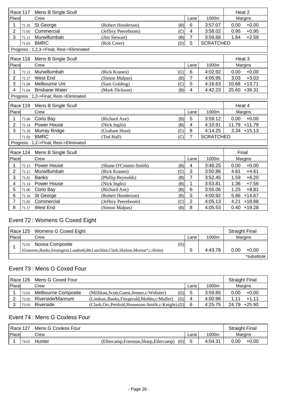|                                        | Race 117 | Mens B Single Scull                      |                               |                 |                  | Heat 2           |
|----------------------------------------|----------|------------------------------------------|-------------------------------|-----------------|------------------|------------------|
| Place                                  |          | Crew                                     |                               | Lane            | 1000m            | Margins          |
| 1                                      | 71.16    | St George                                | (Robert Henderson)<br>(B)     | 6               | 3:57.07          | $+0.00$<br>0.00  |
| $\overline{2}$                         | 71.05    | Commercial                               | (Jeffery Peereboom)<br>(C)    | 4               | 3:58.02          | $+0.95$<br>0.95  |
| 3                                      | 71.11    | Murwillumbah                             | (Jim Stewart)<br>(B)          | $\overline{7}$  | 3:59.66          | 1.64<br>$+2.59$  |
|                                        | 71.03    | <b>BMRC</b>                              | (Rob Creer)<br>(D)            | 5               | <b>SCRATCHED</b> |                  |
|                                        |          | Progress: 1,2,3->Final; Rest->Eliminated |                               |                 |                  |                  |
|                                        |          | Race 118 Mens B Single Scull             |                               |                 |                  | Heat 3           |
| Place                                  |          | Crew                                     |                               | Lane            | 1000m            | Margins          |
| 1                                      | 71.12    | Murwillumbah                             | (Rick Kranen)<br>(C)          | $6\phantom{1}6$ | 4:02.92          | $+0.00$<br>0.00  |
| $\overline{2}$                         | 71.17    | West End                                 | (Simon Malpas)<br>(B)         | $\overline{7}$  | 4:05.95          | 3.03<br>$+3.03$  |
| 3                                      | 71.09    | Melbourne Uni                            | (Sam Golding)<br>(C)          | 5               | 4:16.63          | 10.68 +13.71     |
| 4                                      | 71.04    | <b>Brisbane Water</b>                    | (Mark Dickson)<br>(B)         | 4               | 4:42.23          | 25.60 +39.31     |
| Progress: 1,2->Final; Rest->Eliminated |          |                                          |                               |                 |                  |                  |
|                                        | Race 119 | Mens B Single Scull                      |                               |                 |                  | Heat 4           |
| Place                                  |          | Crew                                     |                               | Lane            | 1000m            | Margins          |
| 1                                      | 71.06    | Corio Bay                                | (Richard Axe)<br>(B)          | 5               | 3:59.12          | $+0.00$<br>0.00  |
| $\overline{2}$                         | 71.14    | Power House                              | (Nick Inglis)<br>(B)          | 4               | 4:10.91          | 11.79 +11.79     |
| 3                                      | 71.10    | Murray Bridge                            | (C)<br>(Graham Hunt)          | 6               | 4:14.25          | $3.34 + 15.13$   |
|                                        | 71.02    | <b>BMRC</b>                              | (Ted Hall)<br>(C)             | $\overline{7}$  | <b>SCRATCHED</b> |                  |
|                                        |          | Progress: 1,2->Final; Rest->Eliminated   |                               |                 |                  |                  |
|                                        | Race 124 | Mens B Single Scull                      |                               |                 |                  | Final            |
| Place                                  |          | Crew                                     |                               | Lane            | 1000m            | Margins          |
| 1                                      | 71.13    | Power House                              | (Shane O'Connor-Smith)<br>(B) | 4               | 3:46.25          | $+0.00$<br>0.00  |
| $\overline{2}$                         | 71.12    | Murwillumbah                             | (Rick Kranen)<br>(C)          | 3               | 3:50.86          | $+4.61$<br>4.61  |
| 3                                      | 71.01    | <b>Banks</b>                             | (B)<br>(Phillip Reynolds)     | 7               | 3:52.45          | $+6.20$<br>1.59  |
| 4                                      | 71.14    | Power House                              | (Nick Inglis)<br>(B)          | 1               | 3:53.81          | 1.36<br>$+7.56$  |
| 5                                      | 71.06    | Corio Bay                                | (Richard Axe)<br>(B)          | 6               | 3:55.06          | 1.25<br>$+8.81$  |
| 6                                      | 71.16    | St George                                | (B)<br>(Robert Henderson)     | 5               | 4:00.92          | $+14.67$<br>5.86 |
|                                        | 71.05    | Commercial                               | (Jeffery Peereboom)<br>(C)    | $\overline{2}$  | 4:05.13          | 4.21<br>$+18.88$ |
| 8                                      | 71.17    | <b>West End</b>                          | (B)<br>(Simon Malpas)         | 8               | 4:05.53          | $0.40 + 19.28$   |

### Event 72 : Womens G Coxed Eight

|       |       | Race 125 Womens G Coxed Eight                                                         |     |      |         | <b>Straight Final</b> |             |
|-------|-------|---------------------------------------------------------------------------------------|-----|------|---------|-----------------------|-------------|
| Place |       | Crew                                                                                  |     | Lane | 1000m   |                       | Margins     |
|       | 72.01 | Noosa Composite                                                                       | (G) |      |         |                       |             |
|       |       | (Guterres, Banks, Simington, Landreth, McLauchlan, Clark, Skelton, Morton*, c: Holst) |     |      | 4:43.78 | 0.00                  | $+0.00$     |
|       |       |                                                                                       |     |      |         |                       | *substitute |

# Event 73 : Mens G Coxed Four

|       | Race 126 Mens G Coxed Four |                     |                                                      |     | <b>Straight Final</b> |         |       |              |
|-------|----------------------------|---------------------|------------------------------------------------------|-----|-----------------------|---------|-------|--------------|
| Place |                            | Crew                |                                                      |     | Lane                  | 1000m   |       | Margins      |
|       | 73.01                      | Melbourne Composite | (Millikan, Scott, Guest, Jenner, c: Webster)         | (G) | 5                     | 3:59.85 | 0.00  | $+0.00$      |
|       | 73.02                      | Riverside/Mannum    | (Lindsay, Banks, Fitzgerald, Mobbs, c: Muller)       | (G) |                       | 4:00.96 | 1 1 1 | $+1.11$      |
|       | 73.03                      | Riverside           | (Clark, Orr, Penfold, Hosenson-Smith, c: Knight) (G) |     | 6                     | 4:25.75 |       | 24.79 +25.90 |

# Event 74 : Mens G Coxless Four

| Race 127 |       | Mens G Coxless Four |                                        |               |         | <b>Straight Final</b> |         |
|----------|-------|---------------------|----------------------------------------|---------------|---------|-----------------------|---------|
| Place    |       | Crew                |                                        | 1000m<br>Lane |         | Margins               |         |
|          | 74.01 | Hunter              | (Ellercamp, Freeman, Sharp, Ellercamp) | (G)           | 4:04.31 | 0.00                  | $+0.00$ |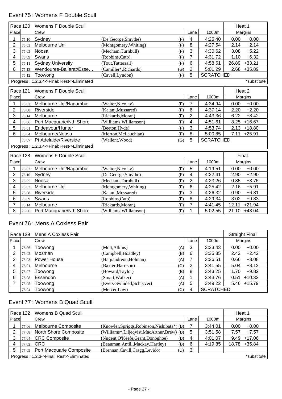# Event 75 : Womens F Double Scull

|                | Race 120        | Womens F Double Scull                      |                               |                         |                  | Heat 1            |
|----------------|-----------------|--------------------------------------------|-------------------------------|-------------------------|------------------|-------------------|
| Place          |                 | Crew                                       |                               | Lane                    | 1000m            | Margins           |
| 1              | 75.10           | Sydney                                     | (De George, Smythe)<br>(F)    | $\overline{\mathbf{4}}$ | 4:25.40          | 0.00<br>$+0.00$   |
| $\overline{2}$ | 75.03           | Melbourne Uni                              | (Montgomery, Whiting)<br>(F)  | 8                       | 4:27.54          | $+2.14$<br>2.14   |
| 3              | 75.05           | Noosa                                      | (Mecham, Turnbull)<br>(F)     | 3                       | 4:30.62          | $+5.22$<br>3.08   |
| 4              | 75.09           | Swans                                      | (F)<br>(Robbins,Cato)         | $\overline{7}$          | 4:31.72          | 1.10<br>$+6.32$   |
| 5              | 75.11           | <b>Sydney University</b>                   | (Tout, Tattersall)<br>(F)     | $6\phantom{1}$          | 4:58.61          | $+33.21$<br>26.89 |
| 6              | 75.13           | Wendouree-Ballarat/Esse                    | (Camiller*, Richards)<br>(G)  | $\overline{2}$          | 5:01.29          | $2.68 + 35.89$    |
|                | 75.12           | Toowong                                    | (F)<br>(Cavell,Lyndon)        | 5                       | <b>SCRATCHED</b> |                   |
|                |                 | Progress: 1,2,3,4->Final; Rest->Eliminated |                               |                         |                  | *substitute       |
|                | <b>Race 121</b> | Womens F Double Scull                      |                               |                         |                  | Heat 2            |
| Place          |                 | Crew                                       |                               | Lane                    | 1000m            | Margins           |
| 1              | 75.02           | Melbourne Uni/Nagambie                     | (Walter, Nicolay)<br>(F)      | $\overline{7}$          | 4:34.94          | 0.00<br>$+0.00$   |
| $\overline{2}$ | 75.08           | Riverside                                  | (F)<br>(Kalanj, Mussared)     | $6\phantom{1}$          | 4:37.14          | $+2.20$<br>2.20   |
| 3              | 75.14           | Melbourne                                  | (Rickards, Moran)<br>(F)      | $\overline{2}$          | 4:43.36          | $+8.42$<br>6.22   |
| 4              | 75.06           | Port Macquarie/Nth Shore                   | (F)<br>(Williams, Williamson) | 4                       | 4:51.61          | 8.25<br>$+16.67$  |
| 5              | 75.01           | Endeavour/Hunter                           | (F)<br>(Beeton, Hyde)         | 3                       | 4:53.74          | 2.13<br>$+18.80$  |
| 6              | 75.04           | Melbourne/Noosa                            | (Morton, McLauchlan)<br>(F)   | 8                       | 5:00.85          | 7.11<br>$+25.91$  |
|                | 75.07           | Pt Adelaide/Riverside                      | (Wallent, Wood)<br>(G)        | 5                       | <b>SCRATCHED</b> |                   |
|                |                 | Progress: 1,2,3,4->Final; Rest->Eliminated |                               |                         |                  |                   |
|                | Race 128        | Womens F Double Scull                      |                               |                         |                  | Final             |
| Place          |                 | Crew                                       |                               | Lane                    | 1000m            | Margins           |
| 1              | 75.02           | Melbourne Uni/Nagambie                     | (Walter, Nicolay)<br>(F)      | 5                       | 4:19.51          | $+0.00$<br>0.00   |
| 2              | 75.10           | Sydney                                     | (F)<br>(De George, Smythe)    | 4                       | 4:22.41          | $+2.90$<br>2.90   |
| 3              | 75.05           | Noosa                                      | (Mecham,Turnbull)<br>(F)      | $\overline{2}$          | 4:23.26          | $+3.75$<br>0.85   |
| 4              | 75.03           | Melbourne Uni                              | (Montgomery, Whiting)<br>(F)  | 6                       | 4:25.42          | 2.16<br>$+5.91$   |
| 5              | 75.08           | Riverside                                  | (F)<br>(Kalanj, Mussared)     | 3                       | 4:26.32          | $+6.81$<br>0.90   |
| 6              | 75.09           | Swans                                      | (Robbins,Cato)<br>(F)         | 8                       | 4:29.34          | 3.02<br>$+9.83$   |
| 7              | 75.14           | Melbourne                                  | (Rickards, Moran)<br>(F)      | $\overline{7}$          | 4:41.45          | $+21.94$<br>12.11 |
| 8              | 75.06           | Port Macquarie/Nth Shore                   | (F)<br>(Williams, Williamson) | 1                       | 5:02.55          | 21.10 +43.04      |

### Event 76 : Mens A Coxless Pair

|       |       | Race 129 Mens A Coxless Pair |                            |      |      |                  | <b>Straight Final</b> |                |
|-------|-------|------------------------------|----------------------------|------|------|------------------|-----------------------|----------------|
| Place |       | Crew                         |                            |      | Lane | 1000m            |                       | Margins        |
|       | 76.06 | Toowong                      | (Mott, Atkins)             | (A)l | 3    | 3:33.43          | 0.00                  | $+0.00$        |
| 2     | 76.02 | Mosman                       | (Campbell, Hoadley)        | (B)  | 6    | 3:35.85          | 2.42                  | $+2.42$        |
| 3     | 76.03 | Power House                  | (Hatjiandreou, Holman)     | (A)  |      | 3:36.51          | 0.66                  | $+3.08$        |
|       | 76.01 | Melbourne                    | (Baxter, Harrison)         | (C)  | 2    | 3:41.55          | 5.04                  | $+8.12$        |
| 5     | 76.07 | Toowong                      | (Howard,Taylor)            | (B)  | 8    | 3:43.25          | 1.70                  | $+9.82$        |
| 6     | 76.08 | Essendon                     | (Smart, Walker)            | (A)  |      | 3:43.76          | 0.51                  | $+10.33$       |
|       | 76.05 | Toowong                      | (Evers-Swindell, Schryver) | (A)  | 5    | 3:49.22          |                       | $5.46 + 15.79$ |
|       | 76.04 | Toowong                      | (Mercer,Law)               | (C)  | 4    | <b>SCRATCHED</b> |                       |                |

# Event 77 : Womens B Quad Scull

|                                          |       | Race 122 Womens B Quad Scull    |                                              |      |         | Heat 1  |             |
|------------------------------------------|-------|---------------------------------|----------------------------------------------|------|---------|---------|-------------|
| Place                                    |       | Crew                            |                                              | Lane | 1000m   | Margins |             |
|                                          | 77.06 | <b>Melbourne Composite</b>      | (Knowler, Spriggs, Robinson, Nishibata*) (B) |      | 3:44.01 | 0.00    | $+0.00$     |
|                                          | 77.08 | North Shore Composite           | (Williams*,Liljeqvist,MacArthur,Brew) (B)    | 5    | 3:51.58 | 7.57    | $+7.57$     |
|                                          | 77.04 | <b>CRC Composite</b>            | (Nugent, O'Keefe, Grant, Donoghoe)<br>(B)    | 4    | 4:01.07 | 9.49    | $+17.06$    |
| 4                                        | 77.02 | CRC                             | (Beauman, Antill, Mackay, Hartley)<br>(B)    | 6    | 4:19.85 | 18.78   | +35.84      |
| 5                                        | 77.09 | <b>Port Macquarie Composite</b> | (Brennan, Cavill, Cragg, Levido)<br>(D)      | 3    |         |         |             |
| Progress: 1,2,3->Final; Rest->Eliminated |       |                                 |                                              |      |         |         | *substitute |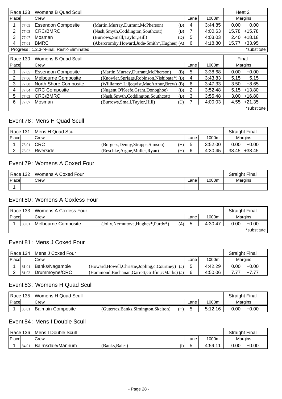|       | Race 123 | Womens B Quad Scull                      |                                               |     |      |         | Heat 2 |             |
|-------|----------|------------------------------------------|-----------------------------------------------|-----|------|---------|--------|-------------|
| Place |          | Crew                                     |                                               |     | Lane | 1000m   |        | Margins     |
|       | 77.05    | <b>Essendon Composite</b>                | (Martin, Murray, Durrant, McPherson)          | (B) | 4    | 3:44.85 | 0.00   | $+0.00$     |
| 2     | 77.03    | <b>CRC/BMRC</b>                          | (Nash, Smyth, Coddington, Southcott)          | (B) | 7    | 4:00.63 | 15.78  | $+15.78$    |
| 3     | 77.07    | Mosman                                   | (Burrows, Small, Taylor, Hill)                | (D) | 5    | 4:03.03 | 2.40   | $+18.18$    |
| 4     | 77.01    | <b>BMRC</b>                              | (Abercromby, Howard, Jude-Smith*, Hughes) (A) |     | 6    | 4:18.80 | 15.77  | $+33.95$    |
|       |          | Progress: 1,2,3->Final; Rest->Eliminated |                                               |     |      |         |        | *substitute |
|       | Race 130 | Womens B Quad Scull                      |                                               |     |      |         | Final  |             |
| Place |          | Crew                                     |                                               |     | Lane | 1000m   |        | Margins     |
|       | 77.05    | <b>Essendon Composite</b>                | (Martin, Murray, Durrant, McPherson)          | (B) | 5    | 3:38.68 | 0.00   | $+0.00$     |
| 2     | 77.06    | Melbourne Composite                      | (Knowler, Spriggs, Robinson, Nishibata*) (B)  |     | 4    | 3:43.83 | 5.15   | $+5.15$     |
| 3     | 77.08    | <b>North Shore Composite</b>             | (Williams*,Liljeqvist,MacArthur,Brew) (B)     |     | 6    | 3:47.33 | 3.50   | $+8.65$     |
| 4     | 77.04    | <b>CRC Composite</b>                     | (Nugent, O'Keefe, Grant, Donoghoe)            | (B) | 2    | 3:52.48 | 5.15   | $+13.80$    |
| 5     | 77.03    | <b>CRC/BMRC</b>                          | (Nash, Smyth, Coddington, Southcott)          | (B) | 3    | 3:55.48 | 3.00   | $+16.80$    |
| 6     | 77.07    | Mosman                                   | (Burrows, Small, Taylor, Hill)                | (D) | 7    | 4:00.03 | 4.55   | $+21.35$    |
|       |          |                                          |                                               |     |      |         |        | *substitute |

#### Event 78 : Mens H Quad Scull

| Race 131<br>Mens H Quad Scull |       |            |                                   | <b>Straight Final</b> |      |         |                 |
|-------------------------------|-------|------------|-----------------------------------|-----------------------|------|---------|-----------------|
| <b>IPlace</b>                 |       | Crew       |                                   |                       | Lane | 1000m   | Margins         |
|                               | 78.01 | <b>CRC</b> | (Burgess, Denny, Strapps, Simson) | (H)                   |      | 3:52.00 | 0.00<br>$+0.00$ |
|                               | 78.02 | Riverside  | (Reschke, Argue, Muller, Ryan)    | (H)                   |      | 4:30.45 | 38.45 +38.45    |

#### Event 79 : Womens A Coxed Four

| Race 132 | Womens A Coxed Four | <b>Straight Final</b> |       |                |
|----------|---------------------|-----------------------|-------|----------------|
| Place    | Crew                | Lane                  | 1000m | <b>Margins</b> |
|          |                     |                       |       |                |

### Event 80 : Womens A Coxless Four

| l Race 133    |       | Womens A Coxless Four |                                     |     |              |         | <b>Straight Final</b> |                |
|---------------|-------|-----------------------|-------------------------------------|-----|--------------|---------|-----------------------|----------------|
| <b>IPlace</b> |       | Crew                  |                                     |     | Lane         | 1000m   |                       | <b>Margins</b> |
|               | 80.01 | Melbourne Composite   | (Jolly, Nermutova, Hughes*, Purdy*) | (A) | <sup>5</sup> | 4:30.47 | 0.00                  | $+0.00$        |
|               |       |                       |                                     |     |              |         |                       | *substitute    |

## Event 81 : Mens J Coxed Four

| l Race 134<br>Mens J Coxed Four |       |                |                                                      |      |         | <b>Straight Final</b> |         |
|---------------------------------|-------|----------------|------------------------------------------------------|------|---------|-----------------------|---------|
| Place                           |       | Crew           |                                                      | Lane | 1000m   | <b>Margins</b>        |         |
|                                 | 81.01 | Banks/Nagambie | (Howard, Howell, Christie, Jopling, c: Courtney) (J) |      | 4:42.29 | 0.00                  | $+0.00$ |
|                                 | 81.02 | Drummoyne/CRC  | (Hammond,Buchanan,Garrett,Griffin,c:Marks) (J)       |      | 4:50.06 |                       | $+777$  |

### Event 83 : Womens H Quad Scull

|       | Womens H Quad Scull<br>l Race 135 |                          |                                       |     |      | <b>Straight Final</b> |      |                |
|-------|-----------------------------------|--------------------------|---------------------------------------|-----|------|-----------------------|------|----------------|
| Place |                                   | Crew                     |                                       |     | ∟ane | 1000m                 |      | <b>Margins</b> |
|       | 83.01                             | <b>Balmain Composite</b> | (Guterres, Banks, Simington, Skelton) | (H) |      | <b>5.19</b><br>i2.16  | 0.00 | $+0.00$        |

#### Event 84 : Mens I Double Scull

|       | 'Race<br>Double Scull<br>136<br>Mens |                   |               |    |      | Final<br>$^\circ$ traight r . |         |         |
|-------|--------------------------------------|-------------------|---------------|----|------|-------------------------------|---------|---------|
| Place |                                      | Crew              |               |    | Lane | 1000m                         | Margins |         |
|       | 84.0                                 | Bairnsdale/Mannum | (Banks,Bales) | I) | J    | 4:59.<br>. .                  | 0.00    | $+0.00$ |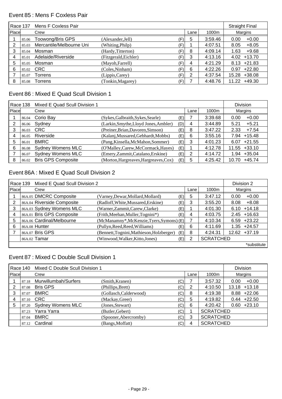#### Event 85 : Mens F Coxless Pair

|       | <b>Race 137</b> | Mens F Coxless Pair      |                       |     |      |         | <b>Straight Final</b> |
|-------|-----------------|--------------------------|-----------------------|-----|------|---------|-----------------------|
| Place |                 | Crew                     |                       |     | Lane | 1000m   | Margins               |
|       | 85.06           | Toowong/Bris GPS         | (Alexander, Jell)     | (F) | 5    | 3:59.46 | 0.00<br>$+0.00$       |
| 2     | 85.03           | Mercantile/Melbourne Uni | (Whiting, Philp)      | (F) |      | 4:07.51 | $+8.05$<br>8.05       |
| 3     | 85.04           | Mosman                   | (Hardy, Titterton)    | (F) | 8    | 4:09.14 | 1.63<br>$+9.68$       |
| 4     | 85.01           | Adelaide/Riverside       | (Fitzgerald, Eichler) | (F) | 3    | 4:13.16 | $+13.70$<br>4.02      |
| 5     | 85.05           | Mosman                   | (Mayoh, Farrell)      | (F) | 4    | 4:21.29 | $8.13 +21.83$         |
| 6     | 85.02           | <b>CRC</b>               | (Coles, Ninham)       | (F) | 6    | 4:22.26 | $+22.80$<br>0.97      |
|       | 85.07           | Torrens                  | (Lippis, Carey)       | (F) | 2    | 4:37.54 | $+38.08$<br>15.28     |
| 8     | 85.08           | Torrens                  | (Tonkin, Magarey)     | (F) |      | 4:48.76 | $+49.30$<br>11.22     |

#### Event 86 : Mixed E Quad Scull Division 1

|       | Race 138 | Mixed E Quad Scull Division 1 |                                       |     |      |         | <b>Division</b>   |
|-------|----------|-------------------------------|---------------------------------------|-----|------|---------|-------------------|
| Place |          | Crew                          |                                       |     | Lane | 1000m   | Margins           |
|       | 86.04    | Corio Bay                     | (Sykes, Galbraith, Sykes, Searle)     | (E) |      | 3:39.68 | $+0.00$<br>0.00   |
|       | 86.06    | Sydney                        | (Larkin, Smythe, Lloyd Jones, Ambler) | (D) | 4    | 3:44.89 | $+5.21$<br>5.21   |
| 3     | 86.03    | <b>CRC</b>                    | (Preiner, Brian, Davoren, Simson)     | (E) | 8    | 3:47.22 | 2.33<br>$+7.54$   |
|       | 86.05    | Riverside                     | (Kalanj, Mussared, Gebhardt, Mobbs)   | (E) | 6    | 3:55.16 | $+15.48$<br>7.94  |
| 5     | 86.01    | <b>BMRC</b>                   | (Pang, Kinsella, McMahon, Sommer)     | (E) | 3    | 4:01.23 | $+21.55$<br>6.07  |
| 6     | 86.08    | <b>Sydney Womens MLC</b>      | (O'Malley, Carew, McCormack, Hayes)   | (E) |      | 4:12.78 | $+33.10$<br>11.55 |
|       | 86.07    | <b>Sydney Womens MLC</b>      | (Emery, Zammit, Catalano, Erskine)    | (E) | 2    | 4:14.72 | $+35.04$<br>1.94  |
| 8     | 86.02    | <b>Bris GPS Composite</b>     | (Morton, Hargreaves, Hargreaves, Cox) | (E) | 5    | 4:25.42 | $+45.74$<br>10.70 |

### Event 86A : Mixed E Quad Scull Division 2

|       | Race 139 | Mixed E Quad Scull Division 2 |                                           |     |      |                  | Division 2 |                 |
|-------|----------|-------------------------------|-------------------------------------------|-----|------|------------------|------------|-----------------|
| Place |          | Crew                          |                                           |     | Lane | 1000m            |            | Margins         |
|       |          | 86A.05 DMCRC Composite        | (Varney, Dewar, Mollard, Mollard)         | (E) | 5    | 3:47.12          | 0.00       | $+0.00$         |
|       |          | 86A.04 Riverside Composite    | (Radloff, White, Mussared, Erskine)       | (E) | 3    | 3:55.20          | 8.08       | $+8.08$         |
| 3     |          | 86A.03 Sydney Womens MLC      | (Warner, Zammit, Carew, Clarke)           | (E) |      | 4:01.30          | 6.10       | $+14.18$        |
| 4     |          | 86A.01 Bris GPS Composite     | (Frith, Meehan, Muller, Tognini*)         | (E) | 4    | 4:03.75          |            | $2.45 + 16.63$  |
| 5     |          | 86A.06 Cardinal/Melbourne     | (McManamny*, McKenzie, Tyers, Symons) (E) |     |      | 4:10.34          |            | $6.59 +23.22$   |
| 6     |          | 86A.08 Hunter                 | (Pullyn, Reed, Reed, Williams)            | (E) | 6    | 4:11.69          | 1.35       | $+24.57$        |
|       |          | 86A.07 Bris GPS               | (Bennett, Tognini, Mathieson, Holzberger) | (E) | 8    | 4:24.31          |            | $12.62 + 37.19$ |
|       |          | 86A.02 Tamar                  | (Winwood, Walker, Kitto, Jones)           | (E) | 2    | <b>SCRATCHED</b> |            |                 |
|       |          |                               |                                           |     |      |                  |            | *substitute     |

#### Event 87 : Mixed C Double Scull Division 1

|       | Race 140 | Mixed C Double Scull Division 1 |                        |                |      |                  | <b>Division</b>   |
|-------|----------|---------------------------------|------------------------|----------------|------|------------------|-------------------|
| Place |          | Crew                            |                        |                | Lane | 1000m            | Margins           |
|       | 87.18    | Murwillumbah/Surfers            | (Smith, Kranen)        | (C)            |      | 3:57.32          | $+0.00$<br>0.00   |
| 2     | 87.08    | <b>Bris GPS</b>                 | (Phillips, Brett)      | (C)            | 2    | 4:10.50          | $+13.18$<br>13.18 |
| 3     | 87.07    | <b>BMRC</b>                     | (Gollasch, Calderwood) | (C)            | 8    | 4:19.38          | $8.88 + 22.06$    |
|       |          | 87.10 CRC                       | (Mackay, Greer)        | 'C)            | 5    | 4:19.82          | $0.44 +22.50$     |
| 5     | 87.20    | <b>Sydney Womens MLC</b>        | (Jones, Stewart)       | $^{\prime}$ C) | 6    | 4:20.42          | $0.60 +23.10$     |
|       | 87.23    | Yarra Yarra                     | (Butler, Gebert)       | (C)            |      | <b>SCRATCHED</b> |                   |
|       | 87.04    | <b>BMRC</b>                     | (Spooner, Abercromby)  | (C)            | 3    | <b>SCRATCHED</b> |                   |
|       | 87.12    | Cardinal                        | (Bangs, Moffatt)       | (C)            | 4    | <b>SCRATCHED</b> |                   |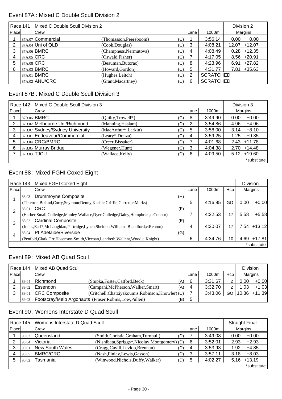#### Event 87A : Mixed C Double Scull Division 2

| Race 141 | Division 2 |                   |                        |     |      |                  |                   |
|----------|------------|-------------------|------------------------|-----|------|------------------|-------------------|
| Place    |            | Crew              |                        |     | Lane | 1000m            | Margins           |
|          |            | 87A.07 Commercial | (Thomasson, Peereboom) | (C) |      | 3:56.14          | $+0.00$<br>0.00   |
|          |            | 87A.04 Uni of QLD | (Cook, Douglas)        | (C) | 3    | 4:08.21          | $+12.07$<br>12.07 |
|          |            | 87A.06 BMRC       | (Champness, Nermutova) | (C) | 4    | 4:08.49          | $+12.35$<br>0.28  |
| 4        | 87A.05 CRC |                   | (Oswald, Fisher)       | (C) |      | 4:17.05          | $8.56 + 20.91$    |
| 5        |            | 87A.08 CRC        | (Beauman, Butorac)     | (C) | 8    | 4:23.96          | $6.91 +27.82$     |
| 6        |            | 87A.03 BMRC       | (Howard, Gordon)       | (C) | 5    | 4:31.77          | $+35.63$<br>7.81  |
|          |            | 87A.01 BMRC       | (Hughes, Leitch)       | (C) | 2    | <b>SCRATCHED</b> |                   |
|          |            | 87A.02 ANU/CRC    | (Grant, Macartney)     | (C) | 6    | <b>SCRATCHED</b> |                   |

# Event 87B : Mixed C Double Scull Division 3

|       | Race 142 Mixed C Double Scull Division 3 |                     |     |      |         | Division 3      |
|-------|------------------------------------------|---------------------|-----|------|---------|-----------------|
| Place | Crew                                     |                     |     | Lane | 1000m   | Margins         |
|       | 87B.06 BMRC                              | (Quilty, Trowell*)  | (C) | 8    | 3:49.90 | $+0.00$<br>0.00 |
| 2     | 87B.02 Melbourne Uni/Richmond            | (Manning, Haslam)   | (D) | 2    | 3:54.86 | $+4.96$<br>4.96 |
|       | 87B.07 Sydney/Sydney University          | (MacArthur*,Larkin) | (C) | 5    | 3:58.00 | $+8.10$<br>3.14 |
| 4     | 87B.01 Endeavour/Commercial              | $(Leary*,Donza)$    | (C) | 4    | 3:59.25 | $+9.35$<br>1.25 |
| 5     | 87B.04 CRC/BMRC                          | (Creer, Bissaker)   | (D) |      | 4:01.68 | $2.43 + 11.78$  |
| 6     | 87B.05 Murray Bridge                     | (Wegener, Hunt)     | (C) | 3    | 4:04.38 | $2.70 + 14.48$  |
|       | 87B.03 TJCU                              | (Wallace, Kelly)    | (D) | 6    | 4:09.50 | $5.12 + 19.60$  |
|       |                                          |                     |     |      |         | *substitute     |

### Event 88 : Mixed FGHI Coxed Eight

|                | Race 143 | Mixed FGHI Coxed Eight                                                                 |     |      |         |     |      | <b>Division</b> |
|----------------|----------|----------------------------------------------------------------------------------------|-----|------|---------|-----|------|-----------------|
| Place          |          | Crew                                                                                   |     | Lane | 1000m   | Hcp |      | Margins         |
|                | 88.03    | Drummoyne Composite                                                                    | (H) |      |         |     |      |                 |
|                |          | (Titterton, Boland, Corry, Seymour, Denny, Keable, Griffin, Garrett, c: Marks)         |     | 5    | 4:16.95 | GO  | 0.00 | $+0.00$         |
| $\overline{2}$ |          | 88.01 CRC                                                                              | (F) |      |         |     |      |                 |
|                |          | (Harber, Small, Colledge, Manley Wallace, Dyer, Colledge, Daley, Humphries, c: Connor) |     |      | 4:22.53 | 17  | 5.58 | $+5.58$         |
| 3              | 88.02    | <b>Cardinal Composite</b>                                                              | (E) |      |         |     |      |                 |
|                |          | (Jones, Earl*, McLaughlan, Partridge, Lynch, Sheldon, Williams, Blandford, c: Renton)  |     | 4    | 4:30.07 | 17  |      | 7.54 +13.12     |
| 4              | 88.04    | Pt Adelaide/Riverside                                                                  | (G) |      |         |     |      |                 |
|                |          | (Penfold, Clark, Orr, Hosenson-Smith, Viceban, Landreth, Wallent, Wood, c: Knight)     |     | 6    | 4:34.76 | 10  | 4.69 | $+17.81$        |
|                |          |                                                                                        |     |      |         |     |      | *substitute     |

#### Event 89 : Mixed AB Quad Scull

|              | Race 144 | Mixed AB Quad Scull  |                                                               |      |         |     | <b>Division</b> |                    |
|--------------|----------|----------------------|---------------------------------------------------------------|------|---------|-----|-----------------|--------------------|
| <b>Place</b> |          | Crew                 |                                                               | Lane | 1000m   | Hcp |                 | Margins            |
|              | 89.04    | Richmond             | (Stupka, Foster, Catford, Beck)<br>(A)                        | 6    | 3:31.67 | 2   | 0.00            | $+0.00$            |
|              | 89.02    | Essendon             | (Campani, McPherson, Walker, Smart)<br>(A)                    | 4    | 3:32.70 | 2   | 1.03            | $+1.03$            |
|              | 89.01    | <b>CRC Composite</b> | $(Critchell, Chatziyakoumis, Robinson, Knowler) (C)$          |      | 3:43.06 |     |                 | GO   10.36 + 11.39 |
|              | 89.03    |                      | Footscray/Melb Argonauts (Fraser, Robins, Low, Pullen)<br>(B) | 5    |         |     |                 |                    |

### Event 90 : Womens Interstate D Quad Scull

| Race 145<br>Womens Interstate D Quad Scull |       |                 |                                                |     |      | <b>Straight Final</b> |      |             |
|--------------------------------------------|-------|-----------------|------------------------------------------------|-----|------|-----------------------|------|-------------|
| <b>Place</b>                               |       | Crew            |                                                |     | Lane | 1000m                 |      | Margins     |
|                                            | 90.03 | Queensland      | (Smith, Christie, Graham, Turnbull)            | (D) |      | 3:49.08               | 0.00 | $+0.00$     |
|                                            | 90.04 | Victoria        | (Nishibata, Spriggs*, Nicolay, Montgomery) (D) |     | 6    | 3:52.01               | 2.93 | $+2.93$     |
| 3                                          | 90.01 | New South Wales | (Cragg, Cavill, Levido, Brennan)               | (D) | 4    | 3:53.93               | 1.92 | $+4.85$     |
|                                            | 90.05 | <b>BMRC/CRC</b> | (Nash, Finlay, Lewis, Gasson)                  | (D) | 3    | 3:57.11               | 3.18 | $+8.03$     |
|                                            | 90.02 | Tasmania        | (Winwood, Nichols, Duffy, Walker)              | (D) | 5    | 4:02.27               | 5.16 | $+13.19$    |
|                                            |       |                 |                                                |     |      |                       |      | *substitute |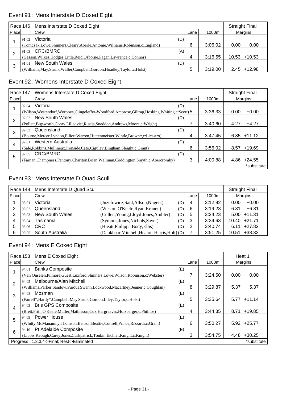# Event 91 : Mens Interstate D Coxed Eight

|              | Race 146 Mens Interstate D Coxed Eight |                                                                              |      |         | <b>Straight Final</b> |
|--------------|----------------------------------------|------------------------------------------------------------------------------|------|---------|-----------------------|
| <b>Place</b> |                                        | Crew                                                                         | Lane | 1000m   | Margins               |
|              | 91.02                                  | Victoria<br>(D)                                                              |      |         |                       |
|              |                                        | (Tomczak,Lowe,Shinners,Cleary,Aberle,Antonie,Williams,Robinson,c:England)    | 6    | 3:06.02 | $+0.00$<br>0.00       |
|              | 91.03                                  | CRC/BMRC<br>(A)                                                              |      |         |                       |
|              |                                        | (Gasson, Wilkes, Hodges, Little, Reid, Osborne, Pagan, Lawrence, c: Connor)  | 4    | 3:16.55 | $10.53 + 10.53$       |
| 3            | 91.01                                  | New South Wales<br>(D)                                                       |      |         |                       |
|              |                                        | (Williams, May, Struik, Waller, Campbell, Gordon, Hoadley, Taylor, c: Holst) | 5    | 3:19.00 | $2.45$ +12.98         |

# Event 92 : Womens Interstate D Coxed Eight

| <b>Race 147</b> |                                                                                          | Womens Interstate D Coxed Eight                                                                      |      |         |                  |  |  |
|-----------------|------------------------------------------------------------------------------------------|------------------------------------------------------------------------------------------------------|------|---------|------------------|--|--|
| Place           |                                                                                          | Crew                                                                                                 | Lane | 1000m   | Margins          |  |  |
|                 | 92.04                                                                                    | Victoria<br>(D)                                                                                      |      |         |                  |  |  |
|                 |                                                                                          | (Wilson, Westendorf, Worboys, Clingeleffer-Woodford, Ambrose, Giltrap, Hosking, Whiting, c: Scott) 5 |      | 3:36.33 | 0.00<br>$+0.00$  |  |  |
| 2               | 92.02                                                                                    | New South Wales<br>(D)                                                                               |      |         |                  |  |  |
|                 |                                                                                          | (Pollett, Bigsworth, Conry, Liljeqvist, Rustja, Sneddon, Andrews, Moore, c: Wright)                  |      | 3:40.60 | 4.27<br>$+4.27$  |  |  |
| 3               | 92.03                                                                                    | Queensland<br>(D)                                                                                    |      |         |                  |  |  |
|                 |                                                                                          | (Bourne, Mercer, Lyndon, Elliott, Warren, Huttenmeister, Wintle, Brown*, c: Licastro)                | 4    | 3:47.45 | 6.85<br>$+11.12$ |  |  |
| 4               | 92.01                                                                                    | Western Australia<br>(D)                                                                             |      |         |                  |  |  |
|                 |                                                                                          | (Sale, Robbins, Mullineux, Ironside, Cato, Ciguley, Bingham, Sleight, c: Grant)                      | 6    | 3:56.02 | 8.57<br>$+19.69$ |  |  |
| 5               | 92.05                                                                                    | CRC/BMRC<br>(D)                                                                                      |      |         |                  |  |  |
|                 | (Farnan, Champness, Pentony, Charlton, Brian, Wellman, Coddington, Smyth, c: Abercromby) |                                                                                                      |      | 4:00.88 | 4.86<br>$+24.55$ |  |  |
|                 |                                                                                          |                                                                                                      |      |         | *substitute      |  |  |

## Event 93 : Mens Interstate D Quad Scull

| Race 148 |       | Mens Interstate D Quad Scull | <b>Straight Final</b>                         |     |      |         |                   |
|----------|-------|------------------------------|-----------------------------------------------|-----|------|---------|-------------------|
| Place    |       | Crew                         |                                               |     | Lane | 1000m   | Margins           |
|          | 93.01 | Victoria                     | (Juzefowicz, Saul, Allsop, Nugent)            | (D) | 4    | 3:12.92 | $+0.00$<br>0.00   |
|          | 93.02 | Queensland                   | (Weston, O'Keefe, Ryan, Kranen)               | (D) | 6    | 3:19.23 | $+6.31$<br>6.31   |
|          | 93.03 | <b>New South Wales</b>       | (Cullen, Young, Lloyd Jones, Ambler)          | (D) | 5    | 3:24.23 | $5.00 + 11.31$    |
|          | 93.04 | Tasmania                     | (Symons, Jones, Nichols, Sayer)               | (D) | 3    | 3:34.63 | $10.40 +21.71$    |
| 5        | 93.06 | <b>CRC</b>                   | (Hieatt, Philippa, Body, Ellis)               | (D) | 2    | 3:40.74 | $+27.82$<br>6.11  |
| 6        | 93.05 | South Australia              | (Dankbaar, Mitchell, Heaton-Harris, Holt) (D) |     |      | 3:51.25 | $+38.33$<br>10.51 |

### Event 94 : Mens E Coxed Eight

|                | Race 153                                   | Mens E Coxed Eight                                                                   |      |         | Heat 1 |               |
|----------------|--------------------------------------------|--------------------------------------------------------------------------------------|------|---------|--------|---------------|
| Place          |                                            | Crew                                                                                 | Lane | 1000m   |        | Margins       |
|                | 94.01                                      | <b>Banks Composite</b>                                                               | (E)  |         |        |               |
|                |                                            | (Van Onselen, Pilmore, Guest, Luxford, Shinners, Lowe, Wilson, Robinson, c: Webster) |      | 3:24.50 | 0.00   | $+0.00$       |
| $\overline{2}$ | 94.05                                      | Melbourne/Alan Mitchell                                                              | (E)  |         |        |               |
|                |                                            | (Williams, Parker, Sandow, Purdue, Swann, Lockwood, Macartney, Jenner, c: Coughlan)  | 8    | 3:29.87 | 5.37   | $+5.37$       |
| 3              | 94.08                                      | Mosman                                                                               | (E)  |         |        |               |
|                |                                            | (Farrell*, Hardy*, Campbell, May, Struik, Gordon, Liley, Taylor, c: Holst)           | 5    | 3:35.64 | 5.77   | $+11.14$      |
| 4              |                                            | 94.03 Bris GPS Composite                                                             | (E)  |         |        |               |
|                |                                            | (Brett, Frith, O'Keefe, Muller, Mathieson, Cox, Hargreaves, Holzberger, c: Phillips) | 4    | 3:44.35 | 8.71   | $+19.85$      |
| 5              | 94.09                                      | Power House                                                                          | (E)  |         |        |               |
|                |                                            | (Whitty,McManamny,Thomson,Benson,Beattie,Cottrell,Prince,Rizzardi,c:Grant)           | 6    | 3:50.27 |        | $5.92 +25.77$ |
| 6              |                                            | 94.10 Pt Adelaide Composite                                                          | (E)  |         |        |               |
|                |                                            | (Lippis, Keough, Carey, Jones, Curkpatrick, Tonkin, Eichler, Knight, c: Knight)      | 3    | 3:54.75 | 4.48   | $+30.25$      |
|                | Progress: 1,2,3,4->Final: Rest->Eliminated |                                                                                      |      |         |        | *substitute   |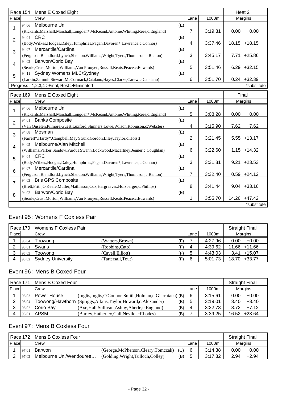|                | Race 154 | Mens E Coxed Eight                                                                    |                |         | Heat 2           |             |
|----------------|----------|---------------------------------------------------------------------------------------|----------------|---------|------------------|-------------|
| Place          |          | Crew                                                                                  | Lane           | 1000m   | Margins          |             |
|                |          | 94.06 Melbourne Uni<br>(E)                                                            |                |         |                  |             |
| 1              |          | (Rickards, Marshall, Marshall, Longden*, McKeand, Antonie, Whiting, Rees, c: England) | 7              | 3:19.31 | 0.00<br>$+0.00$  |             |
| $\overline{2}$ |          | 94.04 CRC<br>(E)                                                                      |                |         |                  |             |
|                |          | (Body, Wilkes, Hodges, Daley, Humphries, Pagan, Davoren*, Lawrence, c: Connor)        | 4              | 3:37.46 | $18.15 + 18.15$  |             |
| 3              |          | 94.07 Mercantile/Cardinal<br>(E)                                                      |                |         |                  |             |
|                |          | (Ferguson, Blandford, Lynch, Sheldon, Williams, Wright, Tyers, Thompson, c: Renton)   | 3              | 3:45.17 | $+25.86$<br>7.71 |             |
| $\overline{4}$ |          | 94.02 Barwon/Corio Bay<br>(E)                                                         |                |         |                  |             |
|                |          | (Searle, Crust, Morton, Williams, Van Prooyen, Russell, Keats, Peace, c: Edwards)     | 5              | 3:51.46 | $6.29 + 32.15$   |             |
| 5              |          | 94.11 Sydney Womens MLC/Sydney<br>(E)                                                 |                |         |                  |             |
|                |          | (Larkin, Zammit, Stewart, McCormack, Catalano, Hayes, Clarke, Carew, c: Catalano)     | 6              | 3:51.70 | $0.24 + 32.39$   |             |
|                |          | Progress: 1,2,3,4->Final; Rest->Eliminated                                            |                |         |                  | *substitute |
|                | Race 169 | Mens E Coxed Eight                                                                    |                |         | Final            |             |
| Place          |          | Crew                                                                                  | Lane           | 1000m   | Margins          |             |
|                | 94.06    | Melbourne Uni<br>(E)                                                                  |                |         |                  |             |
| 1              |          | (Rickards, Marshall, Marshall, Longden*, McKeand, Antonie, Whiting, Rees, c: England) | 5              | 3:08.28 | 0.00<br>$+0.00$  |             |
|                | 94.01    | <b>Banks Composite</b><br>(E)                                                         |                |         |                  |             |
| $\overline{2}$ |          | (Van Onselen, Pilmore, Guest, Luxford, Shinners, Lowe, Wilson, Robinson, c: Webster)  | $\overline{4}$ | 3:15.90 | 7.62<br>$+7.62$  |             |
|                |          | 94.08 Mosman<br>(E)                                                                   |                |         |                  |             |
| 3              |          | (Farrell*,Hardy*,Campbell,May,Struik,Gordon,Liley,Taylor,c:Holst)                     | $\overline{2}$ | 3:21.45 | $5.55 + 13.17$   |             |
| $\overline{4}$ | 94.05    | Melbourne/Alan Mitchell<br>(E)                                                        |                |         |                  |             |
|                |          | (Williams, Parker, Sandow, Purdue, Swann, Lockwood, Macartney, Jenner, c: Coughlan)   | 6              | 3:22.60 | $1.15 + 14.32$   |             |
| 5              |          | 94.04 CRC<br>(E)                                                                      |                |         |                  |             |
|                |          | (Body, Wilkes, Hodges, Daley, Humphries, Pagan, Davoren*, Lawrence, c: Connor)        | 3              | 3:31.81 | $+23.53$<br>9.21 |             |
| 6              | 94.07    | Mercantile/Cardinal<br>(E)                                                            |                |         |                  |             |
|                |          | (Ferguson, Blandford, Lynch, Sheldon, Williams, Wright, Tyers, Thompson, c: Renton)   | 7              | 3:32.40 | $0.59 +24.12$    |             |
| $\overline{7}$ |          | 94.03 Bris GPS Composite<br>(E)                                                       |                |         |                  |             |
|                |          | (Brett,Frith,O'Keefe,Muller,Mathieson,Cox,Hargreaves,Holzberger,c:Phillips)           | 8              | 3:41.44 | $9.04 + 33.16$   |             |
| 8              |          | 94.02 Barwon/Corio Bay<br>(E)                                                         |                |         |                  |             |
|                |          | (Searle, Crust, Morton, Williams, Van Prooyen, Russell, Keats, Peace, c: Edwards)     | 1              | 3:55.70 | 14.26 +47.42     |             |
|                |          |                                                                                       |                |         |                  | *substitute |

# Event 95 : Womens F Coxless Pair

| Race 170      |       | Womens F Coxless Pair    |                   |     |      |         | <b>Straight Final</b> |
|---------------|-------|--------------------------|-------------------|-----|------|---------|-----------------------|
| <b>IPlace</b> |       | Crew                     |                   |     | Lane | 1000m   | Margins               |
|               | 95.04 | Toowong                  | (Watters, Brown)  | (F) |      | 4:27.96 | $+0.00$<br>0.00       |
|               | 95.01 | Swans                    | (Robbins,Cato)    | ′F) | 4    | 4:39.62 | $11.66 + 11.66$       |
|               | 95.03 | Toowong                  | (Cavell, Elliott) | 'F) | b    | 4:43.03 | 3.41<br>$+15.07$      |
|               | 95.02 | <b>Sydney University</b> | (Tattersall,Tout) | 'F) | 6    | 5:01.73 | 18.70 +33.77          |

# Event 96 : Mens B Coxed Four

|       | Mens B Coxed Four<br>Race 171 |             |                                                                         |   |         | <b>Straight Final</b> |          |
|-------|-------------------------------|-------------|-------------------------------------------------------------------------|---|---------|-----------------------|----------|
| Place |                               | Crew        |                                                                         |   | 1000m   |                       | Margins  |
|       | 96.03                         | Power House | (Inglis, Inglis, O'Connor-Smith, Holman, c: Giarratana) (B)             | 6 | 3:15.61 | 0.00                  | $+0.00$  |
|       | 96.04                         |             | Toowong/Hawthorn (Spriggs, Atkins, Taylor, Howard, c: Alexander)<br>(B) | 5 | 3:19.01 | 3.40                  | $+3.40$  |
|       | 96.02                         | Corio Bay   | (Axe, Hall Sullivan, Ashby, Aberle, c: England)<br>(B)                  | 4 | 3:22.73 | 3.72                  | $+7.12$  |
|       | 96.01                         | APSM        | (Burley, Hatherley, Gall, Nevile, c: Rhodes)<br>(B)                     |   | 3:39.25 | 16.52                 | $+23.64$ |

# Event 97 : Mens B Coxless Four

| l Race 172<br>Mens B Coxless Four |       |                         |                                      | <b>Straight Final</b> |      |         |         |         |
|-----------------------------------|-------|-------------------------|--------------------------------------|-----------------------|------|---------|---------|---------|
| Place                             |       | Crew                    |                                      |                       | Lane | 1000m   | Margins |         |
|                                   | 97.01 | Barwon                  | (George, McPherson, Cleary, Tomczak) | (C)                   |      | 3:14.38 | 0.00    | $+0.00$ |
|                                   | 97.02 | Melbourne Uni/Wendouree | (Golding, Wright, Tulloch, Colley)   | (B)                   |      | 3:17.32 | 2.94    | $+2.94$ |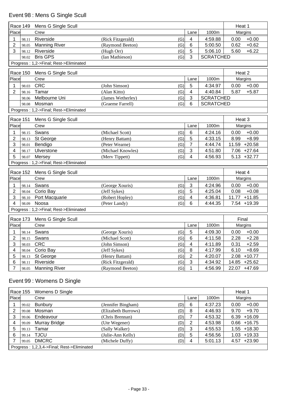# Event 98 : Mens G Single Scull

| Race 149<br>Mens G Single Scull |                 |                                        |                   |      | Heat 1                  |                  |                   |  |
|---------------------------------|-----------------|----------------------------------------|-------------------|------|-------------------------|------------------|-------------------|--|
| Place                           |                 | Crew                                   |                   |      | Lane                    | 1000m            | Margins           |  |
| 1                               | 98.11           | Riverside                              | (Rick Fitzgerald) | (G)  | $\overline{\mathbf{4}}$ | 4:59.88          | $+0.00$<br>0.00   |  |
| $\overline{2}$                  | 98.05           | <b>Manning River</b>                   | (Raymond Beeton)  | (G)  | 6                       | 5:00.50          | $+0.62$<br>0.62   |  |
| 3                               | 98.12           | Riverside                              | (Hugh Orr)        | (G)  | 5                       | 5:06.10          | $+6.22$<br>5.60   |  |
|                                 | 98.02           | <b>Bris GPS</b>                        | (Ian Mathieson)   | (G)  | 3                       | <b>SCRATCHED</b> |                   |  |
|                                 |                 | Progress: 1,2->Final; Rest->Eliminated |                   |      |                         |                  |                   |  |
|                                 | Race 150        | Mens G Single Scull                    |                   |      |                         |                  | Heat 2            |  |
| Place                           |                 | Crew                                   |                   | Lane | 1000m                   | Margins          |                   |  |
| 1                               | 98.03           | <b>CRC</b>                             | (John Simson)     | (G)  | 5                       | 4:34.97          | $+0.00$<br>0.00   |  |
| 2                               | 98.16           | Tamar                                  | (Alan Kitto)      | (G)  | 4                       | 4:40.84          | 5.87<br>$+5.87$   |  |
|                                 | 98.06           | Melbourne Uni                          | (James Wetherley) | (G)  | 3                       | <b>SCRATCHED</b> |                   |  |
|                                 | 98.08           | Mosman                                 | (Graeme Farrell)  | (G)  | 6                       | <b>SCRATCHED</b> |                   |  |
|                                 |                 | Progress: 1,2->Final; Rest->Eliminated |                   |      |                         |                  |                   |  |
|                                 |                 |                                        |                   |      |                         |                  |                   |  |
|                                 | <b>Race 151</b> | Mens G Single Scull                    |                   |      |                         |                  | Heat 3            |  |
| Place                           |                 | Crew                                   |                   |      | Lane                    | 1000m            | Margins           |  |
|                                 | 98.15           | Swans                                  | (Michael Scott)   | (G)  | $6\phantom{1}6$         | 4:24.16          | $+0.00$<br>0.00   |  |
| $\overline{2}$                  | 98.13           | St George                              | (Henry Battam)    | (G)  | 5                       | 4:33.15          | $+8.99$<br>8.99   |  |
| 3                               | 98.01           | Bendigo                                | (Peter Wearne)    | (G)  | $\overline{7}$          | 4:44.74          | $+20.58$<br>11.59 |  |
| 4                               | 98.17           | Ulverstone                             | (Michael Knowles) | (G)  | $\mathbf{3}$            | 4:51.80          | 7.06 +27.64       |  |
| 5                               | 98.07           | Mersey                                 | (Merv Tippett)    | (G)  | $\overline{\mathbf{4}}$ | 4:56.93          | $5.13 + 32.77$    |  |
|                                 |                 | Progress: 1,2->Final; Rest->Eliminated |                   |      |                         |                  |                   |  |
|                                 | Race 152        | Mens G Single Scull                    |                   |      |                         |                  | Heat 4            |  |
| Place                           |                 | Crew                                   |                   |      | Lane                    | 1000m            | Margins           |  |
|                                 | 98.14           | Swans                                  | (George Xouris)   | (G)  | 3                       | 4:24.96          | $+0.00$<br>0.00   |  |
| 2                               | 98.04           | Corio Bay                              | (Jeff Sykes)      | (G)  | 5                       | 4:25.04          | 0.08<br>$+0.08$   |  |
| 3                               | 98.10           | Port Macquarie                         | (Robert Hopley)   | (G)  | 4                       | 4:36.81          | 11.77<br>$+11.85$ |  |
| 4                               | 98.09           | Noosa                                  | (Peter Landy)     | (G)  | 6                       | 4:44.35          | 7.54<br>$+19.39$  |  |
|                                 |                 | Progress: 1,2->Final; Rest->Eliminated |                   |      |                         |                  |                   |  |
|                                 | Race 173        | Mens G Single Scull                    |                   |      |                         |                  | Final             |  |
| Place                           |                 | Crew                                   |                   |      | Lane                    | 1000m            | Margins           |  |
|                                 |                 |                                        |                   |      |                         |                  |                   |  |
| 1                               |                 | 98.14 Swans                            | (George Xouris)   | (G)  | $\overline{5}$          | 4:09.30          | $0.00 + 0.00$     |  |
| $\overline{2}$                  | 98.15           | Swans                                  | (Michael Scott)   | (G)  | $\,6$                   | 4:11.58          | 2.28<br>$+2.28$   |  |
| 3                               | 98.03           | <b>CRC</b>                             | (John Simson)     | (G)  | $\overline{4}$          | 4:11.89          | 0.31<br>$+2.59$   |  |
| 4                               | 98.04           | Corio Bay                              | (Jeff Sykes)      | (G)  | 8                       | 4:17.99          | 6.10<br>$+8.69$   |  |
| 5                               | 98.13           | St George                              | (Henry Battam)    | (G)  | $\overline{2}$          | 4:20.07          | $+10.77$<br>2.08  |  |
| 6                               | 98.11           | Riverside                              | (Rick Fitzgerald) | (G)  | 3                       | 4:34.92          | 14.85<br>$+25.62$ |  |
| 7                               | 98.05           | <b>Manning River</b>                   | (Raymond Beeton)  | (G)  | 1                       | 4:56.99          | 22.07<br>$+47.69$ |  |

# Event 99 : Womens D Single

| Race 155 |                                            | Womens D Single |                     |     |      |         | Heat 1          |  |  |
|----------|--------------------------------------------|-----------------|---------------------|-----|------|---------|-----------------|--|--|
| Place    |                                            | Crew            |                     |     | Lane | 1000m   | Margins         |  |  |
|          | 99.02                                      | <b>Bunbury</b>  | (Jennifer Bingham)  | (D) | 6    | 4:37.23 | 0.00<br>$+0.00$ |  |  |
| 2        | 99.08                                      | Mosman          | (Elizabeth Burrows) | (D) | 8    | 4:46.93 | $+9.70$<br>9.70 |  |  |
| 3        | 99.06                                      | Endeavour       | (Chris Brennan)     | (D) |      | 4:53.32 | $6.39 + 16.09$  |  |  |
| 4        | 99.09                                      | Murray Bridge   | (Ute Wegener)       | (D) | 2    | 4:53.98 | $0.66 + 16.75$  |  |  |
| 5        | 99.13                                      | Tamar           | (Sally Walker)      | (D) | 3    | 4:55.53 | $1.55 + 18.30$  |  |  |
| 6        | 99.14                                      | <b>TJCU</b>     | (Julie-Ann Kelly)   | (D) | 5    | 4:56.56 | $1.03 + 19.33$  |  |  |
|          | 99.05                                      | <b>DMCRC</b>    | (Michele Duffy)     | (D) | 4    | 5:01.13 | $4.57 +23.90$   |  |  |
|          | Progress: 1,2,3,4->Final; Rest->Eliminated |                 |                     |     |      |         |                 |  |  |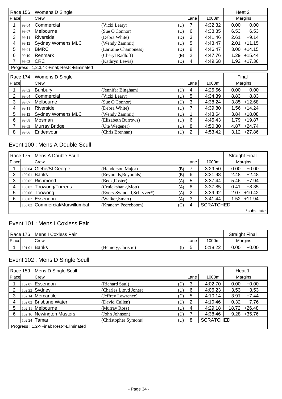|                             | Race 156                                     | Womens D Single                            |                      |     |      |         | Heat 2           |
|-----------------------------|----------------------------------------------|--------------------------------------------|----------------------|-----|------|---------|------------------|
| Place                       |                                              | Crew                                       |                      |     | Lane | 1000m   | Margins          |
|                             | 99.04                                        | Commercial                                 | (Vicki Leary)        | (D) |      | 4:32.32 | 0.00<br>$+0.00$  |
| 2                           | 99.07                                        | Melbourne                                  | (Sue O'Connor)       | (D) | 6    | 4:38.85 | 6.53<br>$+6.53$  |
| 3                           | 99.11                                        | Riverside                                  | (Debra White)        | (D) | 3    | 4:41.46 | 2.61<br>$+9.14$  |
| 4                           | 99.12                                        | <b>Sydney Womens MLC</b>                   | (Wendy Zammit)       | (D) | 5    | 4:43.47 | $+11.15$<br>2.01 |
| 5                           | 99.01                                        | <b>BMRC</b>                                | (Larraine Champness) | (D) | 8    | 4:46.47 | $+14.15$<br>3.00 |
| 6                           | 99.10                                        | Renmark                                    | (Cheryl Radloff)     | (E) | 2    | 4:47.76 | $+15.44$<br>1.29 |
|                             | 99.03                                        | <b>CRC</b>                                 | (Kathryn Lewis)      | (D) | 4    | 4:49.68 | $1.92 + 17.36$   |
|                             |                                              | Progress: 1,2,3,4->Final; Rest->Eliminated |                      |     |      |         |                  |
|                             |                                              |                                            |                      |     |      |         |                  |
| Race 174<br>Womens D Single |                                              |                                            |                      |     |      |         | Final            |
|                             | l Diocol<br>1000m<br>$C_{\text{FOM}}$<br>200 |                                            |                      |     |      |         |                  |

| Place |       | Crew                    |                            | Lane | 1000m   | Margins         |
|-------|-------|-------------------------|----------------------------|------|---------|-----------------|
|       | 99.02 | Bunbury                 | (Jennifer Bingham)<br>(D)  | 4    | 4:25.56 | 0.00<br>$+0.00$ |
|       | 99.04 | Commercial              | (Vicki Leary)<br>(D)       | 5    | 4:34.39 | 8.83<br>+8.83   |
|       | 99.07 | Melbourne               | (Sue O'Connor)<br>(D)      | -3   | 4:38.24 | $3.85 + 12.68$  |
| 4     | 99.11 | Riverside               | (Debra White)<br>(D)       |      | 4:39.80 | $1.56 + 14.24$  |
| 5     |       | 99.12 Sydney Womens MLC | (Wendy Zammit)<br>(D)      |      | 4:43.64 | $3.84 + 18.08$  |
| 6     | 99.08 | Mosman                  | (Elizabeth Burrows)<br>(D) | 6    | 4:45.43 | 1.79 +19.87     |
|       | 99.09 | Murray Bridge           | (Ute Wegener)<br>(D)       | 8    | 4:50.30 | $4.87 +24.74$   |
| 8     | 99.06 | Endeavour               | (Chris Brennan)<br>(D)     | 2    | 4:53.42 | $3.12 +27.86$   |

## Event 100 : Mens A Double Scull

| Race 175 Mens A Double Scull |  |                                |                             |     |      |                  |      | <b>Straight Final</b> |
|------------------------------|--|--------------------------------|-----------------------------|-----|------|------------------|------|-----------------------|
| Place                        |  | Crew                           |                             |     | Lane | 1000m            |      | Margins               |
|                              |  | 100.04 Glebe/St George         | (Henderson, Major)          | (B) |      | 3:29.50          | 0.00 | $+0.00$               |
|                              |  | 100.01 Banks                   | (Reynolds, Reynolds)        | (B) | 6    | 3:31.98          | 2.48 | $+2.48$               |
| 3                            |  | 100.05 Richmond                | (Beck, Foster)              | (A) | 5    | 3:37.44          | 5.46 | $+7.94$               |
| 4                            |  | 100.07 Toowong/Torrens         | (Cruickshank, Mott)         | (A) | 8    | 3:37.85          | 0.41 | $+8.35$               |
| 5                            |  | 100.06 Toowong                 | (Evers-Swindell, Schryver*) | (A) | 2    | 3:39.92          | 2.07 | $+10.42$              |
| 6                            |  | 100.03 Essendon                | (Walker,Smart)              | (A) | 3    | 3:41.44          |      | $1.52 + 11.94$        |
|                              |  | 100.02 Commercial/Murwillumbah | (Kranen*, Peereboom)        | (C) | 4    | <b>SCRATCHED</b> |      |                       |
|                              |  |                                |                             |     |      |                  |      | *substitute           |

# Event 101 : Mens I Coxless Pair

|       | Race 176 | Mens I Coxless Pair |                    |     |      |         | <b>Straight Final</b> |
|-------|----------|---------------------|--------------------|-----|------|---------|-----------------------|
| Place |          | Crew                |                    |     | Lane | 1000m   | Margins               |
|       | 101.01   | Banks               | (Hemery, Christie) | (1) | ັ    | 5:18.22 | 0.00<br>$+0.00$       |

# Event 102 : Mens D Single Scull

|       | Race 159                               | Mens D Single Scull      |                       |     |      |                  |       | Heat 1         |  |
|-------|----------------------------------------|--------------------------|-----------------------|-----|------|------------------|-------|----------------|--|
| Place |                                        | Crew                     |                       |     | Lane | 1000m            |       | Margins        |  |
|       |                                        | 102.07 Essendon          | (Richard Saul)        | (D) | 3    | 4:02.70          | 0.00  | $+0.00$        |  |
|       |                                        | 102.22 Sydney            | (Charles Lloyd Jones) | (D) | 6    | 4:06.23          | 3.53  | $+3.53$        |  |
| 3     |                                        | 102.14 Mercantile        | (Jeffrey Lawrence)    | (D) | 5    | 4:10.14          | 3.91  | $+7.44$        |  |
| 4     |                                        | 102.02 Brisbane Water    | (David Cullen)        | (D) | 2    | 4:10.46          | 0.32  | $+7.76$        |  |
| 5     |                                        | 102.11 Melbourne         | (Murray Ross)         | (D) | 4    | 4:29.18          | 18.72 | $+26.48$       |  |
| 6     |                                        | 102.16 Newington Masters | (John Johnson)        | (D) |      | 4:38.46          |       | $9.28 + 35.76$ |  |
|       |                                        | 102.24 Tamar             | (Christopher Symons)  | (D) | 8    | <b>SCRATCHED</b> |       |                |  |
|       | Progress: 1,2->Final; Rest->Eliminated |                          |                       |     |      |                  |       |                |  |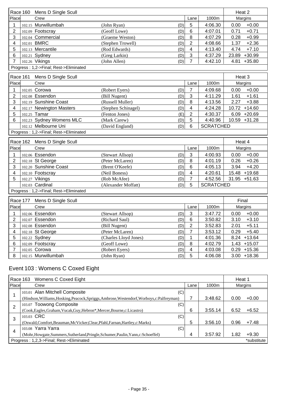|                                        |          | Race 160 Mens D Single Scull                              |                                |            |                |                    | Heat 2                               |
|----------------------------------------|----------|-----------------------------------------------------------|--------------------------------|------------|----------------|--------------------|--------------------------------------|
| Place                                  |          | Crew                                                      |                                |            | Lane           | 1000m              | Margins                              |
| 1                                      |          | 102.15 Murwillumbah                                       | (John Ryan)                    | (D)        | 5              | 4:06.30            | $+0.00$<br>0.00                      |
| 2                                      |          | 102.09 Footscray                                          | (Geoff Lowe)                   | (D)        | 6              | 4:07.01            | 0.71<br>$+0.71$                      |
| 3                                      |          | 102.04 Commercial                                         | (Graeme Weston)                | (D)        | 8              | 4:07.29            | $+0.99$<br>0.28                      |
| 4                                      |          | 102.01 BMRC                                               | (Stephen Trowell)              | (D)        | $\overline{2}$ | 4:08.66            | 1.37<br>$+2.36$                      |
| 5                                      |          | 102.13 Mercantile                                         | (Rod Edwards)                  | (D)        | 4              | 4:13.40            | $+7.10$<br>4.74                      |
| 6                                      |          | 102.21 Sydney                                             | (Greg Larkin)                  | (D)        | $\mathbf{3}$   | 4:37.29            | $+30.99$<br>23.89                    |
| $\overline{7}$                         |          | 102.26 Vikings                                            | (John Allen)                   | (D)        | $\overline{7}$ | 4:42.10            | $+35.80$<br>4.81                     |
| Progress: 1,2->Final; Rest->Eliminated |          |                                                           |                                |            |                |                    |                                      |
|                                        | Race 161 | Mens D Single Scull                                       |                                |            |                |                    | Heat 3                               |
| Place                                  |          | Crew                                                      |                                |            | Lane           | 1000m              | Margins                              |
| 1                                      |          | 102.05 Corowa                                             | (Robert Eyers)                 | (D)        | $\overline{7}$ | 4:09.68            | $+0.00$<br>0.00                      |
| 2                                      |          | 102.08 Essendon                                           | (Bill Nugent)                  | (D)        | $\mathbf{3}$   | 4:11.29            | 1.61<br>$+1.61$                      |
| 3                                      |          | 102.19 Sunshine Coast                                     | (Russell Muller)               | (D)        | 8              | 4:13.56            | $+3.88$<br>2.27                      |
| 4                                      |          | 102.17 Newington Masters                                  | (Stephen Schinagel)            | (D)        | 4              | 4:24.28            | 10.72 +14.60                         |
| 5                                      |          | 102.25 Tamar                                              | (Fenton Jones)                 | (E)        | $\overline{2}$ | 4:30.37            | $6.09 +20.69$                        |
| 6                                      |          | 102.23 Sydney Womens MLC                                  | (Mark Carew)                   | (D)        | 5              | 4:40.96            | 10.59 +31.28                         |
|                                        |          | 102.12 Melbourne Uni                                      | (David England)                | (D)        | 6              | <b>SCRATCHED</b>   |                                      |
|                                        |          | Progress: 1,2->Final; Rest->Eliminated                    |                                |            |                |                    |                                      |
|                                        |          |                                                           |                                |            |                |                    |                                      |
|                                        |          |                                                           |                                |            |                |                    |                                      |
|                                        | Race 162 | Mens D Single Scull                                       |                                |            |                |                    | Heat 4                               |
| Place                                  |          | Crew                                                      |                                |            | Lane           | 1000m              | Margins                              |
| 1                                      |          | 102.06 Essendon                                           | (Stewart Allsop)               | (D)        | 3              | 4:00.93            | $+0.00$<br>0.00                      |
| 2                                      |          | 102.18 St George                                          | (Peter McLaren)                | (D)        | 8              | 4:01.19            | $+0.26$<br>0.26                      |
| 3                                      |          | 102.20 Sunshine Coast                                     | (Brent O'Keefe)                | (D)        | 6              | 4:05.13            | $+4.20$<br>3.94                      |
| 4                                      |          | 102.10 Footscray                                          | (Neil Boness)                  | (D)        | 4              | 4:20.61            | 15.48<br>$+19.68$                    |
| 5                                      |          | 102.27 Vikings                                            | (Rob McAfee)                   | (D)        | $\overline{7}$ | 4:52.56            | $31.95 + 51.63$                      |
|                                        |          | 102.03 Cardinal<br>Progress: 1,2->Final; Rest->Eliminated | (Alexander Moffatt)            | (D)        | 5              | <b>SCRATCHED</b>   |                                      |
|                                        |          |                                                           |                                |            |                |                    |                                      |
| Place                                  | Race 177 | Mens D Single Scull<br>Crew                               |                                |            |                |                    | Final                                |
|                                        |          |                                                           |                                |            | Lane           | 1000m              | Margins                              |
|                                        |          | 102.06 Essendon                                           | (Stewart Allsop)               | (D)        | $\sqrt{3}$     | 3:47.72            | 0.00<br>$+0.00$                      |
| $\overline{c}$                         |          | 102.07 Essendon                                           | (Richard Saul)                 | (D)        | $\,6\,$        | 3:50.82            | $3.10 + 3.10$                        |
| 3                                      |          | 102.08 Essendon                                           | (Bill Nugent)                  | (D)        | $\overline{2}$ | 3:52.83            | $+5.11$<br>2.01                      |
| 4                                      |          | 102.18 St George                                          | (Peter McLaren)                | (D)        | 7              | 3:53.12            | $+5.40$<br>0.29                      |
| 5                                      |          | 102.22 Sydney                                             | (Charles Lloyd Jones)          | (D)        | 1              | 4:01.36            | $+13.64$<br>8.24                     |
| 6<br>7                                 |          | 102.09 Footscray<br>102.05 Corowa                         | (Geoff Lowe)<br>(Robert Eyers) | (D)<br>(D) | 8<br>4         | 4:02.79<br>4:03.08 | 1.43<br>$+15.07$<br>0.29<br>$+15.36$ |

# Event 103 : Womens C Coxed Eight

| Race 163       | Womens C Coxed Eight                                                                        |      |         |      | Heat 1      |  |
|----------------|---------------------------------------------------------------------------------------------|------|---------|------|-------------|--|
| Place          | Crew                                                                                        | Lane | 1000m   |      | Margins     |  |
|                | 103.01 Alan Mitchell Composite<br>(C)                                                       |      |         |      |             |  |
|                | (Hindson, Williams, Hosking, Peacock, Spriggs, Ambrose, Westendorf, Worboys, c: Palfreyman) |      | 3:48.62 | 0.00 | $+0.00$     |  |
| $\overline{2}$ | 103.07 Toowong Composite<br>(C)                                                             |      |         |      |             |  |
|                | (Cook, Eagles, Graham, Vucak, Guy, Hebron*, Mercer, Bourne, c: Licastro)                    | 6    | 3:55.14 | 6.52 | $+6.52$     |  |
| 3              | 103.03 CRC<br>(C)                                                                           |      |         |      |             |  |
|                | (Oswald,Comfort,Beauman,McVicker,Clear,Pfahl,Farnan,Hartley,c:Marks)                        | 5    | 3:56.10 | 0.96 | $+7.48$     |  |
| 4              | 103.08 Yarra Yarra<br>(C)                                                                   |      |         |      |             |  |
|                | (Mohr, Howgate, Summers, Sutherland, Pringle, Schumer, Paulin, Yann, c: Schoeffel)          | 4    | 3:57.92 | 1.82 | $+9.30$     |  |
|                | Progress: 1,2,3->Final; Rest->Eliminated                                                    |      |         |      | *substitute |  |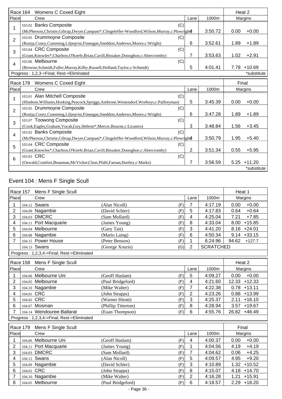|                | Race 164 Womens C Coxed Eight                                                                        |                |         |       | Heat 2         |  |
|----------------|------------------------------------------------------------------------------------------------------|----------------|---------|-------|----------------|--|
| Place          | Crew                                                                                                 | Lane           | 1000m   |       | Margins        |  |
| 1              | 103.02 Banks Composite<br>(C)                                                                        |                |         |       |                |  |
|                | (McPherson, Christie, Giltrap, Dwyer, Campani*, Clingeleffer-Woodford, Wilson, Murray, c: Plowright  |                | 3:50.72 | 0.00  | $+0.00$        |  |
| $\overline{2}$ | 103.05 Drummoyne Composite<br>(C)                                                                    |                |         |       |                |  |
|                | (Rustja,Conry,Cumming,Liljeqvist,Finnegan,Sneddon,Andrews,Moore,c:Wright)                            | 6              | 3:52.61 | 1.89  | $+1.89$        |  |
| 3              | 103.04 CRC Composite<br>(C)                                                                          |                |         |       |                |  |
|                | (Grant, Knowles*, Charlton, O'Keefe, Brian, Cavill, Bissaker, Donoghoe, c: Abercromby)               | 7              | 3:53.63 | 1.02  | $+2.91$        |  |
| $\overline{4}$ | 103.06 Melbourne<br>(C)                                                                              |                |         |       |                |  |
|                | (Browne, Schmidt, Fuller, Murray, Kilby, Russell, Holland, Taylor, c: Schmidt)                       | 5              | 4:01.41 |       | 7.78 +10.69    |  |
|                | Progress: 1,2,3->Final; Rest->Eliminated                                                             |                |         |       | *substitute    |  |
|                | Race 178 Womens C Coxed Eight                                                                        |                |         | Final |                |  |
| Place          | Crew                                                                                                 | Lane           | 1000m   |       | Margins        |  |
| 1              | 103.01 Alan Mitchell Composite<br>(C)                                                                |                |         |       |                |  |
|                | (Hindson, Williams, Hosking, Peacock, Spriggs, Ambrose, Westendorf, Worboys, c: Palfreyman)          | 5              | 3:45.39 | 0.00  | $+0.00$        |  |
| $\overline{2}$ | 103.05 Drummoyne Composite<br>(C)                                                                    |                |         |       |                |  |
|                | (Rustja,Conry,Cumming,Liljeqvist,Finnegan,Sneddon,Andrews,Moore,c:Wright)                            | 6              | 3:47.28 | 1.89  | $+1.89$        |  |
| 3              | 103.07 Toowong Composite<br>(C)                                                                      |                |         |       |                |  |
|                | (Cook, Eagles, Graham, Vucak, Guy, Hebron*, Mercer, Bourne, c: Licastro)                             | 3              | 3:48.84 | 1.56  | $+3.45$        |  |
| 4              | (C)<br>103.02 Banks Composite                                                                        |                |         |       |                |  |
|                | (McPherson, Christie, Giltrap, Dwyer, Campani*, Clingeleffer-Woodford, Wilson, Murray, c: Plowright4 |                | 3:50.79 | 1.95  | $+5.40$        |  |
| 5              | 103.04 CRC Composite<br>(C)                                                                          |                |         |       |                |  |
|                | (Grant, Knowles*, Charlton, O'Keefe, Brian, Cavill, Bissaker, Donoghoe, c: Abercromby)               | $\overline{2}$ | 3:51.34 | 0.55  | $+5.95$        |  |
| $6\phantom{1}$ | 103.03 CRC<br>(C)                                                                                    |                |         |       |                |  |
|                | (Oswald,Comfort,Beauman,McVicker,Clear,Pfahl,Farnan,Hartley,c:Marks)                                 | 7              | 3:56.59 |       | $5.25 + 11.20$ |  |
|                |                                                                                                      |                |         |       | *substitute    |  |

# Event 104 : Mens F Single Scull

|                                            | <b>Race 157</b><br>Mens F Single Scull |                                            |                     |     |                |                  | Heat 1            |
|--------------------------------------------|----------------------------------------|--------------------------------------------|---------------------|-----|----------------|------------------|-------------------|
| Place                                      |                                        | Crew                                       |                     |     | Lane           | 1000m            | Margins           |
| 1                                          |                                        | 104.12 Swans                               | (Alan Nicoll)       | (F) | $\overline{7}$ | 4:17.19          | 0.00<br>$+0.00$   |
| $\overline{2}$                             |                                        | 104.09 Nagambie                            | (David Schier)      | (F) | 5              | 4:17.83          | 0.64<br>$+0.64$   |
| 3                                          |                                        | 104.03 DMCRC                               | (Sam Mollard)       | (F) | 4              | 4:25.04          | 7.21<br>$+7.85$   |
| 4                                          |                                        | 104.11 Port Macquarie                      | (James Young)       | (F) | 8              | 4:33.04          | 8.00<br>$+15.85$  |
| 5                                          |                                        | 104.04 Melbourne                           | (Gary Tait)         | (F) | 3              | 4:41.20          | $8.16 + 24.01$    |
| 6                                          |                                        | 104.08 Nagambie                            | (Mario Laing)       | (F) | 6              | 4:50.34          | $+33.15$<br>9.14  |
| $\overline{7}$                             |                                        | 104.15 Power House                         | (Peter Benson)      | (F) | 1              | 6:24.96          | 94.62<br>$+127.7$ |
|                                            |                                        | 104.13 Swans                               | (George Xouris)     | (G) | $\overline{2}$ | <b>SCRATCHED</b> |                   |
| Progress: 1,2,3,4->Final; Rest->Eliminated |                                        |                                            |                     |     |                |                  |                   |
|                                            | Race 158                               | Mens F Single Scull                        |                     |     |                |                  | Heat 2            |
| Place                                      |                                        | Crew                                       |                     |     | Lane           | 1000m            | Margins           |
| 1                                          |                                        | 104.06 Melbourne Uni                       | (Geoff Haslam)      | (F) | 5              | 4:09.27          | $+0.00$<br>0.00   |
| 2                                          |                                        | 104.05 Melbourne                           | (Paul Bridgeford)   | (F) | 4              | 4:21.60          | $+12.33$<br>12.33 |
| 3                                          |                                        | 104.10 Nagambie                            | (Mike Walter)       | (F) | $\overline{7}$ | 4:22.38          | $+13.11$<br>0.78  |
| 4                                          | 104.01 CRC                             |                                            | (John Strapps)      | (F) | $\overline{2}$ | 4:23.26          | $+13.99$<br>0.88  |
| 5                                          | 104.02 CRC                             |                                            | (Warner Hieatt)     | (F) | 3              | 4:25.37          | $+16.10$<br>2.11  |
| 6                                          |                                        | 104.07 Mosman                              | (Phillip Titterton) | (F) | 8              | 4:28.94          | 3.57<br>$+19.67$  |
| $\overline{7}$                             |                                        | 104.14 Wendouree-Ballarat                  | (Euan Thompson)     | (F) | 6              | 4:55.76          | 26.82 +46.49      |
|                                            |                                        | Progress: 1,2,3,4->Final; Rest->Eliminated |                     |     |                |                  |                   |
|                                            | Race 179                               | Mens F Single Scull                        |                     |     |                |                  | Final             |
| Place                                      |                                        | Crew                                       |                     |     | Lane           | 1000m            | Margins           |
| 1                                          |                                        | 104.06 Melbourne Uni                       | (Geoff Haslam)      | (F) | 4              | 4:00.37          | $+0.00$<br>0.00   |
| $\overline{2}$                             |                                        | 104.11 Port Macquarie                      | (James Young)       | (F) | 1              | 4:04.56          | $+4.19$<br>4.19   |
| 3                                          |                                        | 104.03 DMCRC                               | (Sam Mollard)       | (F) | $\overline{7}$ | 4:04.62          | $+4.25$<br>0.06   |
| 4                                          |                                        | 104.12 Swans                               | (Alan Nicoll)       | (F) | 5              | 4:09.57          | $+9.20$<br>4.95   |
| 5                                          |                                        | 104.09 Nagambie                            | (David Schier)      | (F) | 3              | 4:10.89          | 1.32<br>$+10.52$  |
| 6                                          | 104.01 CRC                             |                                            | (John Strapps)      | (F) | 8              | 4:15.07          | $+14.70$<br>4.18  |
| $\overline{7}$                             |                                        | 104.10 Nagambie                            | (Mike Walter)       | (F) | $\overline{2}$ | 4:16.28          | 1.21<br>$+15.91$  |
| 8                                          |                                        | 104.05 Melbourne                           | (Paul Bridgeford)   | (F) | 6              | 4:18.57          | $2.29 + 18.20$    |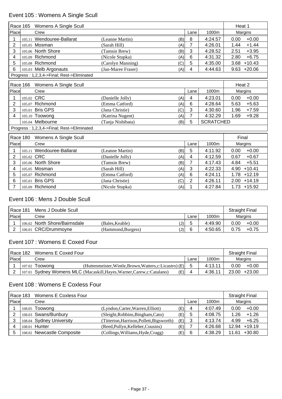# Event 105 : Womens A Single Scull

|                                            | Race 165   | Womens A Single Scull                      |                           |                |                  | Heat 1           |  |
|--------------------------------------------|------------|--------------------------------------------|---------------------------|----------------|------------------|------------------|--|
| Place                                      |            | Crew                                       |                           | Lane           | 1000m            | Margins          |  |
|                                            | 105.11     | Wendouree-Ballarat                         | (Leanne Martin)<br>(B)    | 8              | 4:24.57          | $+0.00$<br>0.00  |  |
| $\overline{2}$                             |            | 105.05 Mosman                              | (Sarah Hill)<br>(A)       | 7              | 4:26.01          | $+1.44$<br>1.44  |  |
| 3                                          |            | 105.06 North Shore                         | (Tamsin Brew)<br>(B)      | 3              | 4:28.52          | 2.51<br>$+3.95$  |  |
| 4                                          | 105.09     | Richmond                                   | (Nicole Stupka)<br>(A)    | 6              | 4:31.32          | $+6.75$<br>2.80  |  |
| 5                                          |            | 105.08 Richmond                            | (Carolyn Manning)<br>(C)  | 5              | 4:35.00          | $+10.43$<br>3.68 |  |
| 6                                          |            | 105.03 Melb Argonauts                      | (Jan-Maree Fraser)<br>(A) | 4              | 4:44.63          | 9.63<br>$+20.06$ |  |
| Progress: 1,2,3,4->Final; Rest->Eliminated |            |                                            |                           |                |                  |                  |  |
|                                            | Race 166   | Womens A Single Scull                      |                           |                |                  | Heat 2           |  |
| Place                                      |            | Crew                                       |                           | Lane           | 1000m            | Margins          |  |
|                                            |            | 105.02 CRC                                 | (Danielle Jolly)<br>(A)   | 4              | 4:23.01          | $+0.00$<br>0.00  |  |
| 2                                          |            | 105.07 Richmond                            | (Emma Catford)<br>(A)     | 6              | 4:28.64          | 5.63<br>$+5.63$  |  |
| 3                                          | 105.01     | <b>Bris GPS</b>                            | (Jana Christie)<br>(C)    | 3              | 4:30.60          | 1.96<br>$+7.59$  |  |
| 4                                          |            | 105.10 Toowong                             | (Katrina Nugent)<br>(A)   | 7              | 4:32.29          | 1.69<br>$+9.28$  |  |
|                                            |            | 105.04 Melbourne                           | (Tanja Nishibata)<br>(B)  | 5              | <b>SCRATCHED</b> |                  |  |
|                                            |            | Progress: 1,2,3,4->Final; Rest->Eliminated |                           |                |                  |                  |  |
|                                            | Race 180   | Womens A Single Scull                      |                           |                |                  | Final            |  |
| Place                                      |            | Crew                                       |                           | Lane           | 1000m            | Margins          |  |
| 1                                          |            | 105.11 Wendouree-Ballarat                  | (Leanne Martin)<br>(B)    | 5              | 4:11.92          | $+0.00$<br>0.00  |  |
| 2                                          | 105.02 CRC |                                            | (Danielle Jolly)<br>(A)   | 4              | 4:12.59          | $+0.67$<br>0.67  |  |
| 3                                          |            | 105.06 North Shore                         | (Tamsin Brew)<br>(B)      | 7              | 4:17.43          | 4.84<br>$+5.51$  |  |
| 4                                          | 105.05     | Mosman                                     | (Sarah Hill)<br>(A)       | 3              | 4:22.33          | $+10.41$<br>4.90 |  |
| 5                                          | 105.07     | Richmond                                   | (Emma Catford)<br>(A)     | 6              | 4:24.11          | 1.78<br>$+12.19$ |  |
| 6                                          | 105.01     | <b>Bris GPS</b>                            | (Jana Christie)<br>(C)    | $\overline{2}$ | 4:26.11          | $+14.19$<br>2.00 |  |
| 7                                          |            | 105.09 Richmond                            | (Nicole Stupka)<br>(A)    | 1              | 4:27.84          | $1.73 + 15.92$   |  |

## Event 106 : Mens J Double Scull

| Race 181<br>Mens J Double Scull |  |                               |                    |     |      |         | Straight Final |         |
|---------------------------------|--|-------------------------------|--------------------|-----|------|---------|----------------|---------|
| <b>Place</b>                    |  | Crew                          |                    |     | Lane | 1000m   | Margins        |         |
|                                 |  | 106.02 North Shore/Bairnsdale | (Bales.Keable)     | (J) |      | 4:49.90 | 0.00           | $+0.00$ |
|                                 |  | 106.01 CRC/Drummoyne          | (Hammond, Burgess) | (J) | 6    | 4:50.65 | 0.75           | $+0.75$ |

# Event 107 : Womens E Coxed Four

|       | Race 182<br>Womens E Coxed Four |                  |                                                                                |  |         |      | <b>Straight Final</b> |
|-------|---------------------------------|------------------|--------------------------------------------------------------------------------|--|---------|------|-----------------------|
| Place |                                 | Lane<br>Crew     |                                                                                |  | 1000m   |      | Margins               |
|       |                                 | $107.02$ Toowona | (Huttenmeister, Wintle, Brown, Watters, c: Licastro) (E)                       |  | 4:13.11 | 0.00 | $+0.00$               |
|       |                                 |                  | 107.01 Sydney Womens MLC (Macaskill, Hayes, Warner, Carew, c: Catalano)<br>(E) |  | 4:36.11 |      | 23.00 +23.00          |

## Event 108 : Womens E Coxless Four

|       | Race 183 | Womens E Coxless Four      |                                           |     |      |         | <b>Straight Final</b> |  |
|-------|----------|----------------------------|-------------------------------------------|-----|------|---------|-----------------------|--|
| Place |          | Crew                       |                                           |     | Lane | 1000m   | Margins               |  |
|       |          | 108.05 Toowong             | (Lyndon, Carter, Warren, Elliott)         | (E) | 4    | 4:07.49 | $+0.00$<br>0.00       |  |
|       |          | 108.03 Swans/Bunbury       | (Sleight, Robbins, Bingham, Cato)         | (E) | 5    | 4:08.75 | $+1.26$<br>1.26       |  |
|       |          | 108.04 Sydney University   | (Titterton, Harrison, Pollett, Bigsworth) | (E) | 3    | 4:13.74 | 4.99<br>$+6.25$       |  |
|       |          | 108.01 Hunter              | (Reed, Pullyn, Kelleher, Cousins)         | (E) |      | 4:26.68 | $+19.19$<br>12.94     |  |
| 5     |          | 108.02 Newcastle Composite | (Collings, Williams, Hyde, Cragg)         | (E) | 6    | 4:38.29 | $+30.80$<br>11.61     |  |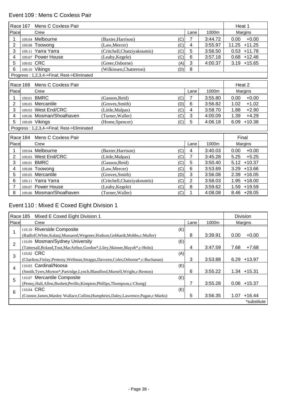## Event 109 : Mens C Coxless Pair

|                | Race 167                                   | Mens C Coxless Pair                        |                                    |                |         | Heat 1            |  |  |
|----------------|--------------------------------------------|--------------------------------------------|------------------------------------|----------------|---------|-------------------|--|--|
| Place          |                                            | Crew                                       |                                    | Lane           | 1000m   | Margins           |  |  |
|                |                                            | 109.04 Melbourne                           | (Baxter, Harrison)<br>(C)          | 7              | 3:44.72 | $+0.00$<br>0.00   |  |  |
| $\overline{2}$ |                                            | 109.08 Toowong                             | (C)<br>(Law, Mercer)               | 4              | 3:55.97 | $+11.25$<br>11.25 |  |  |
| 3              | 109.11                                     | Yarra Yarra                                | (Critchell, Chatziyakoumis)<br>(C) | 5              | 3:56.50 | $+11.78$<br>0.53  |  |  |
| 4              |                                            | 109.07 Power House                         | (Leahy, Kegele)<br>(C)             | 6              | 3:57.18 | $+12.46$<br>0.68  |  |  |
| 5              | 109.02 CRC                                 |                                            | (Greer, Osborne)<br>(A)            | 3              | 4:00.37 | $3.19 + 15.65$    |  |  |
| 6              |                                            | 109.10 Vikings                             | (Wilkinsen, Chatterton)<br>(D)     | 8              |         |                   |  |  |
|                | Progress: 1,2,3,4->Final; Rest->Eliminated |                                            |                                    |                |         |                   |  |  |
|                | Race 168                                   | Mens C Coxless Pair                        |                                    |                |         | Heat 2            |  |  |
| Place          |                                            | Crew                                       |                                    | Lane           | 1000m   | Margins           |  |  |
|                | 109.01                                     | <b>BMRC</b>                                | (Gasson.Reid)<br>(C)               | 7              | 3:55.80 | $+0.00$<br>0.00   |  |  |
| $\overline{2}$ |                                            | 109.05 Mercantile                          | (Groves, Smith)<br>(D)             | 6              | 3:56.82 | $+1.02$<br>1.02   |  |  |
| 3              |                                            | 109.03 West End/CRC                        | (C)<br>(Little, Malpas)            | 4              | 3:58.70 | 1.88<br>$+2.90$   |  |  |
| 4              |                                            | 109.06 Mosman/Shoalhaven                   | (Turner, Waller)<br>(C)            | 3              | 4:00.09 | $+4.29$<br>1.39   |  |  |
| 5              |                                            | 109.09 Vikings                             | (Home, Spencer)<br>(C)             | 5              | 4:06.18 | $+10.38$<br>6.09  |  |  |
|                |                                            | Progress: 1,2,3,4->Final; Rest->Eliminated |                                    |                |         |                   |  |  |
|                | Race 184                                   | Mens C Coxless Pair                        |                                    |                |         | Final             |  |  |
| Place          |                                            | Crew                                       |                                    | Lane           | 1000m   | Margins           |  |  |
|                |                                            | 109.04 Melbourne                           | (C)<br>(Baxter, Harrison)          | 4              | 3:40.03 | $+0.00$<br>0.00   |  |  |
| $\overline{2}$ |                                            | 109.03 West End/CRC                        | (C)<br>(Little, Malpas)            | 7              | 3:45.28 | 5.25<br>$+5.25$   |  |  |
| 3              |                                            | 109.01 BMRC                                | (Gasson, Reid)<br>(C)              | 5              | 3:50.40 | $+10.37$<br>5.12  |  |  |
| 4              | 109.08                                     | Toowong                                    | (Law, Mercer)<br>(C)               | 6              | 3:53.69 | $+13.66$<br>3.29  |  |  |
| 5              | 109.05                                     | Mercantile                                 | (Groves, Smith)<br>(D)             | 3              | 3:56.08 | $+16.05$<br>2.39  |  |  |
| 6              |                                            | 109.11 Yarra Yarra                         | (Critchell, Chatziyakoumis)<br>(C) | $\overline{2}$ | 3:58.03 | $+18.00$<br>1.95  |  |  |
|                |                                            | 109.07 Power House                         | (Leahy, Kegele)<br>(C)             | 8              | 3:59.62 | +19.59<br>1.59    |  |  |
| 8              |                                            | 109.06 Mosman/Shoalhaven                   | (C)<br>(Turner, Waller)            | 1              | 4:08.08 | $8.46 +28.05$     |  |  |

# Event 110 : Mixed E Coxed Eight Division 1

|       | Race 185<br>Mixed E Coxed Eight Division 1                                            |      |         | <b>Division</b>  |
|-------|---------------------------------------------------------------------------------------|------|---------|------------------|
| Place | Crew                                                                                  | Lane | 1000m   | Margins          |
|       | 110.10 Riverside Composite<br>(E)                                                     |      |         |                  |
|       | (Radloff, White, Kalanj, Mussared, Wegener, Hodson, Gebhardt, Mobbs, c: Muller)       | 8    | 3:39.91 | $+0.00$<br>0.00  |
| 2     | 110.09 Mosman/Sydney University<br>(E)                                                |      |         |                  |
|       | (Tattersall, Boland, Tout, MacArthur, Gordon*, Liley, Skinner, Mayoh*, c: Holst)      | 4    | 3:47.59 | 7.68<br>$+7.68$  |
| 3     | 110.02 CRC<br>(A)                                                                     |      |         |                  |
|       | (Charlton, Finlay, Pentony, Wellman, Strapps, Davoren, Coles, Osborne*, c: Buchanan)  | 3    | 3:53.88 | 6.29<br>+13.97   |
| 4     | 110.03 Cardinal/Noosa<br>(E)                                                          |      |         |                  |
|       | (Smith, Tyers, Morton*, Partridge, Lynch, Blandford, Mursell, Wright, c: Renton)      | 6    | 3:55.22 | $1.34 + 15.31$   |
| 5     | 110.07 Mercantile Composite<br>(E)                                                    |      |         |                  |
|       | (Penny, Hall, Allen, Bushett, Perillo, Kimpton, Phillips, Thompson, c: Chong)         | 7    | 3:55.28 | $0.06 + 15.37$   |
| 6     | 110.04 CRC<br>(E)                                                                     |      |         |                  |
|       | (Connor, James, Manley Wallace, Collins, Humphries, Daley, Lawrence, Pagan, c: Marks) | 5    | 3:56.35 | $+16.44$<br>1.07 |
|       |                                                                                       |      |         | *substitute      |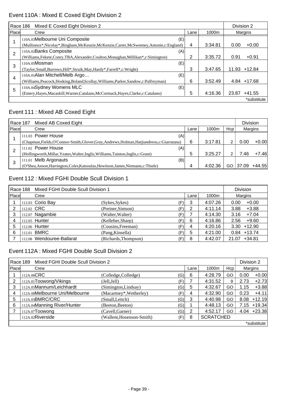# Event 110A : Mixed E Coxed Eight Division 2

|       | Mixed E Coxed Eight Division 2<br>Race 186                                             |      |         | Division 2 |          |  |  |
|-------|----------------------------------------------------------------------------------------|------|---------|------------|----------|--|--|
| Place | Crew                                                                                   | Lane | 1000m   |            | Margins  |  |  |
|       | 110A.03Melbourne Uni Composite<br>(E)                                                  |      |         |            |          |  |  |
|       | (Mullineux*,Nicolay*,Bingham,McKenzie,McKenzie,Carter,McSweeney,Antonie,c:England)     | 4    | 3:34.81 | 0.00       | $+0.00$  |  |  |
| 2     | 110A.02Banks Composite<br>(A)                                                          |      |         |            |          |  |  |
|       | (Williams, Fekete, Conry, TBA, Alexander, Coulton, Monaghan, Millikan*, c: Simington)  | 2    | 3:35.72 | 0.91       | $+0.91$  |  |  |
| 3     | $110A.05M$ osman<br>(E)                                                                |      |         |            |          |  |  |
|       | (Taylor, Small, Burrows, Hill*, Struik, May, Hardy*, Farrell*, c: Wright)              | 3    | 3:47.65 | 11.93      | $+12.84$ |  |  |
| 4     | 110A.01Alan Mitchell/Melb Argo<br>(E)                                                  |      |         |            |          |  |  |
|       | (Williams, Peacock, Hosking, Boland, Scollay, Williams, Parker, Sandow, c: Palfreyman) | 6    | 3:52.49 | 4.84       | +17.68   |  |  |
| 5     | 110A.04Sydney Womens MLC<br>(E)                                                        |      |         |            |          |  |  |
|       | (Emery, Hayes, Macaskill, Warner, Catalano, McCormack, Hayes, Clarke, c: Catalano)     | 5    | 4:16.36 | 23.87      | $+41.55$ |  |  |
|       |                                                                                        |      |         |            |          |  |  |

### Event 111 : Mixed AB Coxed Eight

|       | <b>Division</b><br>Mixed AB Coxed Eight<br>Race 187                                           |      |         |     |         |          |  |  |
|-------|-----------------------------------------------------------------------------------------------|------|---------|-----|---------|----------|--|--|
| Place | Crew                                                                                          | Lane | 1000m   | Hcp | Margins |          |  |  |
|       | 111.03 Power House<br>(A)                                                                     |      |         |     |         |          |  |  |
|       | (Chapman, Fields, O'Connor-Smith, Glover, Gray, Andrews, Holman, Hatjiandreou, c: Giarratana) | 6    | 3:17.81 | 2   | 0.00    | $+0.00$  |  |  |
|       | 111.02 Power House<br>(A)                                                                     |      |         |     |         |          |  |  |
|       | (Hollingworth, Millar, Yeates, Walter, Inglis, Williams, Tainton, Inglis, c: Grant)           | 5    | 3:25.27 | 2   | 7.46    | $+7.46$  |  |  |
|       | 111.01 Melb Argonauts<br>(B)                                                                  |      |         |     |         |          |  |  |
|       | (O'Shea, Anson, Harrington, Coles, Katsoulas, Hewitson, James, Niemann, c: Thiele)            | 4    | 4:02.36 | GO  | 37.09   | $+44.55$ |  |  |

## Event 112 : Mixed FGHI Double Scull Division 1

|       | Race 188 Mixed FGHI Double Scull Division 1 |                           |                      |     | <b>Division</b> |         |                   |  |
|-------|---------------------------------------------|---------------------------|----------------------|-----|-----------------|---------|-------------------|--|
| Place |                                             | Crew                      |                      |     | Lane            | 1000m   | Margins           |  |
|       |                                             | 112.03 Corio Bay          | (Sykes, Sykes)       | (F) | 3               | 4:07.26 | $+0.00$<br>0.00   |  |
| 2     |                                             | 112.02 CRC                | (Preiner, Simson)    | (F) | 2               | 4:11.14 | 3.88<br>$+3.88$   |  |
| 3     |                                             | 112.07 Nagambie           | (Walter, Walter)     | (F) |                 | 4:14.30 | $+7.04$<br>3.16   |  |
|       |                                             | 112.05 Hunter             | (Kelleher, Sharp)    | (F) | 6               | 4:16.86 | 2.56<br>$+9.60$   |  |
| 5     |                                             | 112.06 Hunter             | (Cousins, Freeman)   | (F) | 4               | 4:20.16 | $3.30 + 12.90$    |  |
| 6     |                                             | 112.01 BMRC               | (Pang, Kinsella)     | (F) | 5               | 4:21.00 | $0.84 + 13.74$    |  |
|       |                                             | 112.08 Wendouree-Ballarat | (Richards, Thompson) | (F) | 8               | 4:42.07 | $+34.81$<br>21.07 |  |

## Event 112A : Mixed FGHI Double Scull Division 2

|       | Mixed FGHI Double Scull Division 2<br>Division 2<br>Race 189 |                           |     |      |                  |     |         |               |  |
|-------|--------------------------------------------------------------|---------------------------|-----|------|------------------|-----|---------|---------------|--|
| Place | Crew                                                         |                           |     | Lane | 1000m            | Hcp | Margins |               |  |
|       | 112A.06CRC                                                   | (Colledge, Colledge)      | (G) | 6    | 4:28.79          | GO  | 0.00    | $+0.00$       |  |
| 2     | 112A.01Toowong/Vikings                                       | (Jell,Jell)               | (F) |      | 4:31.52          | 9   | 2.73    | $+2.73$       |  |
| 3     | 112A.05Mannum/Leichhardt                                     | (Simington, Lindsay)      | (G) | 5    | 4:32.67          | GO  | 1.15    | $+3.88$       |  |
| 4     | 112A.08Melbourne Uni/Melbourne                               | (Macartney*, Wetherley)   | (F) | 4    | 4:32.90          | GO  | 0.23    | $+4.11$       |  |
| 5     | 112A.03BMRC/CRC                                              | (Small,Leitch)            | (G) | 3    | 4:40.98          | GO  | 8.08    | $+12.19$      |  |
| 6     | 112A.04Manning River/Hunter                                  | (Beeton, Beeton)          | (G) |      | 4:48.13          | GO  | 7.15    | $+19.34$      |  |
|       | $112A.07$ Toowong                                            | (Cavell, Garner)          | (G) | 2    | 4:52.17          | GO  |         | $4.04$ +23.38 |  |
|       | 112A.02Riverside                                             | (Wallent, Hosenson-Smith) | (F) | 8    | <b>SCRATCHED</b> |     |         |               |  |
|       |                                                              |                           |     |      |                  |     |         | *substitute   |  |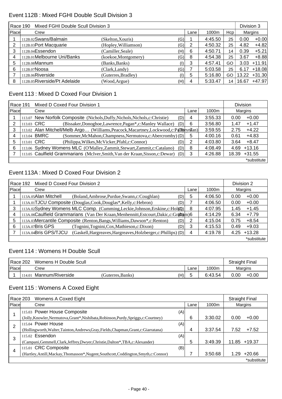## Event 112B : Mixed FGHI Double Scull Division 3

|       | Division 3<br>Mixed FGHI Double Scull Division 3<br>Race 190 |                      |                                         |      |         |     |       |          |  |
|-------|--------------------------------------------------------------|----------------------|-----------------------------------------|------|---------|-----|-------|----------|--|
| Place | Crew                                                         |                      |                                         | Lane | 1000m   | Hcp |       | Margins  |  |
|       | 112B.02Swans/Balmain                                         | (Skelton,Xouris)     | (G)                                     |      | 4:45.50 | 25  | 0.00  | $+0.00$  |  |
| 2     | 112B.03Port Macquarie                                        | (Hopley, Williamson) | (G)                                     | -2   | 4:50.32 | 25  | 4.82  | $+4.82$  |  |
| 3     | 112B.04Essendon                                              | (Camiller, Seale)    | (H)                                     | 6    | 4:50.71 | 14  | 0.39  | $+5.21$  |  |
| 4     | 112B.01Melbourne Uni/Banks                                   | (koekoe, Montgomery) | (G)                                     | 8    | 4:54.38 | 25  | 3.67  | $+8.88$  |  |
| 5     | 112B.08Mannum                                                | (Banks, Banks)       | $\left( I\right)$                       | 3    | 4:57.41 | GO  | 3.03  | $+11.91$ |  |
| 6     | 112B.07Noosa                                                 | (Clark, Landy)       | (G)                                     |      | 5:03.58 | 25  | 6.17  | $+18.08$ |  |
|       | 112B.06Riverside                                             | (Guterres, Bradley)  | $\left( \left  {}\right\rangle \right)$ | 5    | 5:16.80 | GO  | 13.22 | $+31.30$ |  |
| 8     | 112B.05Riverside/Pt Adelaide                                 | (Wood, Argue)        | (H)                                     | 4    | 5:33.47 | 14  | 16.67 | $+47.97$ |  |

#### Event 113 : Mixed D Coxed Four Division 1

| Race 191 |                                                                                           | Mixed D Coxed Four Division 1                                                          |   | <b>Division</b> |       |          |  |
|----------|-------------------------------------------------------------------------------------------|----------------------------------------------------------------------------------------|---|-----------------|-------|----------|--|
| Place    |                                                                                           | Crew<br>Lane                                                                           |   | 1000m           |       | Margins  |  |
|          |                                                                                           | 113.07 New Norfolk Composite (Nichols, Duffy, Nichols, Nichols, c: Christie)<br>(D)    | 4 | 3:55.33         | 0.00  | $+0.00$  |  |
| 2        | 113.03 CRC                                                                                | (Bissaker, Donoghoe, Lawrence, Pagan*, c: Manley Wallace)<br>(D)                       | 6 | 3:56.80         | 1.47  | $+1.47$  |  |
| 3        |                                                                                           | 113.02 Alan Mitchell/Melb Argo (Williams, Peacock, Macartney, Lockwood, c: P4Digyn7an) |   | 3:59.55         | 2.75  | $+4.22$  |  |
| 4        |                                                                                           | 113.04 BMRC<br>(Sommer, McMahon, Champness, Nermutova, c: Abercromby) (D)              | 5 | 4:00.16         | 0.61  | $+4.83$  |  |
| 5        | 113.01 CRC                                                                                | (Philippa, Wilkes, McVicker, Pfahl, c: Connor)<br>(D)                                  | 2 | 4:03.80         | 3.64  | $+8.47$  |  |
| 6        |                                                                                           | 113.06 Sydney Womens MLC (O'Malley, Zammit, Stewart, Zammit, c: Catalano)<br>(D)       | 8 | 4:08.49         | 4.69  | $+13.16$ |  |
|          | 113.05 Caulfield Grammarians (McIver, Smith, Van der Kraan, Sisson, c: Dewar)<br>(D)<br>3 |                                                                                        |   | 4:26.88         | 18.39 | $+31.55$ |  |
|          |                                                                                           |                                                                                        |   |                 |       |          |  |

### Event 113A : Mixed D Coxed Four Division 2

|       | Mixed D Coxed Four Division 2<br>Race 192                                              |      |         |                 |  |  |  |  |
|-------|----------------------------------------------------------------------------------------|------|---------|-----------------|--|--|--|--|
| Place | Crew                                                                                   | Lane | 1000m   | Margins         |  |  |  |  |
|       | 113A.05Alan Mitchell<br>(Boland, Ambrose, Purdue, Swann, c: Coughlan)<br>(D)           | 5    | 4:06.50 | $+0.00$<br>0.00 |  |  |  |  |
|       | 113A.01TJCU Composite (Douglas, Cook, Douglas*, Kelly, c: Hebron)<br>(D)               |      | 4:06.50 | $+0.00$<br>0.00 |  |  |  |  |
| 3     | 113A.02Sydney Womens MLC Comp. (Cumming, Leckie, Johnson, Erskine, c: Hol(p))          | 8    | 4:07.95 | $+1.45$<br>1.45 |  |  |  |  |
| 4     | 113A.06Caulfield Grammarians (Van Der Kraan, Menhennitt, Estcourt, Dakic, c: Grabam)6  |      | 4:14.29 | $+7.79$<br>6.34 |  |  |  |  |
| 5     | 113A.03Mercantile Composite (Renton, Bangs, Williams, Dawson*, c: Renton)<br>(D)       |      | 4:15.04 | $+8.54$<br>0.75 |  |  |  |  |
| 6     | 113A.07 <b>Bris GPS</b><br>(Tognini, Tognini, Cox, Mathieson, c: Dixon)<br>(D)         | 3    | 4:15.53 | $+9.03$<br>0.49 |  |  |  |  |
|       | 113A.04Bris GPS/TJCU<br>(Gaskell, Hargreaves, Hargreaves, Holzberger, c: Phillips) (D) | 4    | 4:19.78 | +13.28<br>4.25  |  |  |  |  |
|       |                                                                                        |      |         | *substitute     |  |  |  |  |

### Event 114 : Womens H Double Scull

| Race 202      |        | Womens H Double Scull |                  |     |      |         | <b>Straight Final</b> |         |
|---------------|--------|-----------------------|------------------|-----|------|---------|-----------------------|---------|
| <b>IPlace</b> |        | Crew                  |                  |     | Lane | 1000m   | Margins               |         |
|               | 114.01 | Mannum/Riverside      | (Guterres.Banks) | (H) | ∽    | 6:43.54 | 0.00                  | $+0.00$ |

#### Event 115 : Womens A Coxed Eight

|       | Race 203<br>Womens A Coxed Eight<br><b>Straight Final</b>                              |      |       |         |       |          |  |
|-------|----------------------------------------------------------------------------------------|------|-------|---------|-------|----------|--|
| Place | Crew                                                                                   | Lane | 1000m | Margins |       |          |  |
|       | 115.03 Power House Composite                                                           | (A)  |       |         |       |          |  |
|       | (Jolly, Knowler, Nermutova, Grant*, Nishibata, Robinson, Purdy, Spriggs, c: Courtney)  |      | 6     | 3:30.02 | 0.00  | $+0.00$  |  |
| 2     | 115.04 Power House                                                                     | (A)  |       |         |       |          |  |
|       | (Hollingworth, Walter, Tainton, Andrews, Gray, Fields, Chapman, Grant, c: Giarratana)  |      | 4     | 3:37.54 | 7.52  | $+7.52$  |  |
| 3     | 115.02 Essendon                                                                        | (A)  |       |         |       |          |  |
|       | (Campani, Gemmell, Clark, Jeffrey, Dwyer, Christie, Dalton*, TBA, c: Alexander)        |      | 5     | 3:49.39 | 11.85 | $+19.37$ |  |
|       | 115.01 CRC Composite                                                                   | (B)  |       |         |       |          |  |
| 4     | (Hartley, Antill, Mackay, Thomasson*, Nugent, Southcott, Coddington, Smyth, c: Connor) |      |       | 3:50.68 | 1.29  | $+20.66$ |  |
|       |                                                                                        |      |       |         |       |          |  |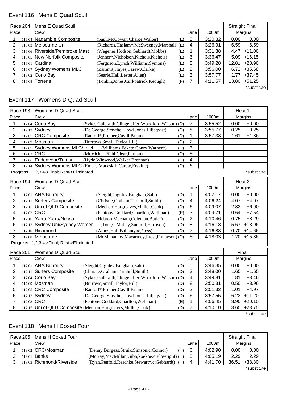# Event 116 : Mens E Quad Scull

|       | Race 204 | Mens E Quad Scull              |                                                           |     |   |         |       | <b>Straight Final</b> |
|-------|----------|--------------------------------|-----------------------------------------------------------|-----|---|---------|-------|-----------------------|
| Place |          | Crew                           |                                                           |     |   | 1000m   |       | Margins               |
|       |          | 116.04 Nagambie Composite      | (Saul, McCowan, Charge, Walter)                           | (E) | 5 | 3:20.32 | 0.00  | $+0.00$               |
| 2     |          | 116.03 Melbourne Uni           | (Rickards, Haslam <sup>*</sup> , McSweeney, Marshall) (E) |     | 4 | 3:26.91 | 6.59  | $+6.59$               |
| 3     |          | 116.06 Riverside/Pembroke Mast | (Wegener, Hodson, Gebhardt, Mobbs)                        | (E) |   | 3:31.38 | 4.47  | $+11.06$              |
| 4     |          | 116.05 New Norfolk Composite   | (Jenner*, Nicholson, Nichols, Nichols)                    | (E) | 6 | 3:36.47 | 5.09  | $+16.15$              |
| 5     |          | 116.01 Cardinal                | (Ferguson, Lynch, Williams, Symons)                       | (E) | 8 | 3:49.28 | 12.81 | +28.96                |
| 6     |          | 116.07 Sydney Womens MLC       | (Zammit, Hayes, Carew, Clarke)                            | (E) | 2 | 3:56.00 | 6.72  | $+35.68$              |
|       |          | 116.02 Corio Bay               | (Searle, Hall, Lester, Allen)                             | (E) | 3 | 3:57.77 | 1.77  | $+37.45$              |
| 8     |          | 116.08 Torrens                 | (Tonkin, Jones, Curkpatrick, Keough)                      | (F) |   | 4:11.57 | 13.80 | $+51.25$              |
|       |          |                                |                                                           |     |   |         |       | *substitute           |

## Event 117 : Womens D Quad Scull

| <b>Race 193</b> |            | Womens D Quad Scull                        |                                                                   |     |                         |         | Heat 1           |
|-----------------|------------|--------------------------------------------|-------------------------------------------------------------------|-----|-------------------------|---------|------------------|
| Place           |            | Crew                                       |                                                                   |     | Lane                    | 1000m   | Margins          |
| 1               |            | 117.04 Corio Bay                           | (Sykes, Galbraith, Clingeleffer-Woodford, Wilson) (D)             |     | 7                       | 3:55.52 | $+0.00$<br>0.00  |
| $\overline{2}$  |            | 117.12 Sydney                              | (De George, Smythe, Lloyd Jones, Liljeqvist)                      | (D) | 8                       | 3:55.77 | $+0.25$<br>0.25  |
| 3               |            | 117.05 CRC Composite                       | (Radloff*, Preiner, Cavill, Brian)                                | (D) | 1                       | 3:57.38 | 1.61<br>$+1.86$  |
| 4               |            | 117.09 Mosman                              | (Burrows, Small, Taylor, Hill)                                    | (D) | $\overline{2}$          |         |                  |
| 5               |            |                                            | 117.07 Sydney Womens MLC/Leich (Williams, Fekete, Conry, Warner*) | (D) | 3                       |         |                  |
| 6               | 117.02 CRC |                                            | (McVicker, Pfahl, Clear, Farnan)                                  | (D) | 5                       |         |                  |
| $\overline{7}$  |            | 117.06 Endeavour/Tamar                     | (Hyde, Winwood, Walker, Brennan)                                  | (D) | $\overline{\mathbf{4}}$ |         |                  |
| 8               |            |                                            | 117.14 Sydney Womens MLC (Emery, Macaskill, Carew, Erskine)       | (D) | 6                       |         |                  |
|                 |            | Progress: 1,2,3,4->Final; Rest->Eliminated |                                                                   |     |                         |         | *substitute      |
|                 |            | Race 194 Womens D Quad Scull               |                                                                   |     |                         |         | Heat 2           |
| Place           |            | Crew                                       |                                                                   |     | Lane                    | 1000m   | Margins          |
| 1               |            | 117.01 ANA/Bunbury                         | (Sleight, Cigulev, Bingham, Sale)                                 | (D) | 1                       | 4:02.17 | $+0.00$<br>0.00  |
| 2               |            | 117.11 Surfers Composite                   | (Christie, Graham, Turnbull, Smith)                               | (D) | 4                       | 4:06.24 | 4.07<br>$+4.07$  |
| 3               |            | 117.15 Uni of QLD Composite                | (Meehan, Hargreaves, Muller, Cook)                                | (D) | $\,6$                   | 4:09.07 | 2.83<br>$+6.90$  |
| 4               | 117.03 CRC |                                            | (Pentony, Goddard, Charlton, Wellman)                             | (E) | 3                       | 4:09.71 | $+7.54$<br>0.64  |
| 5               |            | 117.16 Yarra Yarra/Noosa                   | (Hebron, Mecham, Coleman, Butler)                                 | (D) | $\overline{2}$          | 4:10.46 | $+8.29$<br>0.75  |
| 6               |            |                                            | 117.13 Sydney Uni/Sydney Women (Tout, O'Malley, Zammit, Harrison) | (D) | 8                       | 4:16.13 | 5.67<br>$+13.96$ |
| 7               |            | 117.10 Richmond                            | (Amos, Hall, Ballantyne, Goss)                                    | (D) | $\overline{7}$          | 4:16.83 | 0.70<br>$+14.66$ |
| 8               |            | 117.08 Melbourne                           | (McManamny, Macartney, Frost, Finlayson) (D)                      |     | 5                       | 4:18.03 | 1.20<br>$+15.86$ |
|                 |            | Progress: 1,2,3,4->Final; Rest->Eliminated |                                                                   |     |                         |         |                  |
| <b>Race 201</b> |            | Womens D Quad Scull                        |                                                                   |     |                         |         | Final            |
| Place           |            | Crew                                       |                                                                   |     | Lane                    | 1000m   | Margins          |
| 1               |            | 117.01 ANA/Bunbury                         | (Sleight, Cigulev, Bingham, Sale)                                 | (D) | 5                       | 3:46.35 | 0.00<br>$+0.00$  |
| $\overline{2}$  |            | 117.11 Surfers Composite                   | (Christie, Graham, Turnbull, Smith)                               | (D) | 3                       | 3:48.00 | 1.65<br>$+1.65$  |
| 3               |            | 117.04 Corio Bay                           | (Sykes, Galbraith, Clingeleffer-Woodford, Wilson) (D)             |     | 4                       | 3:49.81 | $+3.46$<br>1.81  |
| 4               |            | 117.09 Mosman                              | (Burrows, Small, Taylor, Hill)                                    | (D) | 8                       | 3:50.31 | $+3.96$<br>0.50  |
| 5               |            | 117.05 CRC Composite                       | (Radloff*, Preiner, Cavill, Brian)                                | (D) | $\overline{2}$          | 3:51.32 | 1.01<br>$+4.97$  |
| 6               |            | 117.12 Sydney                              | (De George, Smythe, Lloyd Jones, Liljeqvist)                      | (D) | 6                       | 3:57.55 | $+11.20$<br>6.23 |
| 7               | 117.03 CRC |                                            | (Pentony, Goddard, Charlton, Wellman)                             | (E) | 1                       | 4:06.45 | $+20.10$<br>8.90 |
| 8               |            |                                            | 117.15 Uni of QLD Composite (Meehan, Hargreaves, Muller, Cook)    | (D) | $\overline{7}$          | 4:10.10 | 3.65<br>$+23.75$ |
|                 |            |                                            |                                                                   |     |                         |         | *substitute      |

## Event 118 : Mens H Coxed Four

|              | Mens H Coxed Four<br>l Race 205 |                           |                                                     |      | <b>Straight Final</b> |       |             |
|--------------|---------------------------------|---------------------------|-----------------------------------------------------|------|-----------------------|-------|-------------|
| <b>Place</b> |                                 | Crew                      |                                                     | Lane | 1000m                 |       | Margins     |
|              |                                 | 118.02 CRC/Mosman         | (Denny, Burgess, Struik, Simson, c: Connor)<br>(H)  | 6    | 4:02.90               | 0.00  | $+0.00$     |
|              |                                 | 118.01 <b>Banks</b>       | $(NcKay, MacMillan, Gibb, koekoe, c:Plowright) (H)$ | 5    | 4:05.19               | 2.29  | $+2.29$     |
|              |                                 | 118.03 Richmond/Riverside | (Ryan, Penfold, Reschke, Stewart*, c: Gebhardt) (H) | 4    | 4:41.70               | 36.51 | $+38.80$    |
|              |                                 |                           |                                                     |      |                       |       | *substitute |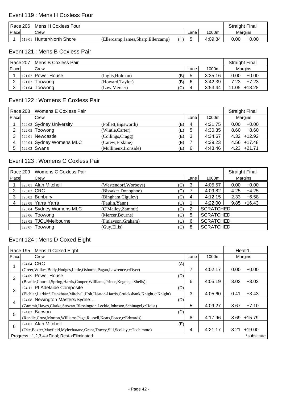#### Event 119 : Mens H Coxless Four

| Race 206<br>Mens H Coxless Four |        |                    |                                   | <b>Straight Final</b> |         |      |         |
|---------------------------------|--------|--------------------|-----------------------------------|-----------------------|---------|------|---------|
| Place                           |        | Crew               |                                   | Lane                  | 1000m   |      | Margins |
|                                 | 119.01 | Hunter/North Shore | (Ellercamp.James.Sharp.Ellercamp) | (H)                   | 4:09.84 | 0.00 | $+0.00$ |

#### Event 121 : Mens B Coxless Pair

| Race 207<br>Mens B Coxless Pair |  |                      |                 |     |      |         | <b>Straight Final</b> |                 |
|---------------------------------|--|----------------------|-----------------|-----|------|---------|-----------------------|-----------------|
| Place                           |  | Crew                 |                 |     | Lane | 1000m   |                       | Margins         |
|                                 |  | $121.02$ Power House | (Inglis.Holman) | (B) | 5    | 3:35.16 | 0.00                  | $+0.00$         |
| ◠                               |  | 121.03 Toowong       | (Howard,Taylor) | (B) | 6    | 3:42.39 | 7.23                  | $+7.23$         |
|                                 |  | 121.04 Toowong       | (Law,Mercer)    | (C) | 4    | 3:53.44 |                       | $11.05 + 18.28$ |

### Event 122 : Womens E Coxless Pair

|       | Race 208 | Womens E Coxless Pair    |                       |     |   |         | <b>Straight Final</b> |  |
|-------|----------|--------------------------|-----------------------|-----|---|---------|-----------------------|--|
| Place |          | Crew                     | Lane                  |     |   |         |                       |  |
|       |          | 122.03 Sydney University | (Pollett, Bigsworth)  | (E) | 4 | 4:21.75 | $+0.00$<br>0.00       |  |
|       |          | 122.05 Toowong           | (Wintle,Carter)       | (E) | 5 | 4:30.35 | $+8.60$<br>8.60       |  |
|       |          | 122.01 Newcastle         | (Collings, Cragg)     | (E) | 3 | 4:34.67 | $4.32 + 12.92$        |  |
| 4     |          | 122.04 Sydney Womens MLC | (Carew, Erskine)      | (E) |   | 4:39.23 | $4.56$ +17.48         |  |
|       |          | 122.02 Swans             | (Mullineux, Ironside) | (E) | 6 | 4:43.46 | $+21.71$<br>4.23      |  |

# Event 123 : Womens C Coxless Pair

|       | Race 209 | Womens C Coxless Pair    |                       |     |      |                  | <b>Straight Final</b> |  |
|-------|----------|--------------------------|-----------------------|-----|------|------------------|-----------------------|--|
| Place |          | Crew                     |                       |     | Lane | 1000m            | Margins               |  |
|       |          | 123.01 Alan Mitchell     | (Westendorf, Worboys) | (C) | 3    | 4:05.57          | $+0.00$<br>0.00       |  |
|       |          | 123.03 CRC               | (Bissaker,Donoghoe)   | (C) |      | 4:09.82          | $+4.25$<br>4.25       |  |
| 3     |          | 123.02 Bunbury           | (Bingham, Cigulev)    | (C) | 4    | 4:12.15          | 2.33<br>$+6.58$       |  |
| 4     |          | 123.08 Yarra Yarra       | (Paulin, Yann)        | (C) |      | 4:22.00          | $9.85 + 16.43$        |  |
|       |          | 123.04 Sydney Womens MLC | (O'Malley, Zammit)    | (C) | 2    | <b>SCRATCHED</b> |                       |  |
|       |          | 123.06 Toowong           | (Mercer, Bourne)      | (C) | 5    | <b>SCRATCHED</b> |                       |  |
|       |          | 123.05 TJCU/Melbourne    | (Finlayson, Graham)   | (C) | 6    | <b>SCRATCHED</b> |                       |  |
|       |          | 123.07 Toowong           | (Guy, Ellis)          | (C) | 8    | <b>SCRATCHED</b> |                       |  |

# Event 124 : Mens D Coxed Eight

|                | Race 195<br>Mens D Coxed Eight                                                      |      |         | Heat 1           |  |  |  |
|----------------|-------------------------------------------------------------------------------------|------|---------|------------------|--|--|--|
| Place          | Crew                                                                                | Lane | 1000m   | Margins          |  |  |  |
|                | 124.04 CRC                                                                          | (A)  |         |                  |  |  |  |
|                | (Greer, Wilkes, Body, Hodges, Little, Osborne, Pagan, Lawrence, c: Dyer)            |      | 4:02.17 | 0.00<br>$+0.00$  |  |  |  |
| $\overline{2}$ | 124.09 Power House                                                                  | (D)  |         |                  |  |  |  |
|                | (Beattie, Cottrell, Spring, Harris, Cooper, Williams, Prince, Kegele, c: Sheils)    | 6    | 4:05.19 | $+3.02$<br>3.02  |  |  |  |
| 3              | 124.11 Pt Adelaide Composite                                                        | (D)  |         |                  |  |  |  |
|                | (Eichler,Larkin*,Dankbaar,Mitchell,Holt,Heaton-Harris,Cruickshank,Knight,c:Knight)  | 3    | 4:05.60 | $+3.43$<br>0.41  |  |  |  |
| 4              | 124.08 Newington Masters/Sydne                                                      | (D)  |         |                  |  |  |  |
|                | (Zammit, Hayes, Clarke, Stewart, Blessington, Leckie, Johnson, Schinagel, c: Holst) | 5    | 4:09.27 | $+7.10$<br>3.67  |  |  |  |
|                | 124.03 Barwon                                                                       | (D)  |         |                  |  |  |  |
| 5              | (Rendle, Crust, Morton, Williams, Page, Russell, Keats, Peace, c: Edwards)          | 8    | 4:17.96 | $+15.79$<br>8.69 |  |  |  |
| 6              | 124.01 Alan Mitchell                                                                | (E)  |         |                  |  |  |  |
|                | (Oke, Baxter, Mayfield, Mylecharane, Grant, Tracey, Sill, Scollay, c: Tachimoto)    | 4    | 4:21.17 | $+19.00$<br>3.21 |  |  |  |
|                | Progress: 1,2,3,4->Final; Rest->Eliminated                                          |      |         |                  |  |  |  |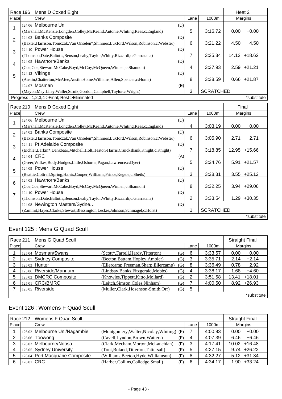| Race 196       | Mens D Coxed Eight                                                                         |     |                |                  | Heat 2 |                |
|----------------|--------------------------------------------------------------------------------------------|-----|----------------|------------------|--------|----------------|
| Place          | Crew                                                                                       |     | Lane           | 1000m            |        | Margins        |
| 1              | 124.06 Melbourne Uni                                                                       | (D) |                |                  |        |                |
|                | (Marshall, McKenzie, Longden, Colley, McKeand, Antonie, Whiting, Rees, c: England)         |     | 5              | 3:16.72          | 0.00   | $+0.00$        |
| $\overline{2}$ | 124.02 Banks Composite                                                                     | (D) |                |                  |        |                |
|                | (Baxter, Harrison, Tomczak, Van Onselen*, Shinners, Luxford, Wilson, Robinson, c: Webster) |     | 6              | 3:21.22          | 4.50   | $+4.50$        |
| 3              | 124.10 Power House                                                                         | (D) |                |                  |        |                |
|                | (Thomson, Date, Baltutis, Benson, Leahy, Taylor, Whitty, Rizzardi, c: Giarratana)          |     | 7              | 3:35.34          |        | 14.12 +18.62   |
| $\overline{4}$ | 124.05 Hawthorn/Banks                                                                      | (D) |                |                  |        |                |
|                | (Coe,Coe,Stewart,McCabe,Boyd,McCoy,McQueen,Winnen,c:Shannon)                               |     | 4              | 3:37.93          |        | $2.59 +21.21$  |
| 5              | 124.12 Vikings                                                                             | (D) |                |                  |        |                |
|                | (Austin, Chatterton, McAfee, Austin, Home, Williams, Allen, Spencer, c: Home)              |     | 8              | 3:38.59          |        | $0.66 + 21.87$ |
|                | 124.07 Mosman                                                                              | (E) |                |                  |        |                |
|                | (Mayoh, May, Liley, Waller, Struik, Gordon, Campbell, Taylor, c: Wright)                   |     | 3              | <b>SCRATCHED</b> |        |                |
|                | Progress: 1,2,3,4->Final; Rest->Eliminated                                                 |     |                |                  |        | *substitute    |
| Race 210       | Mens D Coxed Eight                                                                         |     |                |                  | Final  |                |
| Place          | Crew                                                                                       |     | Lane           | 1000m<br>Margins |        |                |
|                | 124.06 Melbourne Uni                                                                       | (D) |                |                  |        |                |
| 1              | (Marshall, McKenzie, Longden, Colley, McKeand, Antonie, Whiting, Rees, c: England)         |     | $\overline{4}$ | 3:03.19          | 0.00   | $+0.00$        |
|                | 124.02 Banks Composite                                                                     | (D) |                |                  |        |                |
| $\overline{2}$ | (Baxter, Harrison, Tomczak, Van Onselen*, Shinners, Luxford, Wilson, Robinson, c: Webster) |     | 6              | 3:05.90          | 2.71   | $+2.71$        |
| 3              | 124.11 Pt Adelaide Composite                                                               | (D) |                |                  |        |                |
|                | (Eichler,Larkin*,Dankbaar,Mitchell,Holt,Heaton-Harris,Cruickshank,Knight,c:Knight)         |     | $\overline{7}$ | 3:18.85          |        | 12.95 +15.66   |
|                | 124.04 CRC                                                                                 | (A) |                |                  |        |                |
| $\overline{4}$ | (Greer, Wilkes, Body, Hodges, Little, Osborne, Pagan, Lawrence, c: Dyer)                   |     | 5              | 3:24.76          |        | 5.91 +21.57    |
| 5              | 124.09 Power House                                                                         | (D) |                |                  |        |                |
|                | (Beattie, Cottrell, Spring, Harris, Cooper, Williams, Prince, Kegele, c: Sheils)           |     | 3              | 3:28.31          |        | $3.55 + 25.12$ |
| $6\phantom{1}$ | 124.05 Hawthorn/Banks                                                                      | (D) |                |                  |        |                |
|                | (Coe,Coe,Stewart,McCabe,Boyd,McCoy,McQueen,Winnen,c:Shannon)                               |     | 8              | 3:32.25          |        | $3.94 +29.06$  |
| $\overline{7}$ | 124.10 Power House                                                                         | (D) |                |                  |        |                |
|                | (Thomson, Date, Baltutis, Benson, Leahy, Taylor, Whitty, Rizzardi, c: Giarratana)          |     | $\overline{2}$ | 3:33.54          |        | $1.29 + 30.35$ |
|                | 124.08 Newington Masters/Sydne<br>(D)                                                      |     |                |                  |        |                |
|                | (Zammit, Hayes, Clarke, Stewart, Blessington, Leckie, Johnson, Schinagel, c: Holst)        |     | 1              | <b>SCRATCHED</b> |        |                |
|                |                                                                                            |     |                |                  |        | *substitute    |

# Event 125 : Mens G Quad Scull

|       | Mens G Quad Scull<br>Race 211 |                         |                                        |        |      |         | <b>Straight Final</b> |             |
|-------|-------------------------------|-------------------------|----------------------------------------|--------|------|---------|-----------------------|-------------|
| Place |                               | Crew                    |                                        |        | Lane | 1000m   |                       | Margins     |
|       |                               | 125.04 Mosman/Swans     | (Scott*,Farrell,Hardy,Titterton)       | (G)    | 6    | 3:33.57 | 0.00                  | $+0.00$     |
|       |                               | 125.07 Sydney Composite | (Beeton, Battam, Hopley, Ambler)       | (G)    | 3    | 3:35.71 | 2.14                  | $+2.14$     |
|       |                               | 125.03 Hunter           | (Ellercamp, Freeman, Sharp, Ellercamp) | $'G$ ) | 8    | 3:36.49 | 0.78                  | $+2.92$     |
| 4     |                               | 125.06 Riverside/Mannum | (Lindsay, Banks, Fitzgerald, Mobbs)    | (G)    | 4    | 3:38.17 | 1.68                  | $+4.60$     |
| 5     |                               | 125.02 DMCRC Composite  | (Knowles, Tippett, Kitto, Mollard)     | 'G)ı   | 2    | 3:51.58 | 13.41                 | $+18.01$    |
| 6     |                               | 125.01 CRC/BMRC         | (Leitch, Simson, Coles, Ninham)        | (G)    |      | 4:00.50 | 8.92                  | +26.93      |
|       |                               | 125.05 Riverside        | (Muller, Clark, Hosenson-Smith, Orr)   | (G)    | 5    |         |                       |             |
|       |                               |                         |                                        |        |      |         |                       | *substitute |

# Event 126 : Womens F Quad Scull

|       | Race 212 Womens F Quad Scull |                                 |                                            |      |      |         | <b>Straight Final</b> |
|-------|------------------------------|---------------------------------|--------------------------------------------|------|------|---------|-----------------------|
| Place |                              | Crew                            |                                            |      | Lane | 1000m   | Margins               |
|       |                              | 126.02 Melbourne Uni/Nagambie   | (Montgomery, Walter, Nicolay, Whiting) (F) |      |      | 4:00.93 | $+0.00$<br>0.00       |
|       |                              | 126.06 Toowong                  | (Cavell, Lyndon, Brown, Watters)           | (F)l | 4    | 4:07.39 | $+6.46$<br>6.46       |
|       |                              | 126.03 Melbourne/Noosa          | (Clark, Mecham, Morton, McLauchlan)        | (F)  | 3    | 4:17.41 | $+16.48$<br>10.02     |
|       |                              | 126.05 Sydney University        | (Tout, Boland, Titterton, Tattersall)      | (F)  | 5    | 4:27.15 | $9.74 +26.22$         |
| 5     |                              | 126.04 Port Macquarie Composite | (Williams, Beeton, Hyde, Williamson)       | (F)  | 8    | 4:32.27 | $5.12 + 31.34$        |
| 6     | 126.01 CRC                   |                                 | (Harber, Collins, Colledge, Small)         | (F)  | 6    | 4:34.17 | $+33.24$<br>1.90      |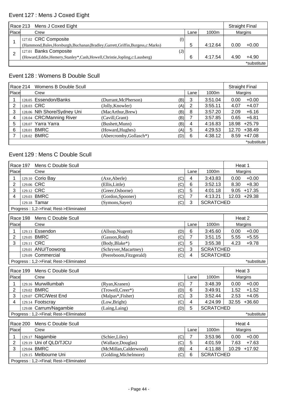# Event 127 : Mens J Coxed Eight

|       | Mens J Coxed Eight<br>Race 213                                                      |      |         | <b>Straight Final</b> |             |
|-------|-------------------------------------------------------------------------------------|------|---------|-----------------------|-------------|
| Place | Crew                                                                                | Lane | 1000m   | Margins               |             |
|       | 127.02 CRC Composite<br>(1)                                                         |      |         |                       |             |
|       | (Hammond, Bales, Horsburgh, Buchanan, Bradley, Garrett, Griffin, Burgess, c: Marks) | b    | 4:12.64 | 0.00                  | $+0.00$     |
|       | 127.01 Banks Composite<br>$(\mathsf{J})$                                            |      |         |                       |             |
|       | (Howard,Eddie,Hemery,Stanley*,Cash,Howell,Christie,Jopling,c:Lausberg)              | 6    | 4:17.54 | 4.90                  | $+4.90$     |
|       |                                                                                     |      |         |                       | *substitute |

## Event 128 : Womens B Double Scull

|       | Race 214 | Womens B Double Scull       |                         |     |   |         | <b>Straight Final</b> |                |
|-------|----------|-----------------------------|-------------------------|-----|---|---------|-----------------------|----------------|
| Place |          | Crew                        | Lane                    |     |   | 1000m   |                       | Margins        |
|       |          | 128.05 Essendon/Banks       | (Durrant, McPherson)    | (B) | 3 | 3:51.04 | 0.00                  | $+0.00$        |
| 2     |          | 128.03 CRC                  | (Jolly, Knowler)        | (A) | 2 | 3:55.11 | 4.07                  | $+4.07$        |
| 3     |          | 128.06 Nth Shore/Sydney Uni | (MacArthur, Brew)       | (B) | 8 | 3:57.20 | 2.09                  | $+6.16$        |
| 4     |          | 128.04 CRC/Manning River    | (Cavill, Grant)         | (B) |   | 3:57.85 | 0.65                  | $+6.81$        |
| 5     |          | 128.07 Yarra Yarra          | (Bushett, Munn)         | (B) | 4 | 4:16.83 | 18.98                 | $+25.79$       |
| 6     |          | 128.01 BMRC                 | (Howard, Hughes)        | (A) | 5 | 4:29.53 | 12.70                 | $+38.49$       |
|       |          | 128.02 BMRC                 | (Abercromby, Gollasch*) | (D) | 6 | 4:38.12 |                       | $8.59 + 47.08$ |
|       |          |                             |                         |     |   |         |                       | *substitute    |

# Event 129 : Mens C Double Scull

| Race 197                               | Heat 1     |                                        |                                |                |                  |                   |
|----------------------------------------|------------|----------------------------------------|--------------------------------|----------------|------------------|-------------------|
| Place                                  |            | Crew                                   |                                | Lane           | 1000m            | Margins           |
| 1                                      |            | 129.10 Corio Bay                       | (C)<br>(Axe, Aberle)           | 4              | 3:43.83          | $+0.00$<br>0.00   |
| $\overline{2}$                         | 129.06 CRC |                                        | (Ellis, Little)<br>(C)         | 6              | 3:52.13          | $+8.30$<br>8.30   |
| 3                                      | 129.12 CRC |                                        | (Greer, Osborne)<br>(C)        | 5              | 4:01.18          | $9.05 + 17.35$    |
| 4                                      |            | 129.03 BMRC                            | (C)<br>(Gordon, Spooner)       | $\overline{7}$ | 4:13.21          | 12.03 +29.38      |
|                                        |            | 129.18 Tamar                           | (Symons, Sayer)<br>(C)         | 3              | <b>SCRATCHED</b> |                   |
|                                        |            | Progress: 1,2->Final; Rest->Eliminated |                                |                |                  |                   |
|                                        | Race 198   | Mens C Double Scull                    |                                |                |                  | Heat 2            |
| Place                                  |            | Crew                                   |                                | Lane           | 1000m            | Margins           |
| 1                                      |            | 129.13 Essendon                        | (Allsop, Nugent)<br>(D)        | 6              | 3:45.60          | $+0.00$<br>0.00   |
| $\overline{2}$                         |            | 129.05 BMRC                            | (Gasson, Reid)<br>(C)          | $\overline{7}$ | 3:51.15          | 5.55<br>$+5.55$   |
| 3                                      | 129.11 CRC |                                        | (Body, Blake*)<br>(C)          | 5              | 3:55.38          | 4.23<br>$+9.78$   |
|                                        |            | 129.01 ANU/Toowong                     | (Schryver, Macartney)<br>(C)   | 3              | <b>SCRATCHED</b> |                   |
|                                        |            | 129.09 Commercial                      | (Peereboom, Fitzgerald)<br>(C) | 4              | <b>SCRATCHED</b> |                   |
| Progress: 1,2->Final; Rest->Eliminated |            |                                        |                                |                |                  | *substitute       |
| Race 199                               |            | Mens C Double Scull                    |                                |                |                  | Heat 3            |
| Place                                  |            | Crew                                   |                                | Lane           | 1000m            | Margins           |
| 1                                      |            | 129.16 Murwillumbah                    | (Ryan, Kranen)<br>(C)          | 7              | 3:48.39          | 0.00<br>$+0.00$   |
| 2                                      |            | 129.02 BMRC                            | (Trowell,Creer*)<br>(D)        | 6              | 3:49.91          | 1.52<br>$+1.52$   |
| 3                                      |            | 129.07 CRC/West End                    | (C)<br>(Malpas*,Fisher)        | 3              | 3:52.44          | 2.53<br>$+4.05$   |
| 4                                      |            | 129.14 Footscray                       | (C)<br>(Low,Bright)            | 4              | 4:24.99          | 32.55<br>$+36.60$ |
|                                        |            | 129.08 Carrum/Nagambie                 | (Laing,Laing)<br>(D)           | 5              | <b>SCRATCHED</b> |                   |
|                                        |            | Progress: 1,2->Final; Rest->Eliminated |                                |                |                  | *substitute       |
| Race 200                               |            | Mens C Double Scull                    |                                |                |                  | Heat 4            |
| Place                                  |            | Crew                                   |                                | Lane           | 1000m            | Margins           |
| 1                                      |            | 129.17 Nagambie                        | (C)<br>(Schier,Liley)          | $\overline{7}$ | 3:53.96          | 0.00<br>$+0.00$   |
| $\overline{2}$                         |            | 129.19 Uni of QLD/TJCU                 | (C)<br>(Wallace,Douglas)       | 5              | 4:01.59          | 7.63<br>$+7.63$   |
| 3                                      |            | 129.04 BMRC                            | (McMillan,Calderwood)<br>(B)   | 4              | 4:11.88          | 10.29<br>$+17.92$ |
|                                        |            | 129.15 Melbourne Uni                   | (Golding, Michelmore)<br>(C)   | 6              | <b>SCRATCHED</b> |                   |
|                                        |            | Progress: 1,2->Final; Rest->Eliminated |                                |                |                  |                   |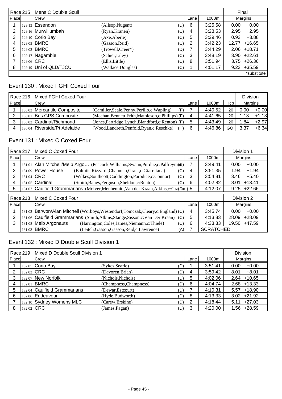|       | Race 215 Mens C Double Scull |                        |                   |     |      |         | Final             |  |
|-------|------------------------------|------------------------|-------------------|-----|------|---------|-------------------|--|
| Place |                              | Crew                   |                   |     | Lane | 1000m   | Margins           |  |
|       |                              | 129.13 Essendon        | (Allsop, Nugent)  | (D) | 6    | 3:25.58 | $+0.00$<br>0.00   |  |
| 2     |                              | 129.16 Murwillumbah    | (Ryan, Kranen)    | (C) | 4    | 3:28.53 | 2.95<br>$+2.95$   |  |
| 3     |                              | 129.10 Corio Bay       | (Axe, Aberle)     | (C) | 5    | 3:29.46 | 0.93<br>$+3.88$   |  |
| 4     |                              | 129.05 BMRC            | (Gasson, Reid)    | (C) | 2    | 3:42.23 | $+16.65$<br>12.77 |  |
| 5     |                              | 129.02 BMRC            | (Trowell,Creer*)  | (D) |      | 3:44.29 | $2.06$ +18.71     |  |
| 6     |                              | 129.17 Nagambie        | (Schier, Liley)   | (C) | 3    | 3:48.19 | $3.90 +22.61$     |  |
|       |                              | 129.06 CRC             | (Ellis,Little)    | (C) | 8    | 3:51.94 | $3.75 + 26.36$    |  |
| 8     |                              | 129.19 Uni of QLD/TJCU | (Wallace,Douglas) | (C) |      | 4:01.17 | $+35.59$<br>9.23  |  |
|       |                              |                        |                   |     |      |         | *substitute       |  |

## Event 130 : Mixed FGHI Coxed Four

|       | Race 216 | Mixed FGHI Coxed Four        |                                                      |      |         |     | <b>Division</b> |         |
|-------|----------|------------------------------|------------------------------------------------------|------|---------|-----|-----------------|---------|
| Place |          | Crew                         |                                                      | Lane | 1000m   | Hcp | Margins         |         |
|       |          | 130.03 Mercantile Composite  | (Camiller, Seale, Penny, Perillo, c: Wapling)<br>(F) |      | 4:40.52 | 20  | 0.00            | $+0.00$ |
|       |          | 130.01 Bris GPS Composite    | (Meehan, Bennett, Frith, Mathieson, c: Phillips) (F) |      | 4:41.65 | 20  | 1.13            | $+1.13$ |
|       |          | 130.02 Cardinal/Richmond     | (Jones, Partridge, Lynch, Blandford, c: Renton) (F)  | 5    | 4:43.49 | 20  | 1.84            | $+2.97$ |
| 4     |          | 130.04 Riverside/Pt Adelaide | (Wood,Landreth,Penfold,Ryan,c:Reschke)<br>(H)        | 6    | 4:46.86 | GO  | 3.37            | $+6.34$ |

# Event 131 : Mixed C Coxed Four

|               | Race 217                                                                         | Mixed C Coxed Four                                                               |                                                                                        |     |         |                  | Division 1 |               |
|---------------|----------------------------------------------------------------------------------|----------------------------------------------------------------------------------|----------------------------------------------------------------------------------------|-----|---------|------------------|------------|---------------|
|               | Place<br>Crew                                                                    |                                                                                  |                                                                                        |     | Lane    | 1000m            | Margins    |               |
|               |                                                                                  | 131.01 Alan Mitchell/Melb Argo (Peacock, Williams, Swann, Purdue, c: Palfreym(6) |                                                                                        |     |         | 3:49.41          | 0.00       | $+0.00$       |
| 2             | 131.09 Power House<br>(Baltutis, Rizzardi, Chapman, Grant, c: Giarratana)<br>(C) |                                                                                  |                                                                                        | 4   | 3:51.35 | 1.94             | $+1.94$    |               |
| 3             |                                                                                  | 131.04 CRC                                                                       | (Wilkes, Southcott, Coddington, Parodice, c: Connor)                                   | (C) | 3       | 3:54.81          | 3.46       | $+5.40$       |
| 4             |                                                                                  | 131.05 Cardinal                                                                  | (Smith, Bangs, Ferguson, Sheldon, c: Renton)                                           | (C) | 6       | 4:02.82          | 8.01       | $+13.41$      |
| 5             |                                                                                  |                                                                                  | 131.07 Caulfield Grammarians (McIver, Menhennitt, Van der Kraan, Atkins, c: Graftam) 5 |     |         | 4:12.07          |            | $9.25 +22.66$ |
|               | Race 218                                                                         | Mixed C Coxed Four                                                               |                                                                                        |     |         |                  | Division 2 |               |
| <b>IPlace</b> |                                                                                  | Crew                                                                             |                                                                                        |     | Lane    | 1000m            | Margins    |               |
|               |                                                                                  |                                                                                  | 131.02 Barwon/Alan Mitchell (Worboys, Westendorf, Tomczak, Cleary, c: England) (C)     |     | 4       | 3:45.74          | 0.00       | $+0.00$       |
| 2             |                                                                                  |                                                                                  | 131.06 Caulfield Grammarians (Smith, Atkins, Stange, Sisson, c: Van Der Kraan)         | (C) | 5       | 4:13.83          | 28.09      | $+28.09$      |
| 3             |                                                                                  | 131.08 Melb Argonauts                                                            | (Harrington, Coles, James, Niemann, c: Thiele)                                         | (C) | 6       | 4:33.33          | 19.50      | +47.59        |
| 131.03 BMRC   |                                                                                  |                                                                                  | (Leitch, Gasson, Gasson, Reid, c: Lawrence)                                            | (A) |         | <b>SCRATCHED</b> |            |               |

# Event 132 : Mixed D Double Scull Division 1

|              | Race 219 | Mixed D Double Scull Division 1 |                        |     |      |         | <b>Division</b>  |
|--------------|----------|---------------------------------|------------------------|-----|------|---------|------------------|
| <b>Place</b> |          | Crew                            |                        |     | Lane | 1000m   | Margins          |
|              |          | 132.05 Corio Bay                | (Sykes, Searle)        | (D) |      | 3:51.41 | 0.00<br>$+0.00$  |
| 2            |          | 132.03 CRC                      | (Davoren, Brian)       | (D) | 4    | 3:59.42 | $+8.01$<br>8.01  |
| 3            |          | 132.07 New Norfolk              | (Nichols, Nichols)     | (D) | 5    | 4:02.06 | $2.64$ +10.65    |
|              |          | 132.01 BMRC                     | (Champness, Champness) | (D) | 6    | 4:04.74 | $2.68 + 13.33$   |
| 5            |          | 132.04 Caulfield Grammarians    | (Dewar, Estcourt)      | (D) |      | 4:10.31 | $5.57 + 18.90$   |
| 6            |          | 132.06 Endeavour                | (Hyde, Budworth)       | (D) | 8    | 4:13.33 | $3.02 +21.92$    |
|              |          | 132.10 Sydney Womens MLC        | (Carew, Erskine)       | (D) | 2    | 4:18.44 | $+27.03$<br>5.11 |
| 8            |          | 132.02 CRC                      | (James, Pagan)         | (D) | 3    | 4:20.00 | +28.59<br>1.56   |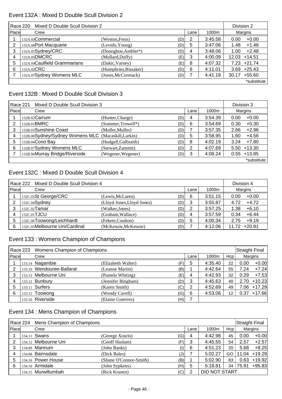#### Event 132A : Mixed D Double Scull Division 2

|       | Mixed D Double Scull Division 2<br>Race 220 |                       | Division 2 |   |         |                   |
|-------|---------------------------------------------|-----------------------|------------|---|---------|-------------------|
| Place | 1000m<br>Crew<br>Lane                       |                       |            |   |         |                   |
|       | 132A.03Commercial                           | (Weston, Fenn)        | (D)        | 2 | 3:45.58 | $+0.00$<br>0.00   |
| 2     | 132A.06Port Macquarie                       | (Levido, Young)       | (D)        | 5 | 3:47.06 | $+1.48$<br>1.48   |
| 3     | 132A.01Sydney/CRC                           | (Donoghoe, Ambler*)   | (D)        | 4 | 3:48.06 | $+2.48$<br>1.00   |
|       | 132A.05DMCRC                                | (Mollard, Duffy)      | (E)        | 3 | 4:00.09 | $+14.51$<br>12.03 |
| 5     | 132A.04Caulfield Grammarians                | (Dakic, Varney)       | (E)        | 8 | 4:07.32 | $+21.74$<br>7.23  |
| 6     | 132A.02CRC                                  | (Humphries, Bissaker) | (D)        | 6 | 4:11.01 | $+25.43$<br>3.69  |
|       | 132A.07Sydney Womens MLC                    | (Jones, McCormack)    | (D)        |   | 4:41.18 | $+55.60$<br>30.17 |
|       |                                             |                       |            |   |         | *substitute       |

### Event 132B : Mixed D Double Scull Division 3

| Race 221     | Mixed D Double Scull Division 3                     |                      | Division 3 |      |         |      |                |
|--------------|-----------------------------------------------------|----------------------|------------|------|---------|------|----------------|
| <b>Place</b> | Crew                                                |                      |            | Lane | 1000m   |      | Margins        |
|              | $132B.02$ Carrum                                    | (Hunter,Charge)      | (D)        | 4    | 3:54.39 | 0.00 | $+0.00$        |
| 2            | 132B.01BMRC                                         | (Sommer, Trowell*)   | (D)        | 6    | 3:54.69 | 0.30 | $+0.30$        |
| 3            | 132B.03Sunshine Coast                               | (Muller, Muller)     | (D)        |      | 3:57.35 | 2.66 | $+2.96$        |
| 4            | 132B.08Sydney/Sydney Womens MLC (Macaskill, Larkin) |                      | (D)        | 5    | 3:58.95 | 1.60 | $+4.56$        |
| 5            | 132B.04Corio Bay                                    | (Hudgell, Galbraith) | (D)        | 8    | 4:02.19 | 3.24 | $+7.80$        |
| 6            | 132B.07Sydney Womens MLC                            | (Stewart, Zammit)    | (D)        | 2    | 4:07.69 | 5.50 | $+13.30$       |
|              | 132B.06Murray Bridge/Riverside                      | (Wegener, Wegener)   | (D)        | 3    | 4:08.24 |      | $0.55 + 13.85$ |
|              |                                                     |                      |            |      |         |      | *substitute    |

### Event 132C : Mixed D Double Scull Division 4

| Race 222 Mixed D Double Scull Division 4 |                               | Division 4                 |     |      |         |       |          |
|------------------------------------------|-------------------------------|----------------------------|-----|------|---------|-------|----------|
| Place                                    | Crew                          |                            |     | Lane | 1000m   |       | Margins  |
|                                          | 132C.03St George/CRC          | (Lewis, McLaren)           | (D) | 6    | 3:51.15 | 0.00  | $+0.00$  |
|                                          | 132C.04Sydney                 | (Lloyd Jones, Lloyd Jones) | (D) | 3    | 3:55.87 | 4.72  | $+4.72$  |
| 3                                        | 132C.02 Tamar                 | (Walker, Jones)            | (D) | 2    | 3:57.25 | 1.38  | $+6.10$  |
|                                          | 132C.01TJCU                   | (Graham, Wallace)          | (D) | 4    | 3:57.59 | 0.34  | $+6.44$  |
| 5                                        | 132C.06Toowong/Leichhardt     | (Fekete,Coulton)           | (D) | 5    | 4:00.34 | 2.75  | $+9.19$  |
| 6                                        | 132C.05Melbourne Uni/Cardinal | (McKenzie, McKenzie)       | (D) |      | 4:12.06 | 11.72 | $+20.91$ |

# Event 133 : Womens Champion of Champions

|       | Race 223 Womens Champion of Champions |                    |     |      |         |                 | <b>Straight Final</b> |          |
|-------|---------------------------------------|--------------------|-----|------|---------|-----------------|-----------------------|----------|
| Place | Crew                                  |                    |     | Lane | 1000m   | Hcp             |                       | Margins  |
|       | 133.14 Nagambie                       | (Elizabeth Walter) | Έ)  | 5    | 4:35.40 | 22              | 0.00                  | $+0.00$  |
| 2     | 133.10 Wendouree-Ballarat             | (Leanne Martin)    | (B) |      | 4:42.64 | 55              | 7.24                  | $+7.24$  |
| 3     | 133.13 Melbourne Uni                  | (Pamela Whiting)   | (E) | 4    | 4:42.93 | 32              | 0.29                  | $+7.53$  |
| 4     | 133.12 Bunbury                        | (Jennifer Bingham) | (D) | 3    | 4:45.63 | 40              | 2.70                  | $+10.23$ |
| 5     | 133.11 Surfers                        | (Karen Smith)      | (C) | 2    | 4:52.69 | 49              | 7.06                  | +17.29   |
| 6     | 133.15 Toowong                        | (Wendy Cavell)     | (G) | 6    | 4:53.06 | 12 <sub>1</sub> | 0.37                  | $+17.66$ |
|       | 133.16 Riverside                      | (Elaine Guterres)  | (H) |      |         |                 |                       |          |

### Event 134 : Mens Champion of Champions

|       | Race 224 Mens Champion of Champions |                        |                                         |      |               |     | <b>Straight Final</b> |          |
|-------|-------------------------------------|------------------------|-----------------------------------------|------|---------------|-----|-----------------------|----------|
| Place | Crew                                |                        |                                         | Lane | 1000m         | Hcp |                       | Margins  |
|       | 134.11 Swans                        | (George Xouris)        | (G)                                     | 4    | 4:42.98       | 45  | 0.00                  | $+0.00$  |
| 2     | 134.12 Melbourne Uni                | (Geoff Haslam)         | (F)l                                    | 3    | 4:45.55       | 54  | 2.57                  | $+2.57$  |
| 3     | 134.09 Mannum                       | (John Banks)           | $\left( \left  {}\right\rangle \right)$ | 6    | 4:51.23       | 20  | 5.68                  | $+8.25$  |
|       | 134.08 Bairnsdale                   | (Dick Bales)           | ا (ل,                                   |      | 5:02.27       | GO  | 11.04                 | $+19.29$ |
| 5     | 134.16 Power House                  | (Shane O'Connor-Smith) | (B)                                     |      | 5:02.90       | 83  | 0.63                  | $+19.92$ |
| 6     | 134.10 Armidale                     | (John Sypkens)         | (H)                                     | 5    | 6:18.81       | 34  | 75.91                 | $+95.83$ |
|       | 134.15 Murwillumbah                 | (Rick Kranen)          | (C)                                     | 2    | DID NOT START |     |                       |          |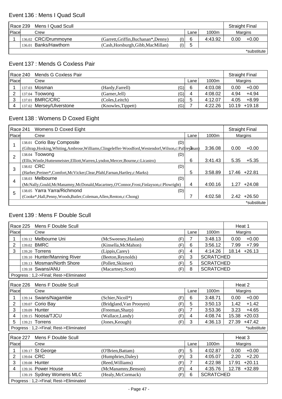#### Event 136 : Mens I Quad Scull

|       | Race 239 | Mens I Quad Scull     |                                      |     |      |         | <b>Straight Final</b> |             |
|-------|----------|-----------------------|--------------------------------------|-----|------|---------|-----------------------|-------------|
| Place |          | Crew                  |                                      |     | Lane | 1000m   |                       | Margins     |
|       |          | 136.02 CRC/Drummoyne  | (Garrett, Griffin, Buchanan*, Denny) | (1) | 6    | 4:43.92 | 0.00                  | $+0.00$     |
|       |          | 136.01 Banks/Hawthorn | (Cash, Horsburgh, Gibb, MacMillan)   | (1) | b    |         |                       |             |
|       |          |                       |                                      |     |      |         |                       | *substitute |

\*substitute

### Event 137 : Mends G Coxless Pair

|               | Race 240 Mends G Coxless Pair |                    |     |      |         |      | <b>Straight Final</b> |
|---------------|-------------------------------|--------------------|-----|------|---------|------|-----------------------|
| <b>IPlace</b> | Crew                          |                    |     | Lane | 1000m   |      | Margins               |
|               | 137.03 Mosman                 | (Hardy, Farrell)   | (G) | 6    | 4:03.08 | 0.00 | $+0.00$               |
|               | 137.04 Toowong                | (Garner, Jell)     | (G) | 4    | 4:08.02 | 4.94 | +4.94                 |
|               | 137.01 BMRC/CRC               | (Coles, Leitch)    | (G) | 5    | 4:12.07 | 4.05 | $+8.99$               |
|               | 137.02 Mersey/Ulverstone      | (Knowles, Tippett) | (G) |      | 4:22.26 |      | $10.19 + 19.18$       |

# Event 138 : Womens D Coxed Eight

| Race 241       | Womens D Coxed Eight                                                                                       |      |         |       | <b>Straight Final</b> |
|----------------|------------------------------------------------------------------------------------------------------------|------|---------|-------|-----------------------|
| Place          | Crew                                                                                                       | Lane | 1000m   |       | Margins               |
|                | 138.01 Corio Bay Composite<br>(D)                                                                          |      |         |       |                       |
|                | (Giltrap, Hosking, Whiting, Ambrose, Williams, Clingeleffer-Woodford, Westendorf, Wilson, c: Palfrey Bnan) |      | 3:36.08 | 0.00  | $+0.00$               |
| $\overline{2}$ | 138.04 Toowong<br>(D)                                                                                      |      |         |       |                       |
|                | (Ellis, Wintle, Huttenmeister, Elliott, Warren, Lyndon, Mercer, Bourne, c: Licastro)                       | 6    | 3:41.43 | 5.35  | $+5.35$               |
| 3              | 138.02 CRC<br>(D)                                                                                          |      |         |       |                       |
|                | (Harber, Preiner*, Comfort, McVicker, Clear, Pfahl, Farnan, Hartley, c: Marks)                             | 5    | 3:58.89 | 17.46 | $+22.81$              |
| 4              | 138.03 Melbourne<br>(D)                                                                                    |      |         |       |                       |
|                | (McNally, Gould, McManamny, McDonald, Macartney, O'Connor, Frost, Finlayson, c: Plowright)                 | 4    | 4:00.16 | 1.27  | $+24.08$              |
| 5              | 138.05 Yarra Yarra/Richmond<br>(D)                                                                         |      |         |       |                       |
|                | (Cooke*,Hall,Penny,Woods,Butler,Coleman,Allen,Renton,c:Chong)                                              |      | 4:02.58 |       | $2.42 +26.50$         |
|                |                                                                                                            |      |         |       | *substitute           |

#### Event 139 : Mens F Double Scull

| Race 225       |                                                                                | Mens F Double Scull                    |                                 |      |                  | Heat 1            |
|----------------|--------------------------------------------------------------------------------|----------------------------------------|---------------------------------|------|------------------|-------------------|
| Place          |                                                                                | Crew                                   |                                 | Lane | 1000m            | Margins           |
|                |                                                                                | 139.12 Melbourne Uni                   | (McSweeney, Haslam)<br>(F)      | 7    | 3:48.13          | $+0.00$<br>0.00   |
| 2              |                                                                                | 139.02 BMRC                            | (Kinsella, McMahon)<br>(F)      | 6    | 3:56.12          | $+7.99$<br>7.99   |
| 3              |                                                                                | 139.20 Torrens                         | (Lippis, Carey)<br>(F)          | 4    | 4:14.26          | $+26.13$<br>18.14 |
|                |                                                                                | 139.10 Hunter/Manning River            | (Beeton, Reynolds)<br>(F)       | 3    | <b>SCRATCHED</b> |                   |
|                |                                                                                | 139.13 Mosman/North Shore              | (Pollett, Skinner)<br>(F)       | 5    | <b>SCRATCHED</b> |                   |
|                |                                                                                | 139.18 Swans/ANU                       | (F)<br>(Macartney, Scott)       | 8    | <b>SCRATCHED</b> |                   |
|                |                                                                                | Progress: 1,2->Final; Rest->Eliminated |                                 |      |                  |                   |
|                | Race 226                                                                       | Mens F Double Scull                    |                                 |      |                  | Heat 2            |
| Place          |                                                                                | Crew                                   |                                 | Lane | 1000m            | <b>Margins</b>    |
|                |                                                                                | 139.14 Swans/Nagambie                  | (Schier, Nicoll*)<br>(F)        | 6    | 3:48.71          | $+0.00$<br>0.00   |
| $\overline{2}$ | 139.07                                                                         | Corio Bay                              | (Bridgland, Van Prooyen)<br>(F) | 5    | 3:50.13          | $+1.42$<br>1.42   |
| 3              |                                                                                | 139.09 Hunter                          | (Freeman, Sharp)<br>(F)         | 7    | 3:53.36          | 3.23<br>$+4.65$   |
| 4              |                                                                                | 139.15 Noosa/TJCU                      | (Wallace,Landy)<br>(F)          | 4    | 4:08.74          | 15.38<br>$+20.03$ |
| 5              |                                                                                | 139.21 Torrens                         | (Jones, Keough)<br>(F)          | 3    | 4:36.13          | $+47.42$<br>27.39 |
|                |                                                                                | Progress: 1,2->Final; Rest->Eliminated |                                 |      |                  | *substitute       |
| Race 227       |                                                                                | Mens F Double Scull                    |                                 |      |                  | Heat 3            |
| Place          |                                                                                | Crew                                   |                                 | Lane | 1000m            | Margins           |
|                |                                                                                | 139.17 St George                       | (O'Brien, Battam)<br>(F)        | 5    | 4:02.87          | $+0.00$<br>0.00   |
| 2              | 139.04 CRC                                                                     |                                        | (Humphries, Daley)<br>(F)       | 3    | 4:05.07          | 2.20<br>$+2.20$   |
| 3              |                                                                                | 139.08 Hunter                          | (Reed, Williams)<br>(F)         | 7    | 4:22.98          | $+20.11$<br>17.91 |
| 4              |                                                                                | 139.16 Power House                     | (McManamny, Benson)<br>(F)      | 4    | 4:35.76          | 12.78<br>$+32.89$ |
|                | <b>SCRATCHED</b><br>139.19 Sydney Womens MLC<br>6<br>(Healy, McCormack)<br>(F) |                                        |                                 |      |                  |                   |
|                |                                                                                | Progress: 1,2->Final; Rest->Eliminated |                                 |      |                  |                   |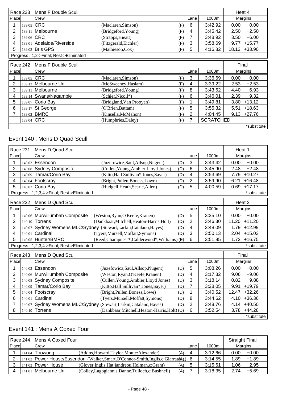|       | Race 228 Mens F Double Scull           |                       |     |      |         | Heat 4           |
|-------|----------------------------------------|-----------------------|-----|------|---------|------------------|
| Place | Crew                                   |                       |     | Lane | 1000m   | Margins          |
|       | 139.05 CRC                             | (Maclaren, Simson)    | (F) | 6    | 3:42.92 | $+0.00$<br>0.00  |
|       | 139.11 Melbourne                       | (Bridgeford, Young)   | (F) | 4    | 3:45.42 | $+2.50$<br>2.50  |
|       | 139.06 CRC                             | (Strapps, Hieatt)     | (F) |      | 3:48.92 | $+6.00$<br>3.50  |
| 4     | 139.01 Adelaide/Riverside              | (Fitzgerald, Eichler) | (F) | 3    | 3:58.69 | $+15.77$<br>9.77 |
|       | 139.03 Bris GPS                        | (Mathieson,Cox)       | (F) | 5    | 4:16.82 | 18.13 +33.90     |
|       | Progress: 1,2->Final; Rest->Eliminated |                       |     |      |         |                  |

|       | Race 242 Mens F Double Scull |                          |     |      |                  | Final |               |
|-------|------------------------------|--------------------------|-----|------|------------------|-------|---------------|
| Place | Crew                         |                          |     | Lane | 1000m            |       | Margins       |
|       | 139.05 CRC                   | (Maclaren, Simson)       | (F) | 3    | 3:36.69          | 0.00  | $+0.00$       |
|       | 139.12 Melbourne Uni         | (McSweeney, Haslam)      | (F) | 4    | 3:39.22          | 2.53  | $+2.53$       |
| 3     | 139.11 Melbourne             | (Bridgeford, Young)      | (F) | 8    | 3:43.62          | 4.40  | $+6.93$       |
| 4     | 139.14 Swans/Nagambie        | (Schier, Nicoll*)        | (F) | 6    | 3:46.01          | 2.39  | $+9.32$       |
| 5     | 139.07 Corio Bay             | (Bridgland, Van Prooyen) | (F) |      | 3:49.81          | 3.80  | $+13.12$      |
| 6     | 139.17 St George             | (O'Brien, Battam)        | (F) | 5    | 3:55.32          | 5.51  | $+18.63$      |
|       | 139.02 BMRC                  | (Kinsella, McMahon)      | (F) | 2    | 4:04.45          |       | $9.13 +27.76$ |
|       | 139.04 CRC                   | (Humphries, Daley)       | (F) |      | <b>SCRATCHED</b> |       |               |
|       |                              |                          |     |      |                  |       | *substitute   |

### Event 140 : Mens D Quad Scull

| Race 231        |        | Mens D Quad Scull                          |                                                                    |     |                |         | Heat 1 |             |
|-----------------|--------|--------------------------------------------|--------------------------------------------------------------------|-----|----------------|---------|--------|-------------|
| Place           |        | Crew                                       |                                                                    |     | Lane           | 1000m   |        | Margins     |
| 1               |        | 140.03 Essendon                            | (Juzefowicz, Saul, Allsop, Nugent)                                 | (D) | 3              | 3:43.42 | 0.00   | $+0.00$     |
| $\overline{2}$  |        | 140.08 Sydney Composite                    | (Cullen, Young, Ambler, Lloyd Jones)                               | (D) | 6              | 3:45.90 | 2.48   | $+2.48$     |
| 3               | 140.09 | Tamar/Corio Bay                            | (Kitto, Hall Sullivan*, Jones, Sayer)                              | (D) | 4              | 3:53.69 | 7.79   | $+10.27$    |
| 4               |        | 140.04 Footscray                           | (Bright, Pullen, Boness, Lowe)                                     | (D) | $\overline{2}$ | 3:59.90 | 6.21   | $+16.48$    |
| 5               |        | 140.02 Corio Bay                           | (Hudgell, Heath, Searle, Allen)                                    | (D) | 5              | 4:00.59 | 0.69   | $+17.17$    |
|                 |        | Progress: 1,2,3,4->Final; Rest->Eliminated |                                                                    |     |                |         |        | *substitute |
| <b>Race 232</b> |        | Mens D Quad Scull                          |                                                                    |     |                |         | Heat 2 |             |
| Place           |        | Crew                                       |                                                                    |     | Lane           | 1000m   |        | Margins     |
| 1               |        | 140.06 Murwillumbah Composite              | (Weston, Ryan, O'Keefe, Kranen)                                    | (D) | 5              | 3:35.10 | 0.00   | $+0.00$     |
| $\overline{2}$  |        | 140.10 Torrens                             | (Dankbaar, Mitchell, Heaton-Harris, Holt)                          | (D) | $\overline{2}$ | 3:46.30 | 11.20  | $+11.20$    |
| 3               |        |                                            | 140.07 Sydney Womens MLC/Sydney (Stewart, Larkin, Catalano, Hayes) | (D) | 4              | 3:48.09 | 1.79   | $+12.99$    |
| 4               | 140.01 | Cardinal                                   | (Tyers, Mursell, Moffatt, Symons)                                  | (D) | 3              | 3:50.13 | 2.04   | $+15.03$    |
| 5               |        | 140.05 Hunter/BMRC                         | (Reed, Champness*, Calderwood*, Williams) (E)                      |     | 6              | 3:51.85 | 1.72   | $+16.75$    |
|                 |        | Progress: 1,2,3,4->Final; Rest->Eliminated |                                                                    |     |                |         |        | *substitute |
| Race 243        |        | Mens D Quad Scull                          |                                                                    |     |                |         | Final  |             |
| Place           |        | Crew                                       |                                                                    |     | Lane           | 1000m   |        | Margins     |
| 1               |        | 140.03 Essendon                            | (Juzefowicz, Saul, Allsop, Nugent)                                 | (D) | 5              | 3:08.26 | 0.00   | $+0.00$     |
| 2               |        | 140.06 Murwillumbah Composite              | (Weston, Ryan, O'Keefe, Kranen)                                    | (D) | 4              | 3:17.32 | 9.06   | $+9.06$     |
| 3               |        | 140.08 Sydney Composite                    | (Cullen, Young, Ambler, Lloyd Jones)                               | (D) | 3              | 3:18.14 | 0.82   | $+9.88$     |
| 4               | 140.09 | Tamar/Corio Bay                            | (Kitto, Hall Sullivan*, Jones, Sayer)                              | (D) | 7              | 3:28.05 | 9.91   | $+19.79$    |
| 5               |        | 140.04 Footscray                           | (Bright, Pullen, Boness, Lowe)                                     | (D) |                | 3:40.52 | 12.47  | $+32.26$    |
| 6               |        | 140.01 Cardinal                            | (Tyers, Mursell, Moffatt, Symons)                                  | (D) | 8              | 3:44.62 | 4.10   | $+36.36$    |
| 7               |        | 140.07 Sydney Womens MLC/Sydney            | (Stewart, Larkin, Catalano, Hayes)                                 | (D) | $\overline{2}$ | 3:48.76 | 4.14   | $+40.50$    |
| 8               |        | 140.10 Torrens                             | (Dankbaar, Mitchell, Heaton-Harris, Holt) (D)                      |     | 6              | 3:52.54 | 3.78   | $+44.28$    |
|                 |        |                                            |                                                                    |     |                |         |        | *substitute |

## Event 141 : Mens A Coxed Four

|              | Race 244 | Mens A Coxed Four  |                                                                                    |      |         | <b>Straight Final</b> |         |
|--------------|----------|--------------------|------------------------------------------------------------------------------------|------|---------|-----------------------|---------|
| <b>Place</b> |          | Crew               |                                                                                    | Lane | 1000m   |                       | Margins |
|              |          | 141.04 Toowong     | (Atkins, Howard, Taylor, Mott, c: Alexander)<br>(A)                                | 4    | 3:12.66 | 0.00                  | $+0.00$ |
| າ            |          |                    | 141.02 Power House/Essendon (Walker, Smart, O'Connor-Smith, Inglis, c: Giarrat (A) | -6   | 3:14.55 | 1.89                  | $+1.89$ |
|              |          | 141.03 Power House | (Glover, Inglis, Hatjiandreou, Holman, c: Grant)<br>(A)                            | 5    | 3:15.61 | 1.06                  | $+2.95$ |
|              | 141.01   | Melbourne Uni      | (Colley, Lagogiannis, Danne, Tulloch, c: Bushnell)<br>(A)                          |      | 3:18.35 | 274                   | $+5.69$ |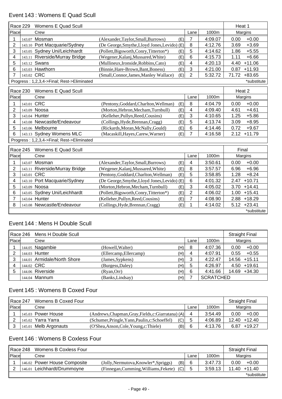# Event 143 : Womens E Quad Scull

| <b>Race 229</b> |            | Womens E Quad Scull                        |                                              |                       |      |         | Heat 1            |
|-----------------|------------|--------------------------------------------|----------------------------------------------|-----------------------|------|---------|-------------------|
| Place           |            | Crew                                       |                                              |                       | Lane | 1000m   | Margins           |
| 1               |            | 143.07 Mosman                              | (Alexander, Taylor, Small, Burrows)          | $\overline{7}$<br>(E) |      | 4:09.07 | $+0.00$<br>0.00   |
| $\overline{2}$  |            | 143.10 Port Macquarie/Sydney               | (De George, Smythe, Lloyd Jones, Levido) (E) | 8                     |      | 4:12.76 | $+3.69$<br>3.69   |
| 3               |            | 143.05 Sydney Uni/Leichhardt               | (Pollett, Bigsworth, Conry, Titterton*)      | 5<br>(E)              |      | 4:14.62 | 1.86<br>$+5.55$   |
| 4               |            | 143.11 Riverside/Murray Bridge             | (Wegener, Kalanj, Mussared, White)           | 6<br>(E)              |      | 4:15.73 | $+6.66$<br>1.11   |
| 5               |            | 143.12 Swans                               | (Mullineux, Ironside, Robbins, Cato)         | 4<br>(E)              |      | 4:20.13 | $+11.06$<br>4.40  |
| 6               |            | 143.03 Hawthorn                            | (Binnie, Hare-Brown, Bant, Boness)           | 3<br>(E)              |      | 4:21.00 | $+11.93$<br>0.87  |
| $\overline{7}$  | 143.02 CRC |                                            | (Small, Connor, James, Manley Wallace)       | $\overline{2}$<br>(E) |      | 5:32.72 | 71.72<br>$+83.65$ |
|                 |            | Progress: 1,2,3,4->Final; Rest->Eliminated |                                              |                       |      |         | *substitute       |
| <b>Race 230</b> |            | Womens E Quad Scull                        |                                              |                       |      |         | Heat 2            |
| Place           |            | Crew                                       |                                              |                       | Lane | 1000m   | Margins           |
| 1               | 143.01 CRC |                                            | (Pentony, Goddard, Charlton, Wellman)        | 8<br>(E)              |      | 4:04.79 | 0.00<br>$+0.00$   |
| $\overline{2}$  |            | 143.09 Noosa                               | (Morton, Hebron, Mecham, Turnbull)           | 4<br>(E)              |      | 4:09.40 | $+4.61$<br>4.61   |
| 3               |            | 143.04 Hunter                              | (Kelleher, Pullyn, Reed, Cousins)            | 3<br>(E)              |      | 4:10.65 | 1.25<br>$+5.86$   |
| 4               |            | 143.08 Newcastle/Endeavour                 | (Collings, Hyde, Brennan, Cragg)             | 5<br>(E)              |      | 4:13.74 | $+8.95$<br>3.09   |
| 5               |            | 143.06 Melbourne                           | (Rickards, Moran, McNally, Gould)            | 6<br>(E)              |      | 4:14.46 | 0.72<br>$+9.67$   |
| 6               |            | 143.13 Sydney Womens MLC                   | (Macaskill, Hayes, Carew, Warner)            | $\overline{7}$<br>(E) |      | 4:16.58 | $2.12 + 11.79$    |
|                 |            | Progress: 1,2,3,4->Final; Rest->Eliminated |                                              |                       |      |         |                   |
| <b>Race 245</b> |            | Womens E Quad Scull                        |                                              |                       |      |         | Final             |
| Place           |            | Crew                                       |                                              |                       | Lane | 1000m   | Margins           |
| 1               | 143.07     | Mosman                                     | (Alexander, Taylor, Small, Burrows)          | (E)<br>4              |      | 3:50.61 | $+0.00$<br>0.00   |
| $\overline{2}$  |            | 143.11 Riverside/Murray Bridge             | (Wegener, Kalanj, Mussared, White)           | 8<br>(E)              |      | 3:57.57 | $+6.96$<br>6.96   |
| 3               |            | 143.01 CRC                                 | (Pentony, Goddard, Charlton, Wellman)        | 5<br>(E)              |      | 3:58.85 | $+8.24$<br>1.28   |
| 4               |            | 143.10 Port Macquarie/Sydney               | (De George, Smythe, Lloyd Jones, Levido) (E) | 6                     |      | 4:01.32 | $+10.71$<br>2.47  |
| 5               |            | 143.09 Noosa                               | (Morton, Hebron, Mecham, Turnbull)           | 3<br>(E)              |      | 4:05.02 | 3.70<br>$+14.41$  |
| 6               |            | 143.05 Sydney Uni/Leichhardt               | (Pollett, Bigsworth, Conry, Titterton*)      | $\overline{2}$<br>(E) |      | 4:06.02 | $+15.41$<br>1.00  |
| 7               |            | 143.04 Hunter                              | (Kelleher, Pullyn, Reed, Cousins)            | 7<br>(E)              |      | 4:08.90 | $+18.29$<br>2.88  |
| 8               |            | 143.08 Newcastle/Endeavour                 | (Collings, Hyde, Brennan, Cragg)             | 1<br>(E)              |      | 4:14.02 | $+23.41$<br>5.12  |
|                 |            |                                            |                                              |                       |      |         |                   |
|                 |            |                                            |                                              |                       |      |         | *substitute       |

### Event 144 : Mens H Double Scull

|       | Race 246 Mens H Double Scull |                             |                        |     | <b>Straight Final</b> |                  |                 |
|-------|------------------------------|-----------------------------|------------------------|-----|-----------------------|------------------|-----------------|
| Place |                              | Crew                        |                        |     | Lane                  | 1000m            | Margins         |
|       |                              | 144.05 Nagambie             | (Howell, Walter)       | (H) | 8                     | 4:07.36          | $+0.00$<br>0.00 |
| 2     |                              | 144.03 Hunter               | (Ellercamp, Ellercamp) | (H) | 4                     | 4:07.91          | $+0.55$<br>0.55 |
| 3     |                              | 144.01 Armidale/North Shore | (James, Sypkens)       | (H) | 3                     | 4:22.47          | 14.56 +15.11    |
| 4     |                              | 144.02 CRC                  | (Burgess, Daley)       | (H) | 5                     | 4:26.97          | $4.50 + 19.61$  |
| 5     |                              | 144.06 Riverside            | (Ryan,Orr)             | (H) | 6                     | 4:41.66          | 14.69 +34.30    |
|       |                              | 144.04 Mannum               | (Banks, Lindsay)       | (H) |                       | <b>SCRATCHED</b> |                 |

## Event 145 : Womens B Coxed Four

|              | Womens B Coxed Four<br><b>Straight Final</b><br>l Race 247 |                       |                                                       |      |         |                 |  |
|--------------|------------------------------------------------------------|-----------------------|-------------------------------------------------------|------|---------|-----------------|--|
| <b>Place</b> |                                                            | Crew                  |                                                       | Lane | 1000m   | Margins         |  |
|              |                                                            | 145.03 Power House    | (Andrews, Chapman, Gray, Fields, c: Giarratana) (A)   |      | 3:54.49 | $+0.00$<br>0.00 |  |
|              |                                                            | 145.02 Yarra Yarra    | (Schumer, Pringle, Yann, Paulin, c: Schoeffel)<br>(C) | 5    | 4:06.89 | $12.40 + 12.40$ |  |
|              |                                                            | 145.01 Melb Argonauts | (B)<br>(O'Shea, Anson, Cole, Young, c: Thiele)        | 6    | 4:13.76 | $6.87 + 19.27$  |  |

## Event 146 : Womens B Coxless Four

|               | Race 248 | Womens B Coxless Four        |                                       |     |      |         |      | <b>Straight Final</b> |
|---------------|----------|------------------------------|---------------------------------------|-----|------|---------|------|-----------------------|
| <b>IPlace</b> |          | Crew                         |                                       |     | Lane | 1000m   |      | Margins               |
|               |          | 146.02 Power House Composite | (Jolly, Nermutova, Knowler*, Spriggs) | (B) | 6    | 3:47.73 | 0.00 | $+0.00$               |
|               |          | 146.01 Leichhardt/Drummoyne  | (Finnegan, Cumming, Williams, Fekete) | (C) | -5   | 3:59.13 |      | $11.40 + 11.40$       |
|               |          |                              |                                       |     |      |         |      | *substitute I         |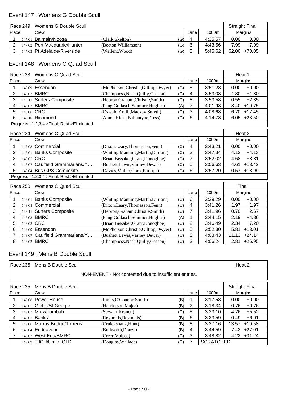## Event 147 : Womens G Double Scull

|          | l Race 249 l | Womens G Double Scull        |                      |               |      |         |      | <b>Straight Final</b> |
|----------|--------------|------------------------------|----------------------|---------------|------|---------|------|-----------------------|
| l Placel |              | Crew                         |                      |               | Lane | 1000m   |      | Margins               |
|          | 147.01       | Balmain/Noosa                | (Clark.Skelton)      | $\mathcal{G}$ | 4    | 4:35.57 | 0.00 | $+0.00$               |
|          |              | 147.02 Port Macquarie/Hunter | (Beeton, Williamson) | (G)           | 6    | 4:43.56 | 7.99 | $+7.99$               |
|          |              | 147.03 Pt Adelaide/Riverside | (Wallent, Wood)      | (G)           | 5    | 5:45.62 |      | 62.06 +70.05          |

### Event 148 : Womens C Quad Scull

|                 | <b>Race 233</b> | Womens C Quad Scull                        |                                       |     |                |         | Heat 1            |
|-----------------|-----------------|--------------------------------------------|---------------------------------------|-----|----------------|---------|-------------------|
| Place           |                 | Crew                                       |                                       |     | Lane           | 1000m   | Margins           |
| 1               | 148.09          | Essendon                                   | (McPherson, Christie, Giltrap, Dwyer) | (C) | 5              | 3:51.23 | $+0.00$<br>0.00   |
| $\overline{2}$  |                 | 148.02 BMRC                                | (Champness, Nash, Quilty, Gasson)     | (C) | 4              | 3:53.03 | $+1.80$<br>1.80   |
| 3               | 148.11          | <b>Surfers Composite</b>                   | (Hebron, Graham, Christie, Smith)     | (C) | 8              | 3:53.58 | $+2.35$<br>0.55   |
| 4               |                 | 148.03 BMRC                                | (Pang, Gollasch, Sommer, Hughes)      | (A) | $\overline{7}$ | 4:01.98 | $+10.75$<br>8.40  |
| 5               | 148.06          | <b>CRC</b>                                 | (Oswald, Antill, Mackay, Smyth)       | (C) | 3              | 4:08.68 | 6.70<br>$+17.45$  |
| 6               |                 | 148.10 Richmond                            | (Amos, Hicks, Ballantyne, Goss)       | (C) | 6              | 4:14.73 | $6.05 +23.50$     |
|                 |                 | Progress: 1,2,3,4->Final; Rest->Eliminated |                                       |     |                |         |                   |
|                 | Race 234        | Womens C Quad Scull                        |                                       |     |                |         | Heat 2            |
| Place           |                 | Crew                                       |                                       |     | Lane           | 1000m   | Margins           |
| 1               | 148.08          | Commercial                                 | (Dixon, Leary, Thomasson, Fenn)       | (C) | 4              | 3:43.21 | $+0.00$<br>0.00   |
| 2               |                 | 148.01 Banks Composite                     | (Whiting, Manning, Martin, Durrant)   | (C) | 3              | 3:47.34 | $+4.13$<br>4.13   |
| 3               | 148.05          | <b>CRC</b>                                 | (Brian, Bissaker, Grant, Donoghoe)    | (C) | 7              | 3:52.02 | $+8.81$<br>4.68   |
| 4               | 148.07          | Caulfield Grammarians/Y                    | (Bushett, Lewis, Varney, Dewar)       | (C) | 5              | 3:56.63 | $+13.42$<br>4.61  |
| 5               |                 | 148.04 Bris GPS Composite                  | (Davies, Muller, Cook, Phillips)      | (C) | 6              | 3:57.20 | $+13.99$<br>0.57  |
|                 |                 | Progress: 1,2,3,4->Final; Rest->Eliminated |                                       |     |                |         |                   |
| <b>Race 250</b> |                 | <b>Womens C Quad Scull</b>                 |                                       |     |                |         | Final             |
| Place           |                 | Crew                                       |                                       |     | Lane           | 1000m   | Margins           |
| 1               |                 | 148.01 Banks Composite                     | (Whiting, Manning, Martin, Durrant)   | (C) | 6              | 3:39.29 | $+0.00$<br>0.00   |
| $\overline{2}$  | 148.08          | Commercial                                 | (Dixon, Leary, Thomasson, Fenn)       | (C) | 4              | 3:41.26 | 1.97<br>$+1.97$   |
| 3               | 148.11          | <b>Surfers Composite</b>                   | (Hebron, Graham, Christie, Smith)     | (C) | 7              | 3:41.96 | $+2.67$<br>0.70   |
| 4               |                 | 148.03 BMRC                                | (Pang, Gollasch, Sommer, Hughes)      | (A) | 1              | 3:44.15 | 2.19<br>$+4.86$   |
| 5               | 148.05          | <b>CRC</b>                                 | (Brian, Bissaker, Grant, Donoghoe)    | (C) | $\overline{2}$ | 3:46.49 | 2.34<br>$+7.20$   |
| 6               | 148.09          | Essendon                                   | (McPherson, Christie, Giltrap, Dwyer) | (C) | 5              | 3:52.30 | $+13.01$<br>5.81  |
| 7               | 148.07          | Caulfield Grammarians/Y                    | (Bushett, Lewis, Varney, Dewar)       | (C) | 8              | 4:03.43 | 11.13<br>$+24.14$ |
| 8               |                 | 148.02 BMRC                                | (Champness, Nash, Quilty, Gasson)     | (C) | 3              | 4:06.24 | $+26.95$<br>2.81  |

### Event 149 : Mens B Double Scull

|          | Race 236                                               | Mens B Double Scull          |                                 |      |                  | Heat 2            |  |  |  |  |  |
|----------|--------------------------------------------------------|------------------------------|---------------------------------|------|------------------|-------------------|--|--|--|--|--|
|          | NON-EVENT - Not contested due to insufficient entries. |                              |                                 |      |                  |                   |  |  |  |  |  |
| Race 235 | <b>Straight Final</b>                                  |                              |                                 |      |                  |                   |  |  |  |  |  |
| Place    |                                                        | Crew                         |                                 | Lane | 1000m            | Margins           |  |  |  |  |  |
|          |                                                        | 149.08 Power House           | (Inglis, O'Connor-Smith)<br>(B) |      | 3:17.58          | $+0.00$<br>0.00   |  |  |  |  |  |
| 2        |                                                        | 149.05 Glebe/St George       | (Henderson, Major)<br>(B)       | 2    | 3:18.34          | 0.76<br>$+0.76$   |  |  |  |  |  |
| 3        |                                                        | 149.07 Murwillumbah          | (Stewart, Kranen)<br>(C)        | 5    | 3:23.10          | 4.76<br>$+5.52$   |  |  |  |  |  |
| 4        |                                                        | 149.01 Banks                 | (Reynolds, Reynolds)<br>(B)     | 6    | 3:23.59          | 0.49<br>$+6.01$   |  |  |  |  |  |
| 5        |                                                        | 149.06 Murray Bridge/Torrens | (Cruickshank, Hunt)<br>(B)      | 8    | 3:37.16          | $+19.58$<br>13.57 |  |  |  |  |  |
| 6        |                                                        | 149.04 Endeavour             | (Budworth, Donza)<br>(B)        | 4    | 3:44.59          | $7.43 +27.01$     |  |  |  |  |  |
|          |                                                        | 149.02 West End/BMRC         | (C)<br>(Creer, Malpas)          | 3    | 3:48.82          | $4.23 + 31.24$    |  |  |  |  |  |
|          |                                                        | 149.09 TJCU/Uni of QLD       | (Douglas, Wallace)<br>(C)       |      | <b>SCRATCHED</b> |                   |  |  |  |  |  |